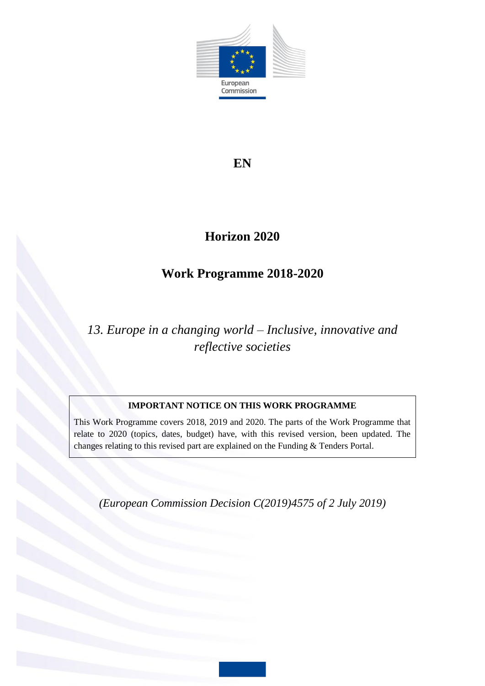

## **EN**

# **Horizon 2020**

# **Work Programme 2018-2020**

# *13. Europe in a changing world – Inclusive, innovative and reflective societies*

## **IMPORTANT NOTICE ON THIS WORK PROGRAMME**

This Work Programme covers 2018, 2019 and 2020. The parts of the Work Programme that relate to 2020 (topics, dates, budget) have, with this revised version, been updated. The changes relating to this revised part are explained on the Funding & Tenders Portal.

*(European Commission Decision C(2019)4575 of 2 July 2019)*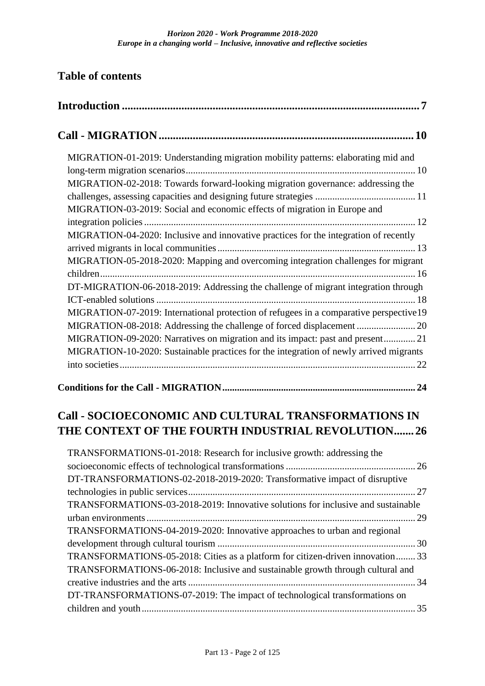## **Table of contents**

| MIGRATION-01-2019: Understanding migration mobility patterns: elaborating mid and      |  |
|----------------------------------------------------------------------------------------|--|
|                                                                                        |  |
| MIGRATION-02-2018: Towards forward-looking migration governance: addressing the        |  |
|                                                                                        |  |
| MIGRATION-03-2019: Social and economic effects of migration in Europe and              |  |
|                                                                                        |  |
| MIGRATION-04-2020: Inclusive and innovative practices for the integration of recently  |  |
|                                                                                        |  |
| MIGRATION-05-2018-2020: Mapping and overcoming integration challenges for migrant      |  |
|                                                                                        |  |
| DT-MIGRATION-06-2018-2019: Addressing the challenge of migrant integration through     |  |
|                                                                                        |  |
| MIGRATION-07-2019: International protection of refugees in a comparative perspective19 |  |
| MIGRATION-08-2018: Addressing the challenge of forced displacement  20                 |  |
| MIGRATION-09-2020: Narratives on migration and its impact: past and present 21         |  |
| MIGRATION-10-2020: Sustainable practices for the integration of newly arrived migrants |  |
|                                                                                        |  |
|                                                                                        |  |

| TRANSFORMATIONS-01-2018: Research for inclusive growth: addressing the           |  |
|----------------------------------------------------------------------------------|--|
|                                                                                  |  |
| DT-TRANSFORMATIONS-02-2018-2019-2020: Transformative impact of disruptive        |  |
|                                                                                  |  |
| TRANSFORMATIONS-03-2018-2019: Innovative solutions for inclusive and sustainable |  |
|                                                                                  |  |
| TRANSFORMATIONS-04-2019-2020: Innovative approaches to urban and regional        |  |
|                                                                                  |  |
| TRANSFORMATIONS-05-2018: Cities as a platform for citizen-driven innovation 33   |  |
| TRANSFORMATIONS-06-2018: Inclusive and sustainable growth through cultural and   |  |
|                                                                                  |  |
| DT-TRANSFORMATIONS-07-2019: The impact of technological transformations on       |  |
|                                                                                  |  |
|                                                                                  |  |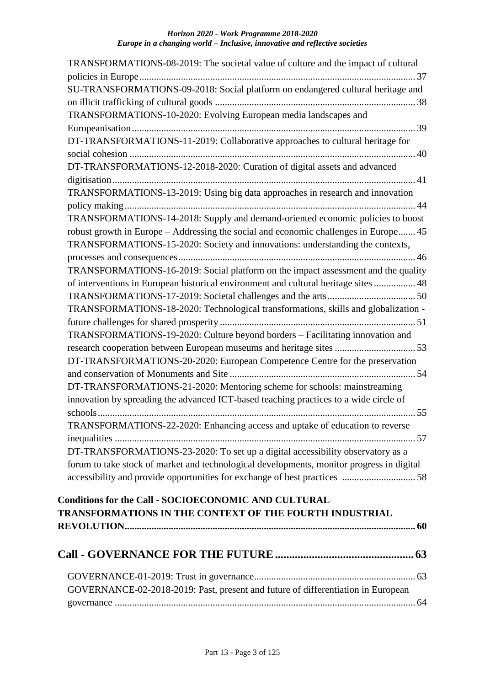| TRANSFORMATIONS-08-2019: The societal value of culture and the impact of cultural         |
|-------------------------------------------------------------------------------------------|
| SU-TRANSFORMATIONS-09-2018: Social platform on endangered cultural heritage and           |
|                                                                                           |
| TRANSFORMATIONS-10-2020: Evolving European media landscapes and                           |
|                                                                                           |
| DT-TRANSFORMATIONS-11-2019: Collaborative approaches to cultural heritage for             |
| DT-TRANSFORMATIONS-12-2018-2020: Curation of digital assets and advanced                  |
|                                                                                           |
| TRANSFORMATIONS-13-2019: Using big data approaches in research and innovation             |
| TRANSFORMATIONS-14-2018: Supply and demand-oriented economic policies to boost            |
| robust growth in Europe – Addressing the social and economic challenges in Europe 45      |
| TRANSFORMATIONS-15-2020: Society and innovations: understanding the contexts,             |
|                                                                                           |
| TRANSFORMATIONS-16-2019: Social platform on the impact assessment and the quality         |
| of interventions in European historical environment and cultural heritage sites  48       |
|                                                                                           |
| TRANSFORMATIONS-18-2020: Technological transformations, skills and globalization -        |
|                                                                                           |
| TRANSFORMATIONS-19-2020: Culture beyond borders - Facilitating innovation and             |
|                                                                                           |
| DT-TRANSFORMATIONS-20-2020: European Competence Centre for the preservation               |
|                                                                                           |
| DT-TRANSFORMATIONS-21-2020: Mentoring scheme for schools: mainstreaming                   |
| innovation by spreading the advanced ICT-based teaching practices to a wide circle of     |
|                                                                                           |
| TRANSFORMATIONS-22-2020: Enhancing access and uptake of education to reverse              |
| DT-TRANSFORMATIONS-23-2020: To set up a digital accessibility observatory as a            |
| forum to take stock of market and technological developments, monitor progress in digital |
|                                                                                           |
|                                                                                           |
| <b>Conditions for the Call - SOCIOECONOMIC AND CULTURAL</b>                               |
| TRANSFORMATIONS IN THE CONTEXT OF THE FOURTH INDUSTRIAL                                   |
|                                                                                           |
|                                                                                           |
|                                                                                           |

| GOVERNANCE-02-2018-2019: Past, present and future of differentiation in European |  |
|----------------------------------------------------------------------------------|--|
|                                                                                  |  |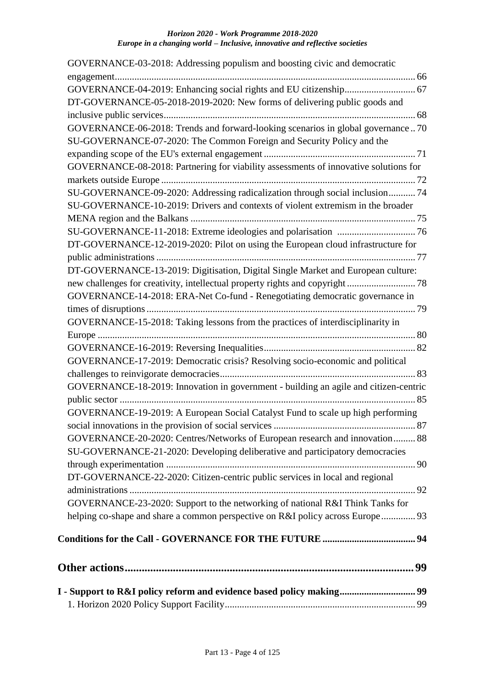| GOVERNANCE-03-2018: Addressing populism and boosting civic and democratic            |
|--------------------------------------------------------------------------------------|
|                                                                                      |
|                                                                                      |
| DT-GOVERNANCE-05-2018-2019-2020: New forms of delivering public goods and            |
|                                                                                      |
| GOVERNANCE-06-2018: Trends and forward-looking scenarios in global governance70      |
| SU-GOVERNANCE-07-2020: The Common Foreign and Security Policy and the                |
|                                                                                      |
| GOVERNANCE-08-2018: Partnering for viability assessments of innovative solutions for |
|                                                                                      |
| SU-GOVERNANCE-09-2020: Addressing radicalization through social inclusion 74         |
| SU-GOVERNANCE-10-2019: Drivers and contexts of violent extremism in the broader      |
|                                                                                      |
|                                                                                      |
| DT-GOVERNANCE-12-2019-2020: Pilot on using the European cloud infrastructure for     |
|                                                                                      |
| DT-GOVERNANCE-13-2019: Digitisation, Digital Single Market and European culture:     |
|                                                                                      |
| GOVERNANCE-14-2018: ERA-Net Co-fund - Renegotiating democratic governance in         |
|                                                                                      |
| GOVERNANCE-15-2018: Taking lessons from the practices of interdisciplinarity in      |
|                                                                                      |
|                                                                                      |
| GOVERNANCE-17-2019: Democratic crisis? Resolving socio-economic and political        |
|                                                                                      |
| GOVERNANCE-18-2019: Innovation in government - building an agile and citizen-centric |
|                                                                                      |
| GOVERNANCE-19-2019: A European Social Catalyst Fund to scale up high performing      |
|                                                                                      |
| GOVERNANCE-20-2020: Centres/Networks of European research and innovation 88          |
| SU-GOVERNANCE-21-2020: Developing deliberative and participatory democracies         |
|                                                                                      |
| DT-GOVERNANCE-22-2020: Citizen-centric public services in local and regional         |
|                                                                                      |
| GOVERNANCE-23-2020: Support to the networking of national R&I Think Tanks for        |
| helping co-shape and share a common perspective on R&I policy across Europe 93       |
|                                                                                      |
|                                                                                      |
|                                                                                      |
|                                                                                      |
| I - Support to R&I policy reform and evidence based policy making 99                 |
|                                                                                      |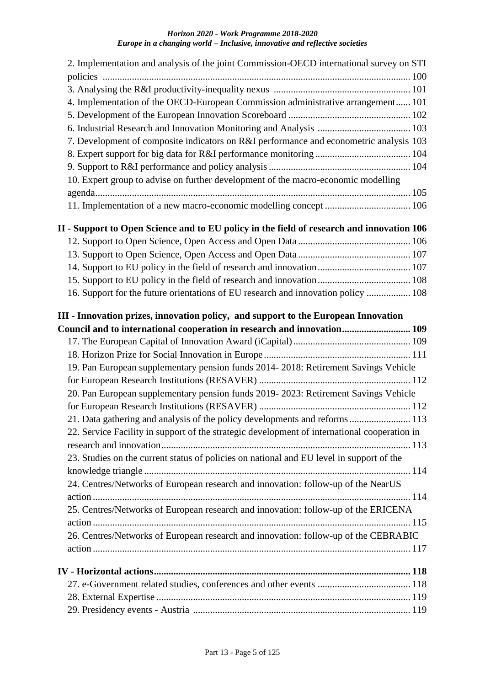| 2. Implementation and analysis of the joint Commission-OECD international survey on STI      |  |
|----------------------------------------------------------------------------------------------|--|
|                                                                                              |  |
|                                                                                              |  |
| 4. Implementation of the OECD-European Commission administrative arrangement 101             |  |
|                                                                                              |  |
|                                                                                              |  |
| 7. Development of composite indicators on R&I performance and econometric analysis 103       |  |
|                                                                                              |  |
|                                                                                              |  |
| 10. Expert group to advise on further development of the macro-economic modelling            |  |
|                                                                                              |  |
| 11. Implementation of a new macro-economic modelling concept  106                            |  |
| II - Support to Open Science and to EU policy in the field of research and innovation 106    |  |
|                                                                                              |  |
|                                                                                              |  |
|                                                                                              |  |
|                                                                                              |  |
| 16. Support for the future orientations of EU research and innovation policy  108            |  |
| III - Innovation prizes, innovation policy, and support to the European Innovation           |  |
| Council and to international cooperation in research and innovation 109                      |  |
|                                                                                              |  |
|                                                                                              |  |
| 19. Pan European supplementary pension funds 2014-2018: Retirement Savings Vehicle           |  |
|                                                                                              |  |
| 20. Pan European supplementary pension funds 2019-2023: Retirement Savings Vehicle           |  |
|                                                                                              |  |
| 21. Data gathering and analysis of the policy developments and reforms 113                   |  |
| 22. Service Facility in support of the strategic development of international cooperation in |  |
|                                                                                              |  |
| 23. Studies on the current status of policies on national and EU level in support of the     |  |
|                                                                                              |  |
| 24. Centres/Networks of European research and innovation: follow-up of the NearUS            |  |
|                                                                                              |  |
|                                                                                              |  |
| 25. Centres/Networks of European research and innovation: follow-up of the ERICENA           |  |
|                                                                                              |  |
| 26. Centres/Networks of European research and innovation: follow-up of the CEBRABIC          |  |
|                                                                                              |  |
|                                                                                              |  |
|                                                                                              |  |
|                                                                                              |  |
|                                                                                              |  |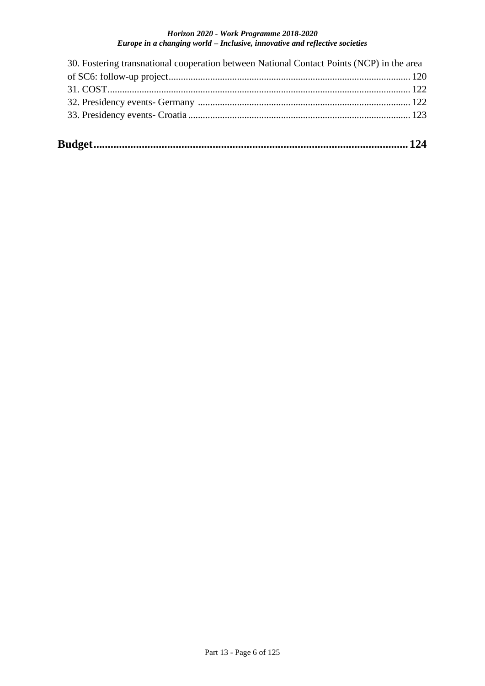| 30. Fostering transnational cooperation between National Contact Points (NCP) in the area |  |
|-------------------------------------------------------------------------------------------|--|
|                                                                                           |  |
|                                                                                           |  |
|                                                                                           |  |
|                                                                                           |  |
|                                                                                           |  |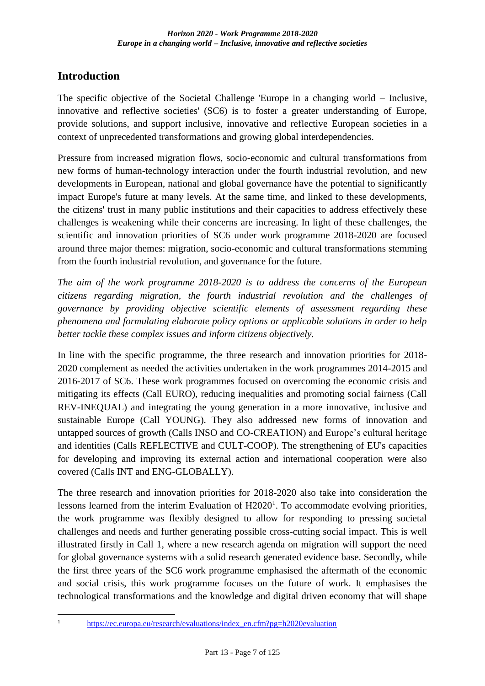## <span id="page-6-0"></span>**Introduction**

The specific objective of the Societal Challenge 'Europe in a changing world – Inclusive, innovative and reflective societies' (SC6) is to foster a greater understanding of Europe, provide solutions, and support inclusive, innovative and reflective European societies in a context of unprecedented transformations and growing global interdependencies.

Pressure from increased migration flows, socio-economic and cultural transformations from new forms of human-technology interaction under the fourth industrial revolution, and new developments in European, national and global governance have the potential to significantly impact Europe's future at many levels. At the same time, and linked to these developments, the citizens' trust in many public institutions and their capacities to address effectively these challenges is weakening while their concerns are increasing. In light of these challenges, the scientific and innovation priorities of SC6 under work programme 2018-2020 are focused around three major themes: migration, socio-economic and cultural transformations stemming from the fourth industrial revolution, and governance for the future.

*The aim of the work programme 2018-2020 is to address the concerns of the European citizens regarding migration, the fourth industrial revolution and the challenges of governance by providing objective scientific elements of assessment regarding these phenomena and formulating elaborate policy options or applicable solutions in order to help better tackle these complex issues and inform citizens objectively.*

In line with the specific programme, the three research and innovation priorities for 2018- 2020 complement as needed the activities undertaken in the work programmes 2014-2015 and 2016-2017 of SC6. These work programmes focused on overcoming the economic crisis and mitigating its effects (Call EURO), reducing inequalities and promoting social fairness (Call REV-INEQUAL) and integrating the young generation in a more innovative, inclusive and sustainable Europe (Call YOUNG). They also addressed new forms of innovation and untapped sources of growth (Calls INSO and CO-CREATION) and Europe's cultural heritage and identities (Calls REFLECTIVE and CULT-COOP). The strengthening of EU's capacities for developing and improving its external action and international cooperation were also covered (Calls INT and ENG-GLOBALLY).

The three research and innovation priorities for 2018-2020 also take into consideration the lessons learned from the interim Evaluation of  $H2020<sup>1</sup>$ . To accommodate evolving priorities, the work programme was flexibly designed to allow for responding to pressing societal challenges and needs and further generating possible cross-cutting social impact. This is well illustrated firstly in Call 1, where a new research agenda on migration will support the need for global governance systems with a solid research generated evidence base. Secondly, while the first three years of the SC6 work programme emphasised the aftermath of the economic and social crisis, this work programme focuses on the future of work. It emphasises the technological transformations and the knowledge and digital driven economy that will shape

<sup>1</sup> 

[https://ec.europa.eu/research/evaluations/index\\_en.cfm?pg=h2020evaluation](https://ec.europa.eu/research/evaluations/index_en.cfm?pg=h2020evaluation)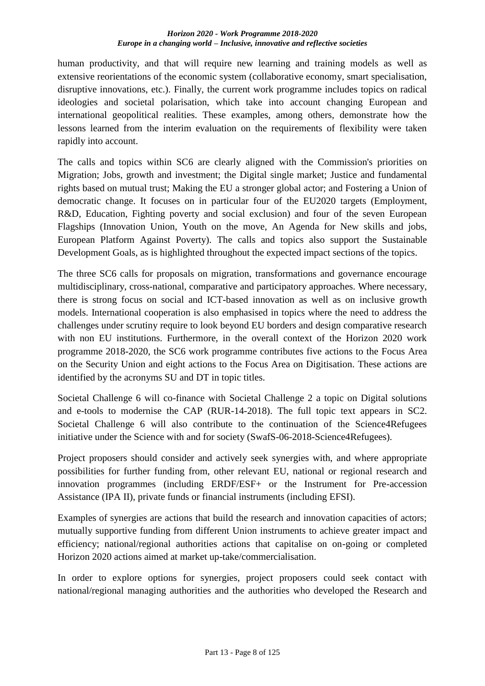human productivity, and that will require new learning and training models as well as extensive reorientations of the economic system (collaborative economy, smart specialisation, disruptive innovations, etc.). Finally, the current work programme includes topics on radical ideologies and societal polarisation, which take into account changing European and international geopolitical realities. These examples, among others, demonstrate how the lessons learned from the interim evaluation on the requirements of flexibility were taken rapidly into account.

The calls and topics within SC6 are clearly aligned with the Commission's priorities on Migration; Jobs, growth and investment; the Digital single market; Justice and fundamental rights based on mutual trust; Making the EU a stronger global actor; and Fostering a Union of democratic change. It focuses on in particular four of the EU2020 targets (Employment, R&D, Education, Fighting poverty and social exclusion) and four of the seven European Flagships (Innovation Union, Youth on the move, An Agenda for New skills and jobs, European Platform Against Poverty). The calls and topics also support the Sustainable Development Goals, as is highlighted throughout the expected impact sections of the topics.

The three SC6 calls for proposals on migration, transformations and governance encourage multidisciplinary, cross-national, comparative and participatory approaches. Where necessary, there is strong focus on social and ICT-based innovation as well as on inclusive growth models. International cooperation is also emphasised in topics where the need to address the challenges under scrutiny require to look beyond EU borders and design comparative research with non EU institutions. Furthermore, in the overall context of the Horizon 2020 work programme 2018-2020, the SC6 work programme contributes five actions to the Focus Area on the Security Union and eight actions to the Focus Area on Digitisation. These actions are identified by the acronyms SU and DT in topic titles.

Societal Challenge 6 will co-finance with Societal Challenge 2 a topic on Digital solutions and e-tools to modernise the CAP (RUR-14-2018). The full topic text appears in SC2. Societal Challenge 6 will also contribute to the continuation of the Science4Refugees initiative under the Science with and for society (SwafS-06-2018-Science4Refugees).

Project proposers should consider and actively seek synergies with, and where appropriate possibilities for further funding from, other relevant EU, national or regional research and innovation programmes (including ERDF/ESF+ or the Instrument for Pre-accession Assistance (IPA II), private funds or financial instruments (including EFSI).

Examples of synergies are actions that build the research and innovation capacities of actors; mutually supportive funding from different Union instruments to achieve greater impact and efficiency; national/regional authorities actions that capitalise on on-going or completed Horizon 2020 actions aimed at market up-take/commercialisation.

In order to explore options for synergies, project proposers could seek contact with national/regional managing authorities and the authorities who developed the Research and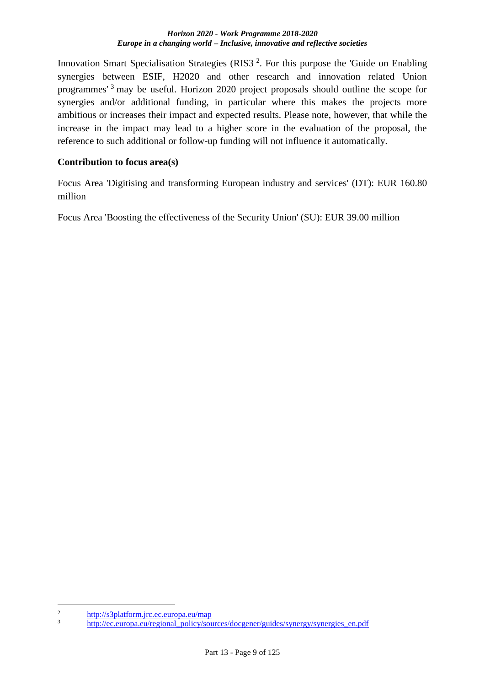Innovation Smart Specialisation Strategies (RIS3<sup>2</sup>. For this purpose the 'Guide on Enabling synergies between ESIF, H2020 and other research and innovation related Union programmes' <sup>3</sup> may be useful. Horizon 2020 project proposals should outline the scope for synergies and/or additional funding, in particular where this makes the projects more ambitious or increases their impact and expected results. Please note, however, that while the increase in the impact may lead to a higher score in the evaluation of the proposal, the reference to such additional or follow-up funding will not influence it automatically.

### **Contribution to focus area(s)**

Focus Area 'Digitising and transforming European industry and services' (DT): EUR 160.80 million

Focus Area 'Boosting the effectiveness of the Security Union' (SU): EUR 39.00 million

1

 $\frac{2}{3}$  <http://s3platform.jrc.ec.europa.eu/map>

[http://ec.europa.eu/regional\\_policy/sources/docgener/guides/synergy/synergies\\_en.pdf](http://ec.europa.eu/regional_policy/sources/docgener/guides/synergy/synergies_en.pdf)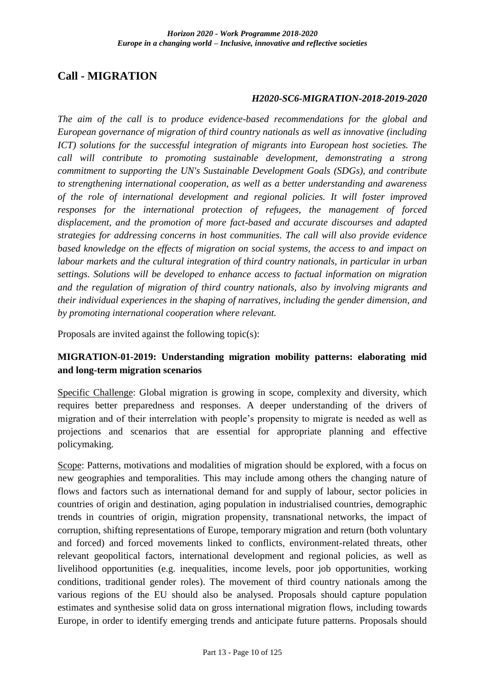## <span id="page-9-0"></span>**Call - MIGRATION**

### *H2020-SC6-MIGRATION-2018-2019-2020*

*The aim of the call is to produce evidence-based recommendations for the global and European governance of migration of third country nationals as well as innovative (including ICT)* solutions for the successful integration of migrants into European host societies. The *call will contribute to promoting sustainable development, demonstrating a strong commitment to supporting the UN's Sustainable Development Goals (SDGs), and contribute to strengthening international cooperation, as well as a better understanding and awareness of the role of international development and regional policies. It will foster improved responses for the international protection of refugees, the management of forced displacement, and the promotion of more fact-based and accurate discourses and adapted strategies for addressing concerns in host communities. The call will also provide evidence based knowledge on the effects of migration on social systems, the access to and impact on labour markets and the cultural integration of third country nationals, in particular in urban settings. Solutions will be developed to enhance access to factual information on migration and the regulation of migration of third country nationals, also by involving migrants and their individual experiences in the shaping of narratives, including the gender dimension, and by promoting international cooperation where relevant.*

Proposals are invited against the following topic(s):

## <span id="page-9-1"></span>**MIGRATION-01-2019: Understanding migration mobility patterns: elaborating mid and long-term migration scenarios**

Specific Challenge: Global migration is growing in scope, complexity and diversity, which requires better preparedness and responses. A deeper understanding of the drivers of migration and of their interrelation with people's propensity to migrate is needed as well as projections and scenarios that are essential for appropriate planning and effective policymaking.

Scope: Patterns, motivations and modalities of migration should be explored, with a focus on new geographies and temporalities. This may include among others the changing nature of flows and factors such as international demand for and supply of labour, sector policies in countries of origin and destination, aging population in industrialised countries, demographic trends in countries of origin, migration propensity, transnational networks, the impact of corruption, shifting representations of Europe, temporary migration and return (both voluntary and forced) and forced movements linked to conflicts, environment-related threats, other relevant geopolitical factors, international development and regional policies, as well as livelihood opportunities (e.g. inequalities, income levels, poor job opportunities, working conditions, traditional gender roles). The movement of third country nationals among the various regions of the EU should also be analysed. Proposals should capture population estimates and synthesise solid data on gross international migration flows, including towards Europe, in order to identify emerging trends and anticipate future patterns. Proposals should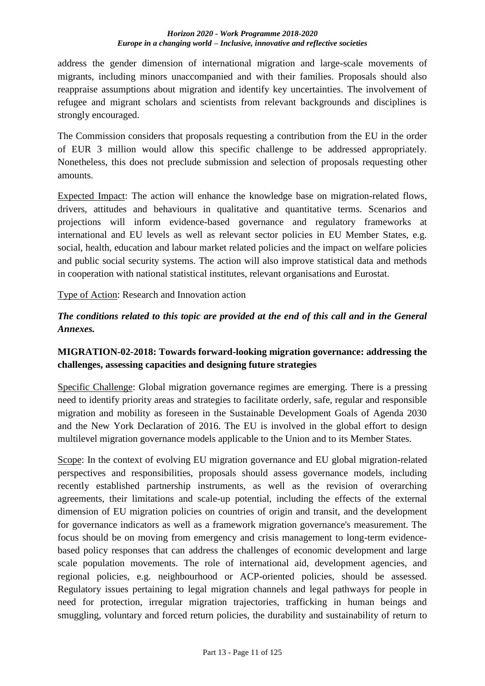address the gender dimension of international migration and large-scale movements of migrants, including minors unaccompanied and with their families. Proposals should also reappraise assumptions about migration and identify key uncertainties. The involvement of refugee and migrant scholars and scientists from relevant backgrounds and disciplines is strongly encouraged.

The Commission considers that proposals requesting a contribution from the EU in the order of EUR 3 million would allow this specific challenge to be addressed appropriately. Nonetheless, this does not preclude submission and selection of proposals requesting other amounts.

Expected Impact: The action will enhance the knowledge base on migration-related flows, drivers, attitudes and behaviours in qualitative and quantitative terms. Scenarios and projections will inform evidence-based governance and regulatory frameworks at international and EU levels as well as relevant sector policies in EU Member States, e.g. social, health, education and labour market related policies and the impact on welfare policies and public social security systems. The action will also improve statistical data and methods in cooperation with national statistical institutes, relevant organisations and Eurostat.

Type of Action: Research and Innovation action

## *The conditions related to this topic are provided at the end of this call and in the General Annexes.*

## <span id="page-10-0"></span>**MIGRATION-02-2018: Towards forward-looking migration governance: addressing the challenges, assessing capacities and designing future strategies**

Specific Challenge: Global migration governance regimes are emerging. There is a pressing need to identify priority areas and strategies to facilitate orderly, safe, regular and responsible migration and mobility as foreseen in the Sustainable Development Goals of Agenda 2030 and the New York Declaration of 2016. The EU is involved in the global effort to design multilevel migration governance models applicable to the Union and to its Member States.

Scope: In the context of evolving EU migration governance and EU global migration-related perspectives and responsibilities, proposals should assess governance models, including recently established partnership instruments, as well as the revision of overarching agreements, their limitations and scale-up potential, including the effects of the external dimension of EU migration policies on countries of origin and transit, and the development for governance indicators as well as a framework migration governance's measurement. The focus should be on moving from emergency and crisis management to long-term evidencebased policy responses that can address the challenges of economic development and large scale population movements. The role of international aid, development agencies, and regional policies, e.g. neighbourhood or ACP-oriented policies, should be assessed. Regulatory issues pertaining to legal migration channels and legal pathways for people in need for protection, irregular migration trajectories, trafficking in human beings and smuggling, voluntary and forced return policies, the durability and sustainability of return to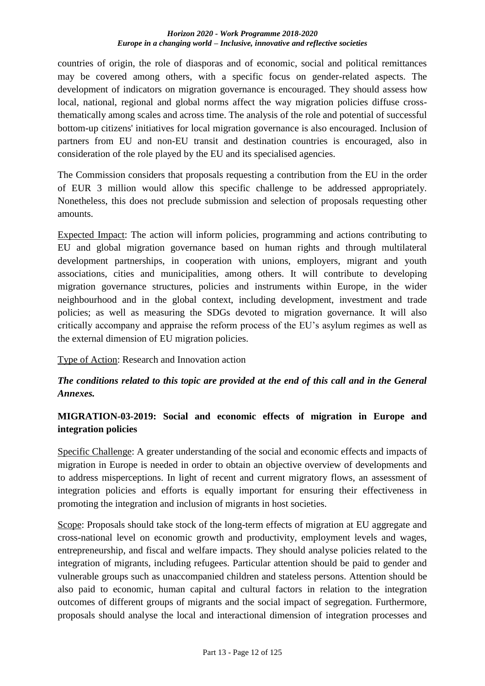countries of origin, the role of diasporas and of economic, social and political remittances may be covered among others, with a specific focus on gender-related aspects. The development of indicators on migration governance is encouraged. They should assess how local, national, regional and global norms affect the way migration policies diffuse crossthematically among scales and across time. The analysis of the role and potential of successful bottom-up citizens' initiatives for local migration governance is also encouraged. Inclusion of partners from EU and non-EU transit and destination countries is encouraged, also in consideration of the role played by the EU and its specialised agencies.

The Commission considers that proposals requesting a contribution from the EU in the order of EUR 3 million would allow this specific challenge to be addressed appropriately. Nonetheless, this does not preclude submission and selection of proposals requesting other amounts.

Expected Impact: The action will inform policies, programming and actions contributing to EU and global migration governance based on human rights and through multilateral development partnerships, in cooperation with unions, employers, migrant and youth associations, cities and municipalities, among others. It will contribute to developing migration governance structures, policies and instruments within Europe, in the wider neighbourhood and in the global context, including development, investment and trade policies; as well as measuring the SDGs devoted to migration governance. It will also critically accompany and appraise the reform process of the EU's asylum regimes as well as the external dimension of EU migration policies.

Type of Action: Research and Innovation action

## *The conditions related to this topic are provided at the end of this call and in the General Annexes.*

## <span id="page-11-0"></span>**MIGRATION-03-2019: Social and economic effects of migration in Europe and integration policies**

Specific Challenge: A greater understanding of the social and economic effects and impacts of migration in Europe is needed in order to obtain an objective overview of developments and to address misperceptions. In light of recent and current migratory flows, an assessment of integration policies and efforts is equally important for ensuring their effectiveness in promoting the integration and inclusion of migrants in host societies.

Scope: Proposals should take stock of the long-term effects of migration at EU aggregate and cross-national level on economic growth and productivity, employment levels and wages, entrepreneurship, and fiscal and welfare impacts. They should analyse policies related to the integration of migrants, including refugees. Particular attention should be paid to gender and vulnerable groups such as unaccompanied children and stateless persons. Attention should be also paid to economic, human capital and cultural factors in relation to the integration outcomes of different groups of migrants and the social impact of segregation. Furthermore, proposals should analyse the local and interactional dimension of integration processes and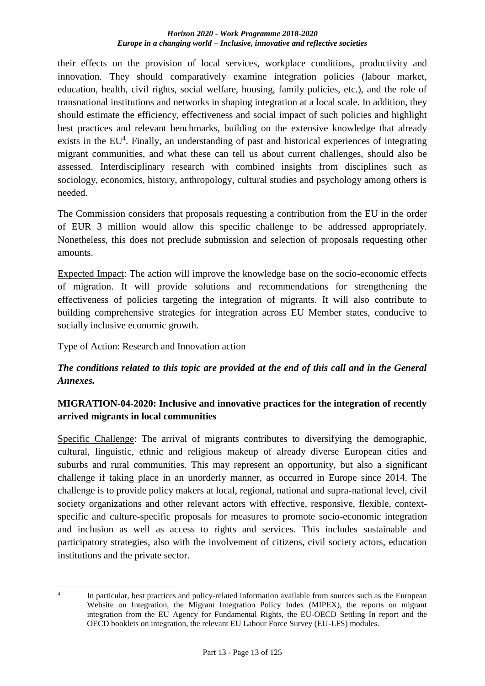their effects on the provision of local services, workplace conditions, productivity and innovation. They should comparatively examine integration policies (labour market, education, health, civil rights, social welfare, housing, family policies, etc.), and the role of transnational institutions and networks in shaping integration at a local scale. In addition, they should estimate the efficiency, effectiveness and social impact of such policies and highlight best practices and relevant benchmarks, building on the extensive knowledge that already exists in the EU<sup>4</sup>. Finally, an understanding of past and historical experiences of integrating migrant communities, and what these can tell us about current challenges, should also be assessed. Interdisciplinary research with combined insights from disciplines such as sociology, economics, history, anthropology, cultural studies and psychology among others is needed.

The Commission considers that proposals requesting a contribution from the EU in the order of EUR 3 million would allow this specific challenge to be addressed appropriately. Nonetheless, this does not preclude submission and selection of proposals requesting other amounts.

Expected Impact: The action will improve the knowledge base on the socio-economic effects of migration. It will provide solutions and recommendations for strengthening the effectiveness of policies targeting the integration of migrants. It will also contribute to building comprehensive strategies for integration across EU Member states, conducive to socially inclusive economic growth.

Type of Action: Research and Innovation action

## *The conditions related to this topic are provided at the end of this call and in the General Annexes.*

## <span id="page-12-0"></span>**MIGRATION-04-2020: Inclusive and innovative practices for the integration of recently arrived migrants in local communities**

Specific Challenge: The arrival of migrants contributes to diversifying the demographic, cultural, linguistic, ethnic and religious makeup of already diverse European cities and suburbs and rural communities. This may represent an opportunity, but also a significant challenge if taking place in an unorderly manner, as occurred in Europe since 2014. The challenge is to provide policy makers at local, regional, national and supra-national level, civil society organizations and other relevant actors with effective, responsive, flexible, contextspecific and culture-specific proposals for measures to promote socio-economic integration and inclusion as well as access to rights and services. This includes sustainable and participatory strategies, also with the involvement of citizens, civil society actors, education institutions and the private sector.

<sup>&</sup>lt;u>.</u> 4 In particular, best practices and policy-related information available from sources such as the European Website on Integration, the Migrant Integration Policy Index (MIPEX), the reports on migrant integration from the EU Agency for Fundamental Rights, the EU-OECD Settling In report and the OECD booklets on integration, the relevant EU Labour Force Survey (EU-LFS) modules.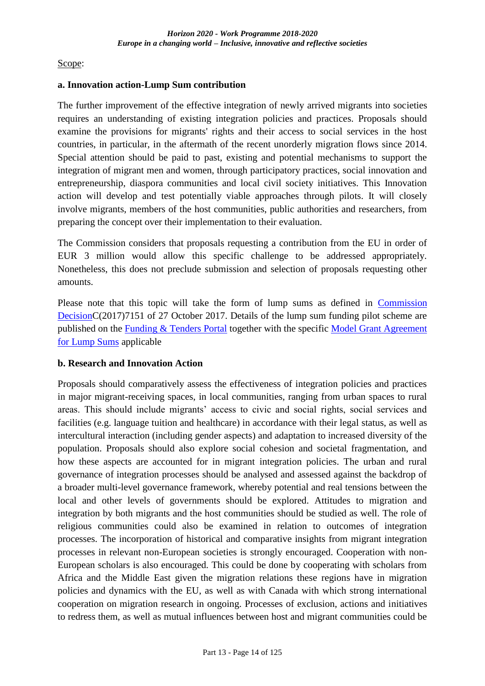Scope:

#### **a. Innovation action-Lump Sum contribution**

The further improvement of the effective integration of newly arrived migrants into societies requires an understanding of existing integration policies and practices. Proposals should examine the provisions for migrants' rights and their access to social services in the host countries, in particular, in the aftermath of the recent unorderly migration flows since 2014. Special attention should be paid to past, existing and potential mechanisms to support the integration of migrant men and women, through participatory practices, social innovation and entrepreneurship, diaspora communities and local civil society initiatives. This Innovation action will develop and test potentially viable approaches through pilots. It will closely involve migrants, members of the host communities, public authorities and researchers, from preparing the concept over their implementation to their evaluation.

The Commission considers that proposals requesting a contribution from the EU in order of EUR 3 million would allow this specific challenge to be addressed appropriately. Nonetheless, this does not preclude submission and selection of proposals requesting other amounts.

Please note that this topic will take the form of lump sums as defined in [Commission](http://ec.europa.eu/research/participants/data/ref/h2020/other/legal/lump_sum/lumpsumdecision-2017-7151_en.pdf)  [DecisionC](http://ec.europa.eu/research/participants/data/ref/h2020/other/legal/lump_sum/lumpsumdecision-2017-7151_en.pdf)(2017)7151 of 27 October 2017. Details of the lump sum funding pilot scheme are published on the [Funding & Tenders Portal](http://ec.europa.eu/research/participants/docs/h2020-funding-guide/grants/applying-for-funding/find-a-call/what-you-need-to-know_en.htm) together with the specific [Model Grant Agreement](http://ec.europa.eu/research/participants/data/ref/h2020/mga/lumpsum/h2020-mga-lumpsum-pilot-multi_en.pdf)  [for Lump Sums](http://ec.europa.eu/research/participants/data/ref/h2020/mga/lumpsum/h2020-mga-lumpsum-pilot-multi_en.pdf) applicable

## **b. Research and Innovation Action**

Proposals should comparatively assess the effectiveness of integration policies and practices in major migrant-receiving spaces, in local communities, ranging from urban spaces to rural areas. This should include migrants' access to civic and social rights, social services and facilities (e.g. language tuition and healthcare) in accordance with their legal status, as well as intercultural interaction (including gender aspects) and adaptation to increased diversity of the population. Proposals should also explore social cohesion and societal fragmentation, and how these aspects are accounted for in migrant integration policies. The urban and rural governance of integration processes should be analysed and assessed against the backdrop of a broader multi-level governance framework, whereby potential and real tensions between the local and other levels of governments should be explored. Attitudes to migration and integration by both migrants and the host communities should be studied as well. The role of religious communities could also be examined in relation to outcomes of integration processes. The incorporation of historical and comparative insights from migrant integration processes in relevant non-European societies is strongly encouraged. Cooperation with non-European scholars is also encouraged. This could be done by cooperating with scholars from Africa and the Middle East given the migration relations these regions have in migration policies and dynamics with the EU, as well as with Canada with which strong international cooperation on migration research in ongoing. Processes of exclusion, actions and initiatives to redress them, as well as mutual influences between host and migrant communities could be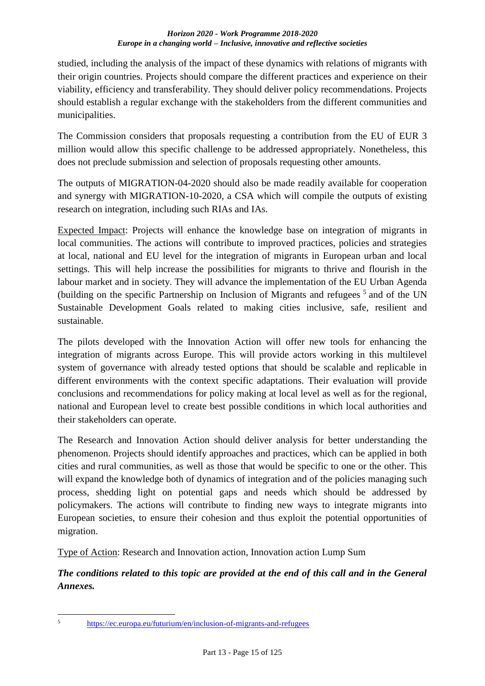studied, including the analysis of the impact of these dynamics with relations of migrants with their origin countries. Projects should compare the different practices and experience on their viability, efficiency and transferability. They should deliver policy recommendations. Projects should establish a regular exchange with the stakeholders from the different communities and municipalities.

The Commission considers that proposals requesting a contribution from the EU of EUR 3 million would allow this specific challenge to be addressed appropriately. Nonetheless, this does not preclude submission and selection of proposals requesting other amounts.

The outputs of MIGRATION-04-2020 should also be made readily available for cooperation and synergy with MIGRATION-10-2020, a CSA which will compile the outputs of existing research on integration, including such RIAs and IAs.

Expected Impact: Projects will enhance the knowledge base on integration of migrants in local communities. The actions will contribute to improved practices, policies and strategies at local, national and EU level for the integration of migrants in European urban and local settings. This will help increase the possibilities for migrants to thrive and flourish in the labour market and in society. They will advance the implementation of the EU Urban Agenda (building on the specific Partnership on Inclusion of Migrants and refugees<sup>5</sup> and of the UN Sustainable Development Goals related to making cities inclusive, safe, resilient and sustainable.

The pilots developed with the Innovation Action will offer new tools for enhancing the integration of migrants across Europe. This will provide actors working in this multilevel system of governance with already tested options that should be scalable and replicable in different environments with the context specific adaptations. Their evaluation will provide conclusions and recommendations for policy making at local level as well as for the regional, national and European level to create best possible conditions in which local authorities and their stakeholders can operate.

The Research and Innovation Action should deliver analysis for better understanding the phenomenon. Projects should identify approaches and practices, which can be applied in both cities and rural communities, as well as those that would be specific to one or the other. This will expand the knowledge both of dynamics of integration and of the policies managing such process, shedding light on potential gaps and needs which should be addressed by policymakers. The actions will contribute to finding new ways to integrate migrants into European societies, to ensure their cohesion and thus exploit the potential opportunities of migration.

Type of Action: Research and Innovation action, Innovation action Lump Sum

*The conditions related to this topic are provided at the end of this call and in the General Annexes.*

 $\sqrt{5}$ 

<sup>5</sup> <https://ec.europa.eu/futurium/en/inclusion-of-migrants-and-refugees>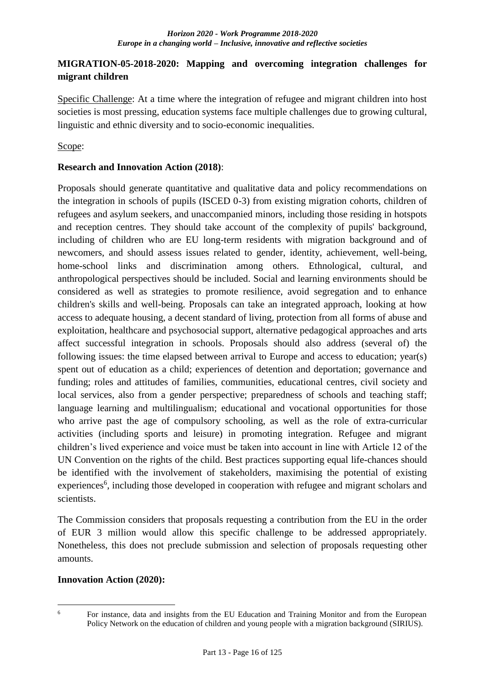## <span id="page-15-0"></span>**MIGRATION-05-2018-2020: Mapping and overcoming integration challenges for migrant children**

Specific Challenge: At a time where the integration of refugee and migrant children into host societies is most pressing, education systems face multiple challenges due to growing cultural, linguistic and ethnic diversity and to socio-economic inequalities.

## Scope:

## **Research and Innovation Action (2018)**:

Proposals should generate quantitative and qualitative data and policy recommendations on the integration in schools of pupils (ISCED 0-3) from existing migration cohorts, children of refugees and asylum seekers, and unaccompanied minors, including those residing in hotspots and reception centres. They should take account of the complexity of pupils' background, including of children who are EU long-term residents with migration background and of newcomers, and should assess issues related to gender, identity, achievement, well-being, home-school links and discrimination among others. Ethnological, cultural, and anthropological perspectives should be included. Social and learning environments should be considered as well as strategies to promote resilience, avoid segregation and to enhance children's skills and well-being. Proposals can take an integrated approach, looking at how access to adequate housing, a decent standard of living, protection from all forms of abuse and exploitation, healthcare and psychosocial support, alternative pedagogical approaches and arts affect successful integration in schools. Proposals should also address (several of) the following issues: the time elapsed between arrival to Europe and access to education; year(s) spent out of education as a child; experiences of detention and deportation; governance and funding; roles and attitudes of families, communities, educational centres, civil society and local services, also from a gender perspective; preparedness of schools and teaching staff; language learning and multilingualism; educational and vocational opportunities for those who arrive past the age of compulsory schooling, as well as the role of extra-curricular activities (including sports and leisure) in promoting integration. Refugee and migrant children's lived experience and voice must be taken into account in line with Article 12 of the UN Convention on the rights of the child. Best practices supporting equal life-chances should be identified with the involvement of stakeholders, maximising the potential of existing experiences<sup>6</sup>, including those developed in cooperation with refugee and migrant scholars and scientists.

The Commission considers that proposals requesting a contribution from the EU in the order of EUR 3 million would allow this specific challenge to be addressed appropriately. Nonetheless, this does not preclude submission and selection of proposals requesting other amounts.

## **Innovation Action (2020):**

<sup>1</sup> 

<sup>&</sup>lt;sup>6</sup> For instance, data and insights from the EU Education and Training Monitor and from the European Policy Network on the education of children and young people with a migration background (SIRIUS).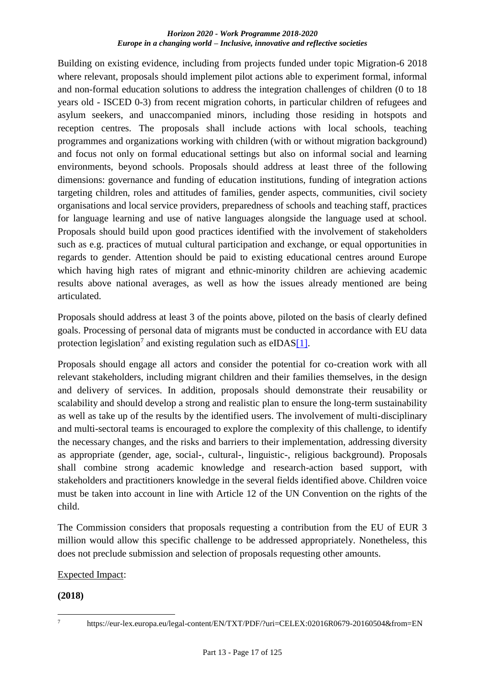Building on existing evidence, including from projects funded under topic Migration-6 2018 where relevant, proposals should implement pilot actions able to experiment formal, informal and non-formal education solutions to address the integration challenges of children (0 to 18 years old - ISCED 0-3) from recent migration cohorts, in particular children of refugees and asylum seekers, and unaccompanied minors, including those residing in hotspots and reception centres. The proposals shall include actions with local schools, teaching programmes and organizations working with children (with or without migration background) and focus not only on formal educational settings but also on informal social and learning environments, beyond schools. Proposals should address at least three of the following dimensions: governance and funding of education institutions, funding of integration actions targeting children, roles and attitudes of families, gender aspects, communities, civil society organisations and local service providers, preparedness of schools and teaching staff, practices for language learning and use of native languages alongside the language used at school. Proposals should build upon good practices identified with the involvement of stakeholders such as e.g. practices of mutual cultural participation and exchange, or equal opportunities in regards to gender. Attention should be paid to existing educational centres around Europe which having high rates of migrant and ethnic-minority children are achieving academic results above national averages, as well as how the issues already mentioned are being articulated.

Proposals should address at least 3 of the points above, piloted on the basis of clearly defined goals. Processing of personal data of migrants must be conducted in accordance with EU data protection legislation<sup>7</sup> and existing regulation such as eIDA[S\[1\].](http://ec.europa.eu/research/participants/portal/desktop/en/opportunities/h2020/topics/dt-migration-06-2018-2019.html#fn1)

Proposals should engage all actors and consider the potential for co-creation work with all relevant stakeholders, including migrant children and their families themselves, in the design and delivery of services. In addition, proposals should demonstrate their reusability or scalability and should develop a strong and realistic plan to ensure the long-term sustainability as well as take up of the results by the identified users. The involvement of multi-disciplinary and multi-sectoral teams is encouraged to explore the complexity of this challenge, to identify the necessary changes, and the risks and barriers to their implementation, addressing diversity as appropriate (gender, age, social-, cultural-, linguistic-, religious background). Proposals shall combine strong academic knowledge and research-action based support, with stakeholders and practitioners knowledge in the several fields identified above. Children voice must be taken into account in line with Article 12 of the UN Convention on the rights of the child.

The Commission considers that proposals requesting a contribution from the EU of EUR 3 million would allow this specific challenge to be addressed appropriately. Nonetheless, this does not preclude submission and selection of proposals requesting other amounts.

## Expected Impact:

## **(2018)**

1

<sup>7</sup> https://eur-lex.europa.eu/legal-content/EN/TXT/PDF/?uri=CELEX:02016R0679-20160504&from=EN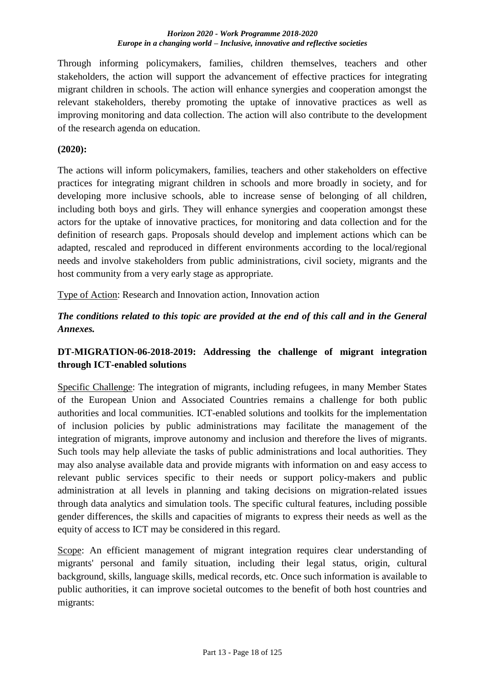Through informing policymakers, families, children themselves, teachers and other stakeholders, the action will support the advancement of effective practices for integrating migrant children in schools. The action will enhance synergies and cooperation amongst the relevant stakeholders, thereby promoting the uptake of innovative practices as well as improving monitoring and data collection. The action will also contribute to the development of the research agenda on education.

## **(2020):**

The actions will inform policymakers, families, teachers and other stakeholders on effective practices for integrating migrant children in schools and more broadly in society, and for developing more inclusive schools, able to increase sense of belonging of all children, including both boys and girls. They will enhance synergies and cooperation amongst these actors for the uptake of innovative practices, for monitoring and data collection and for the definition of research gaps. Proposals should develop and implement actions which can be adapted, rescaled and reproduced in different environments according to the local/regional needs and involve stakeholders from public administrations, civil society, migrants and the host community from a very early stage as appropriate.

Type of Action: Research and Innovation action, Innovation action

*The conditions related to this topic are provided at the end of this call and in the General Annexes.*

## <span id="page-17-0"></span>**DT-MIGRATION-06-2018-2019: Addressing the challenge of migrant integration through ICT-enabled solutions**

Specific Challenge: The integration of migrants, including refugees, in many Member States of the European Union and Associated Countries remains a challenge for both public authorities and local communities. ICT-enabled solutions and toolkits for the implementation of inclusion policies by public administrations may facilitate the management of the integration of migrants, improve autonomy and inclusion and therefore the lives of migrants. Such tools may help alleviate the tasks of public administrations and local authorities. They may also analyse available data and provide migrants with information on and easy access to relevant public services specific to their needs or support policy-makers and public administration at all levels in planning and taking decisions on migration-related issues through data analytics and simulation tools. The specific cultural features, including possible gender differences, the skills and capacities of migrants to express their needs as well as the equity of access to ICT may be considered in this regard.

Scope: An efficient management of migrant integration requires clear understanding of migrants' personal and family situation, including their legal status, origin, cultural background, skills, language skills, medical records, etc. Once such information is available to public authorities, it can improve societal outcomes to the benefit of both host countries and migrants: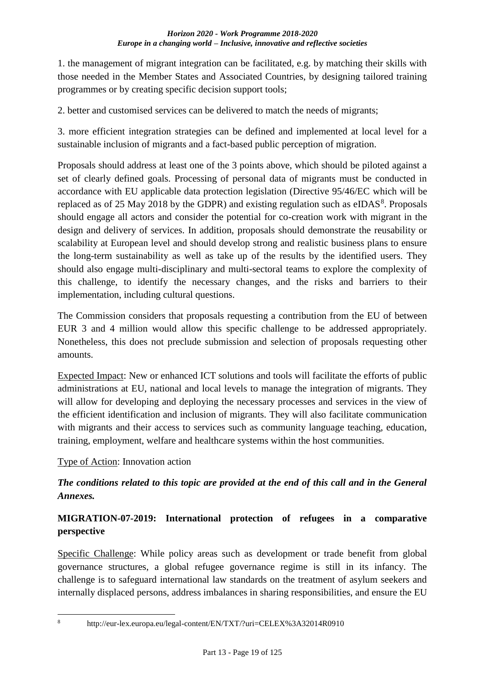1. the management of migrant integration can be facilitated, e.g. by matching their skills with those needed in the Member States and Associated Countries, by designing tailored training programmes or by creating specific decision support tools;

2. better and customised services can be delivered to match the needs of migrants;

3. more efficient integration strategies can be defined and implemented at local level for a sustainable inclusion of migrants and a fact-based public perception of migration.

Proposals should address at least one of the 3 points above, which should be piloted against a set of clearly defined goals. Processing of personal data of migrants must be conducted in accordance with EU applicable data protection legislation (Directive 95/46/EC which will be replaced as of 25 May 2018 by the GDPR) and existing regulation such as  $eIDAS<sup>8</sup>$ . Proposals should engage all actors and consider the potential for co-creation work with migrant in the design and delivery of services. In addition, proposals should demonstrate the reusability or scalability at European level and should develop strong and realistic business plans to ensure the long-term sustainability as well as take up of the results by the identified users. They should also engage multi-disciplinary and multi-sectoral teams to explore the complexity of this challenge, to identify the necessary changes, and the risks and barriers to their implementation, including cultural questions.

The Commission considers that proposals requesting a contribution from the EU of between EUR 3 and 4 million would allow this specific challenge to be addressed appropriately. Nonetheless, this does not preclude submission and selection of proposals requesting other amounts.

Expected Impact: New or enhanced ICT solutions and tools will facilitate the efforts of public administrations at EU, national and local levels to manage the integration of migrants. They will allow for developing and deploying the necessary processes and services in the view of the efficient identification and inclusion of migrants. They will also facilitate communication with migrants and their access to services such as community language teaching, education, training, employment, welfare and healthcare systems within the host communities.

## Type of Action: Innovation action

## *The conditions related to this topic are provided at the end of this call and in the General Annexes.*

## <span id="page-18-0"></span>**MIGRATION-07-2019: International protection of refugees in a comparative perspective**

Specific Challenge: While policy areas such as development or trade benefit from global governance structures, a global refugee governance regime is still in its infancy. The challenge is to safeguard international law standards on the treatment of asylum seekers and internally displaced persons, address imbalances in sharing responsibilities, and ensure the EU

<sup>1</sup> 

<sup>8</sup> http://eur-lex.europa.eu/legal-content/EN/TXT/?uri=CELEX%3A32014R0910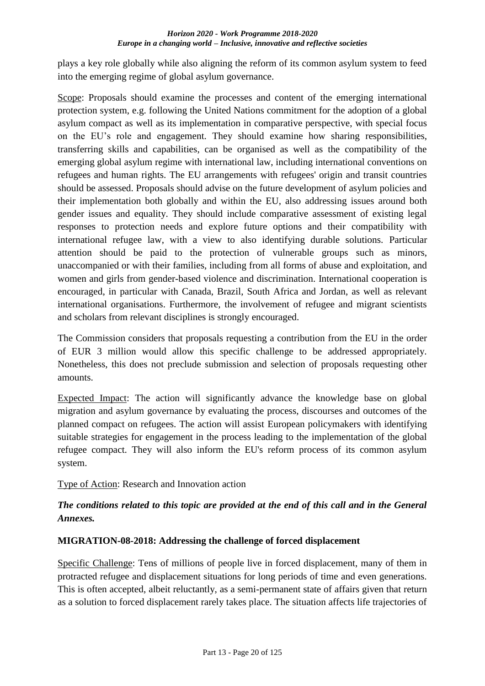plays a key role globally while also aligning the reform of its common asylum system to feed into the emerging regime of global asylum governance.

Scope: Proposals should examine the processes and content of the emerging international protection system, e.g. following the United Nations commitment for the adoption of a global asylum compact as well as its implementation in comparative perspective, with special focus on the EU's role and engagement. They should examine how sharing responsibilities, transferring skills and capabilities, can be organised as well as the compatibility of the emerging global asylum regime with international law, including international conventions on refugees and human rights. The EU arrangements with refugees' origin and transit countries should be assessed. Proposals should advise on the future development of asylum policies and their implementation both globally and within the EU, also addressing issues around both gender issues and equality. They should include comparative assessment of existing legal responses to protection needs and explore future options and their compatibility with international refugee law, with a view to also identifying durable solutions. Particular attention should be paid to the protection of vulnerable groups such as minors, unaccompanied or with their families, including from all forms of abuse and exploitation, and women and girls from gender-based violence and discrimination. International cooperation is encouraged, in particular with Canada, Brazil, South Africa and Jordan, as well as relevant international organisations. Furthermore, the involvement of refugee and migrant scientists and scholars from relevant disciplines is strongly encouraged.

The Commission considers that proposals requesting a contribution from the EU in the order of EUR 3 million would allow this specific challenge to be addressed appropriately. Nonetheless, this does not preclude submission and selection of proposals requesting other amounts.

Expected Impact: The action will significantly advance the knowledge base on global migration and asylum governance by evaluating the process, discourses and outcomes of the planned compact on refugees. The action will assist European policymakers with identifying suitable strategies for engagement in the process leading to the implementation of the global refugee compact. They will also inform the EU's reform process of its common asylum system.

Type of Action: Research and Innovation action

## *The conditions related to this topic are provided at the end of this call and in the General Annexes.*

## <span id="page-19-0"></span>**MIGRATION-08-2018: Addressing the challenge of forced displacement**

Specific Challenge: Tens of millions of people live in forced displacement, many of them in protracted refugee and displacement situations for long periods of time and even generations. This is often accepted, albeit reluctantly, as a semi-permanent state of affairs given that return as a solution to forced displacement rarely takes place. The situation affects life trajectories of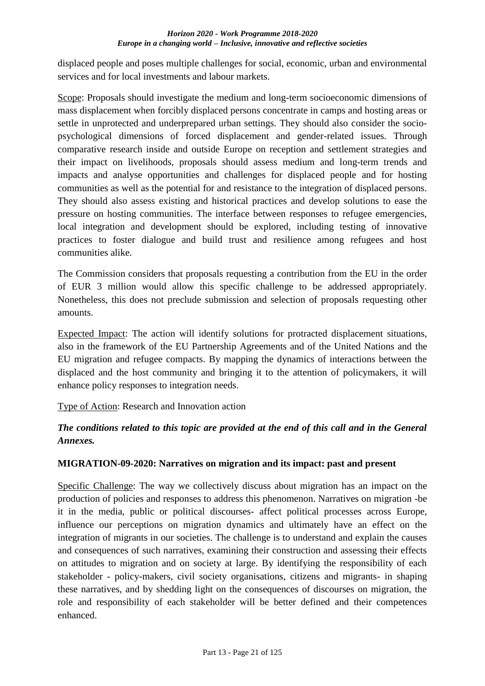displaced people and poses multiple challenges for social, economic, urban and environmental services and for local investments and labour markets.

Scope: Proposals should investigate the medium and long-term socioeconomic dimensions of mass displacement when forcibly displaced persons concentrate in camps and hosting areas or settle in unprotected and underprepared urban settings. They should also consider the sociopsychological dimensions of forced displacement and gender-related issues. Through comparative research inside and outside Europe on reception and settlement strategies and their impact on livelihoods, proposals should assess medium and long-term trends and impacts and analyse opportunities and challenges for displaced people and for hosting communities as well as the potential for and resistance to the integration of displaced persons. They should also assess existing and historical practices and develop solutions to ease the pressure on hosting communities. The interface between responses to refugee emergencies, local integration and development should be explored, including testing of innovative practices to foster dialogue and build trust and resilience among refugees and host communities alike.

The Commission considers that proposals requesting a contribution from the EU in the order of EUR 3 million would allow this specific challenge to be addressed appropriately. Nonetheless, this does not preclude submission and selection of proposals requesting other amounts.

Expected Impact: The action will identify solutions for protracted displacement situations, also in the framework of the EU Partnership Agreements and of the United Nations and the EU migration and refugee compacts. By mapping the dynamics of interactions between the displaced and the host community and bringing it to the attention of policymakers, it will enhance policy responses to integration needs.

Type of Action: Research and Innovation action

## *The conditions related to this topic are provided at the end of this call and in the General Annexes.*

## <span id="page-20-0"></span>**MIGRATION-09-2020: Narratives on migration and its impact: past and present**

Specific Challenge: The way we collectively discuss about migration has an impact on the production of policies and responses to address this phenomenon. Narratives on migration -be it in the media, public or political discourses- affect political processes across Europe, influence our perceptions on migration dynamics and ultimately have an effect on the integration of migrants in our societies. The challenge is to understand and explain the causes and consequences of such narratives, examining their construction and assessing their effects on attitudes to migration and on society at large. By identifying the responsibility of each stakeholder - policy-makers, civil society organisations, citizens and migrants- in shaping these narratives, and by shedding light on the consequences of discourses on migration, the role and responsibility of each stakeholder will be better defined and their competences enhanced.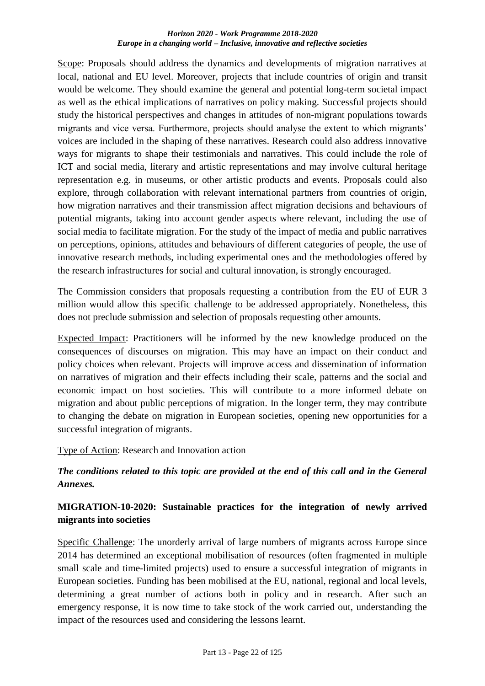Scope: Proposals should address the dynamics and developments of migration narratives at local, national and EU level. Moreover, projects that include countries of origin and transit would be welcome. They should examine the general and potential long-term societal impact as well as the ethical implications of narratives on policy making. Successful projects should study the historical perspectives and changes in attitudes of non-migrant populations towards migrants and vice versa. Furthermore, projects should analyse the extent to which migrants' voices are included in the shaping of these narratives. Research could also address innovative ways for migrants to shape their testimonials and narratives. This could include the role of ICT and social media, literary and artistic representations and may involve cultural heritage representation e.g. in museums, or other artistic products and events. Proposals could also explore, through collaboration with relevant international partners from countries of origin, how migration narratives and their transmission affect migration decisions and behaviours of potential migrants, taking into account gender aspects where relevant, including the use of social media to facilitate migration. For the study of the impact of media and public narratives on perceptions, opinions, attitudes and behaviours of different categories of people, the use of innovative research methods, including experimental ones and the methodologies offered by the research infrastructures for social and cultural innovation, is strongly encouraged.

The Commission considers that proposals requesting a contribution from the EU of EUR 3 million would allow this specific challenge to be addressed appropriately. Nonetheless, this does not preclude submission and selection of proposals requesting other amounts.

Expected Impact: Practitioners will be informed by the new knowledge produced on the consequences of discourses on migration. This may have an impact on their conduct and policy choices when relevant. Projects will improve access and dissemination of information on narratives of migration and their effects including their scale, patterns and the social and economic impact on host societies. This will contribute to a more informed debate on migration and about public perceptions of migration. In the longer term, they may contribute to changing the debate on migration in European societies, opening new opportunities for a successful integration of migrants.

#### Type of Action: Research and Innovation action

## *The conditions related to this topic are provided at the end of this call and in the General Annexes.*

## <span id="page-21-0"></span>**MIGRATION-10-2020: Sustainable practices for the integration of newly arrived migrants into societies**

Specific Challenge: The unorderly arrival of large numbers of migrants across Europe since 2014 has determined an exceptional mobilisation of resources (often fragmented in multiple small scale and time-limited projects) used to ensure a successful integration of migrants in European societies. Funding has been mobilised at the EU, national, regional and local levels, determining a great number of actions both in policy and in research. After such an emergency response, it is now time to take stock of the work carried out, understanding the impact of the resources used and considering the lessons learnt.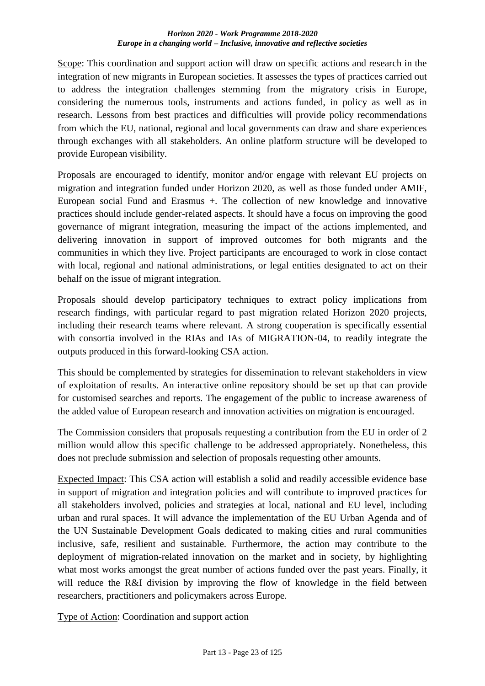Scope: This coordination and support action will draw on specific actions and research in the integration of new migrants in European societies. It assesses the types of practices carried out to address the integration challenges stemming from the migratory crisis in Europe, considering the numerous tools, instruments and actions funded, in policy as well as in research. Lessons from best practices and difficulties will provide policy recommendations from which the EU, national, regional and local governments can draw and share experiences through exchanges with all stakeholders. An online platform structure will be developed to provide European visibility.

Proposals are encouraged to identify, monitor and/or engage with relevant EU projects on migration and integration funded under Horizon 2020, as well as those funded under AMIF, European social Fund and Erasmus +. The collection of new knowledge and innovative practices should include gender-related aspects. It should have a focus on improving the good governance of migrant integration, measuring the impact of the actions implemented, and delivering innovation in support of improved outcomes for both migrants and the communities in which they live. Project participants are encouraged to work in close contact with local, regional and national administrations, or legal entities designated to act on their behalf on the issue of migrant integration.

Proposals should develop participatory techniques to extract policy implications from research findings, with particular regard to past migration related Horizon 2020 projects, including their research teams where relevant. A strong cooperation is specifically essential with consortia involved in the RIAs and IAs of MIGRATION-04, to readily integrate the outputs produced in this forward-looking CSA action.

This should be complemented by strategies for dissemination to relevant stakeholders in view of exploitation of results. An interactive online repository should be set up that can provide for customised searches and reports. The engagement of the public to increase awareness of the added value of European research and innovation activities on migration is encouraged.

The Commission considers that proposals requesting a contribution from the EU in order of 2 million would allow this specific challenge to be addressed appropriately. Nonetheless, this does not preclude submission and selection of proposals requesting other amounts.

Expected Impact: This CSA action will establish a solid and readily accessible evidence base in support of migration and integration policies and will contribute to improved practices for all stakeholders involved, policies and strategies at local, national and EU level, including urban and rural spaces. It will advance the implementation of the EU Urban Agenda and of the UN Sustainable Development Goals dedicated to making cities and rural communities inclusive, safe, resilient and sustainable. Furthermore, the action may contribute to the deployment of migration-related innovation on the market and in society, by highlighting what most works amongst the great number of actions funded over the past years. Finally, it will reduce the R&I division by improving the flow of knowledge in the field between researchers, practitioners and policymakers across Europe.

Type of Action: Coordination and support action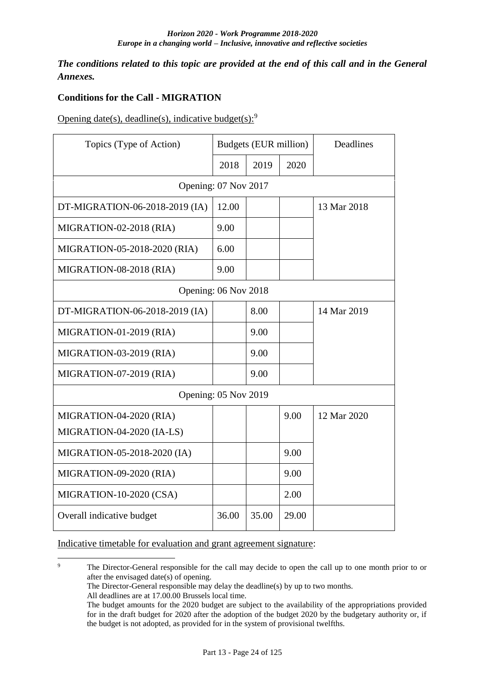*The conditions related to this topic are provided at the end of this call and in the General Annexes.*

## <span id="page-23-0"></span>**Conditions for the Call - MIGRATION**

Opening date(s), deadline(s), indicative budget(s): $9$ 

| Topics (Type of Action)        | Budgets (EUR million) |       |       | Deadlines   |
|--------------------------------|-----------------------|-------|-------|-------------|
|                                | 2018                  | 2019  | 2020  |             |
| Opening: 07 Nov 2017           |                       |       |       |             |
| DT-MIGRATION-06-2018-2019 (IA) | 12.00                 |       |       | 13 Mar 2018 |
| MIGRATION-02-2018 (RIA)        | 9.00                  |       |       |             |
| MIGRATION-05-2018-2020 (RIA)   | 6.00                  |       |       |             |
| MIGRATION-08-2018 (RIA)        | 9.00                  |       |       |             |
| Opening: 06 Nov 2018           |                       |       |       |             |
| DT-MIGRATION-06-2018-2019 (IA) |                       | 8.00  |       | 14 Mar 2019 |
| MIGRATION-01-2019 (RIA)        |                       | 9.00  |       |             |
| MIGRATION-03-2019 (RIA)        |                       | 9.00  |       |             |
| MIGRATION-07-2019 (RIA)        |                       | 9.00  |       |             |
| Opening: 05 Nov 2019           |                       |       |       |             |
| MIGRATION-04-2020 (RIA)        |                       |       | 9.00  | 12 Mar 2020 |
| MIGRATION-04-2020 (IA-LS)      |                       |       |       |             |
| MIGRATION-05-2018-2020 (IA)    |                       |       | 9.00  |             |
| MIGRATION-09-2020 (RIA)        |                       |       | 9.00  |             |
| MIGRATION-10-2020 (CSA)        |                       |       | 2.00  |             |
| Overall indicative budget      | 36.00                 | 35.00 | 29.00 |             |

Indicative timetable for evaluation and grant agreement signature:

 $\overline{Q}$ <sup>9</sup> The Director-General responsible for the call may decide to open the call up to one month prior to or after the envisaged date(s) of opening.

The Director-General responsible may delay the deadline(s) by up to two months.

All deadlines are at 17.00.00 Brussels local time.

The budget amounts for the 2020 budget are subject to the availability of the appropriations provided for in the draft budget for 2020 after the adoption of the budget 2020 by the budgetary authority or, if the budget is not adopted, as provided for in the system of provisional twelfths.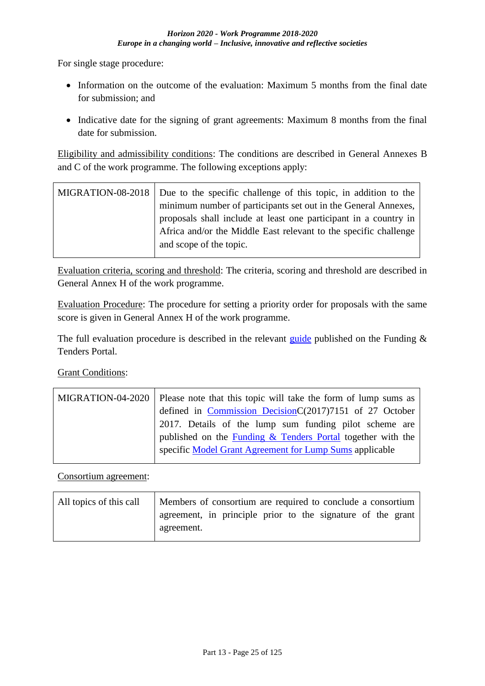For single stage procedure:

- Information on the outcome of the evaluation: Maximum 5 months from the final date for submission; and
- Indicative date for the signing of grant agreements: Maximum 8 months from the final date for submission.

Eligibility and admissibility conditions: The conditions are described in General Annexes B and C of the work programme. The following exceptions apply:

MIGRATION-08-2018 Due to the specific challenge of this topic, in addition to the minimum number of participants set out in the General Annexes, proposals shall include at least one participant in a country in Africa and/or the Middle East relevant to the specific challenge and scope of the topic.

Evaluation criteria, scoring and threshold: The criteria, scoring and threshold are described in General Annex H of the work programme.

Evaluation Procedure: The procedure for setting a priority order for proposals with the same score is given in General Annex H of the work programme.

The full evaluation procedure is described in the relevant [guide](http://ec.europa.eu/research/participants/docs/h2020-funding-guide/grants/applying-for-funding/submit-proposals_en.htm) published on the Funding  $\&$ Tenders Portal.

## Grant Conditions:

| MIGRATION-04-2020   Please note that this topic will take the form of lump sums as |
|------------------------------------------------------------------------------------|
| defined in Commission DecisionC $(2017)7151$ of 27 October                         |
| 2017. Details of the lump sum funding pilot scheme are                             |
| published on the <b>Funding &amp; Tenders Portal</b> together with the             |
| specific Model Grant Agreement for Lump Sums applicable                            |

Consortium agreement:

| All topics of this call | Members of consortium are required to conclude a consortium |
|-------------------------|-------------------------------------------------------------|
|                         | agreement, in principle prior to the signature of the grant |
|                         | agreement.                                                  |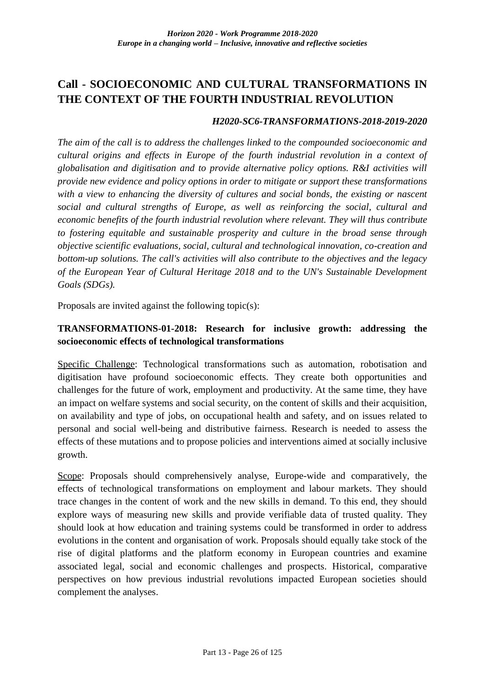## <span id="page-25-0"></span>**Call - SOCIOECONOMIC AND CULTURAL TRANSFORMATIONS IN THE CONTEXT OF THE FOURTH INDUSTRIAL REVOLUTION**

#### *H2020-SC6-TRANSFORMATIONS-2018-2019-2020*

*The aim of the call is to address the challenges linked to the compounded socioeconomic and cultural origins and effects in Europe of the fourth industrial revolution in a context of globalisation and digitisation and to provide alternative policy options. R&I activities will provide new evidence and policy options in order to mitigate or support these transformations with a view to enhancing the diversity of cultures and social bonds, the existing or nascent social and cultural strengths of Europe, as well as reinforcing the social, cultural and economic benefits of the fourth industrial revolution where relevant. They will thus contribute to fostering equitable and sustainable prosperity and culture in the broad sense through objective scientific evaluations, social, cultural and technological innovation, co-creation and bottom-up solutions. The call's activities will also contribute to the objectives and the legacy of the European Year of Cultural Heritage 2018 and to the UN's Sustainable Development Goals (SDGs).*

Proposals are invited against the following topic(s):

## <span id="page-25-1"></span>**TRANSFORMATIONS-01-2018: Research for inclusive growth: addressing the socioeconomic effects of technological transformations**

Specific Challenge: Technological transformations such as automation, robotisation and digitisation have profound socioeconomic effects. They create both opportunities and challenges for the future of work, employment and productivity. At the same time, they have an impact on welfare systems and social security, on the content of skills and their acquisition, on availability and type of jobs, on occupational health and safety, and on issues related to personal and social well-being and distributive fairness. Research is needed to assess the effects of these mutations and to propose policies and interventions aimed at socially inclusive growth.

Scope: Proposals should comprehensively analyse, Europe-wide and comparatively, the effects of technological transformations on employment and labour markets. They should trace changes in the content of work and the new skills in demand. To this end, they should explore ways of measuring new skills and provide verifiable data of trusted quality. They should look at how education and training systems could be transformed in order to address evolutions in the content and organisation of work. Proposals should equally take stock of the rise of digital platforms and the platform economy in European countries and examine associated legal, social and economic challenges and prospects. Historical, comparative perspectives on how previous industrial revolutions impacted European societies should complement the analyses.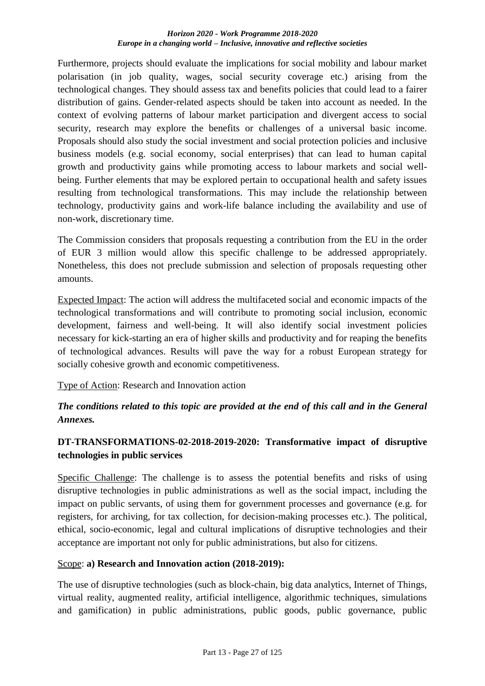Furthermore, projects should evaluate the implications for social mobility and labour market polarisation (in job quality, wages, social security coverage etc.) arising from the technological changes. They should assess tax and benefits policies that could lead to a fairer distribution of gains. Gender-related aspects should be taken into account as needed. In the context of evolving patterns of labour market participation and divergent access to social security, research may explore the benefits or challenges of a universal basic income. Proposals should also study the social investment and social protection policies and inclusive business models (e.g. social economy, social enterprises) that can lead to human capital growth and productivity gains while promoting access to labour markets and social wellbeing. Further elements that may be explored pertain to occupational health and safety issues resulting from technological transformations. This may include the relationship between technology, productivity gains and work-life balance including the availability and use of non-work, discretionary time.

The Commission considers that proposals requesting a contribution from the EU in the order of EUR 3 million would allow this specific challenge to be addressed appropriately. Nonetheless, this does not preclude submission and selection of proposals requesting other amounts.

Expected Impact: The action will address the multifaceted social and economic impacts of the technological transformations and will contribute to promoting social inclusion, economic development, fairness and well-being. It will also identify social investment policies necessary for kick-starting an era of higher skills and productivity and for reaping the benefits of technological advances. Results will pave the way for a robust European strategy for socially cohesive growth and economic competitiveness.

Type of Action: Research and Innovation action

## *The conditions related to this topic are provided at the end of this call and in the General Annexes.*

## <span id="page-26-0"></span>**DT-TRANSFORMATIONS-02-2018-2019-2020: Transformative impact of disruptive technologies in public services**

Specific Challenge: The challenge is to assess the potential benefits and risks of using disruptive technologies in public administrations as well as the social impact, including the impact on public servants, of using them for government processes and governance (e.g. for registers, for archiving, for tax collection, for decision-making processes etc.). The political, ethical, socio-economic, legal and cultural implications of disruptive technologies and their acceptance are important not only for public administrations, but also for citizens.

## Scope: **a) Research and Innovation action (2018-2019):**

The use of disruptive technologies (such as block-chain, big data analytics, Internet of Things, virtual reality, augmented reality, artificial intelligence, algorithmic techniques, simulations and gamification) in public administrations, public goods, public governance, public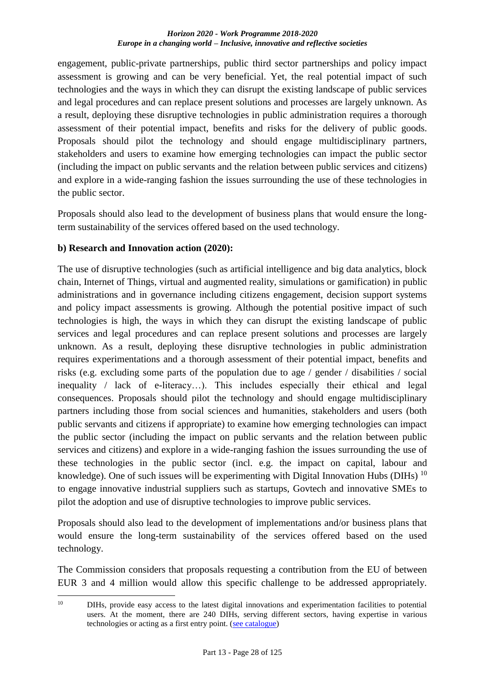engagement, public-private partnerships, public third sector partnerships and policy impact assessment is growing and can be very beneficial. Yet, the real potential impact of such technologies and the ways in which they can disrupt the existing landscape of public services and legal procedures and can replace present solutions and processes are largely unknown. As a result, deploying these disruptive technologies in public administration requires a thorough assessment of their potential impact, benefits and risks for the delivery of public goods. Proposals should pilot the technology and should engage multidisciplinary partners, stakeholders and users to examine how emerging technologies can impact the public sector (including the impact on public servants and the relation between public services and citizens) and explore in a wide-ranging fashion the issues surrounding the use of these technologies in the public sector.

Proposals should also lead to the development of business plans that would ensure the longterm sustainability of the services offered based on the used technology.

## **b) Research and Innovation action (2020):**

The use of disruptive technologies (such as artificial intelligence and big data analytics, block chain, Internet of Things, virtual and augmented reality, simulations or gamification) in public administrations and in governance including citizens engagement, decision support systems and policy impact assessments is growing. Although the potential positive impact of such technologies is high, the ways in which they can disrupt the existing landscape of public services and legal procedures and can replace present solutions and processes are largely unknown. As a result, deploying these disruptive technologies in public administration requires experimentations and a thorough assessment of their potential impact, benefits and risks (e.g. excluding some parts of the population due to age / gender / disabilities / social inequality / lack of e-literacy…). This includes especially their ethical and legal consequences. Proposals should pilot the technology and should engage multidisciplinary partners including those from social sciences and humanities, stakeholders and users (both public servants and citizens if appropriate) to examine how emerging technologies can impact the public sector (including the impact on public servants and the relation between public services and citizens) and explore in a wide-ranging fashion the issues surrounding the use of these technologies in the public sector (incl. e.g. the impact on capital, labour and knowledge). One of such issues will be experimenting with Digital Innovation Hubs (DIHs)  $^{10}$ to engage innovative industrial suppliers such as startups, Govtech and innovative SMEs to pilot the adoption and use of disruptive technologies to improve public services.

Proposals should also lead to the development of implementations and/or business plans that would ensure the long-term sustainability of the services offered based on the used technology.

The Commission considers that proposals requesting a contribution from the EU of between EUR 3 and 4 million would allow this specific challenge to be addressed appropriately.

 $10<sup>10</sup>$ <sup>10</sup> DIHs, provide easy access to the latest digital innovations and experimentation facilities to potential users. At the moment, there are 240 DIHs, serving different sectors, having expertise in various technologies or acting as a first entry point. [\(see catalogue\)](http://s3platform.jrc.ec.europa.eu/digital-innovation-hubs-tool)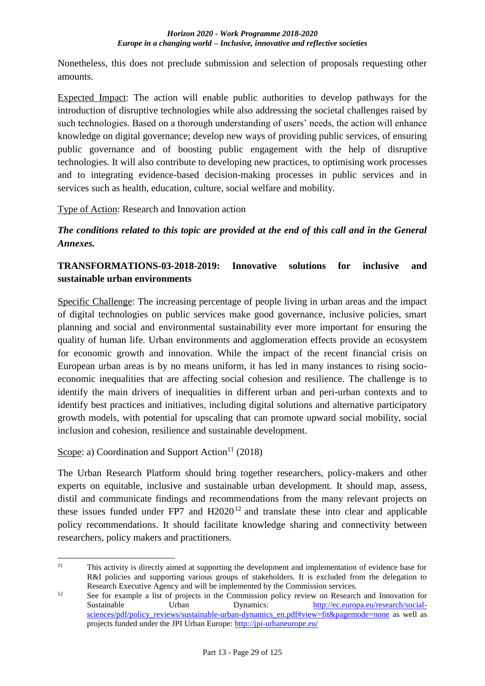Nonetheless, this does not preclude submission and selection of proposals requesting other amounts.

Expected Impact: The action will enable public authorities to develop pathways for the introduction of disruptive technologies while also addressing the societal challenges raised by such technologies. Based on a thorough understanding of users' needs, the action will enhance knowledge on digital governance; develop new ways of providing public services, of ensuring public governance and of boosting public engagement with the help of disruptive technologies. It will also contribute to developing new practices, to optimising work processes and to integrating evidence-based decision-making processes in public services and in services such as health, education, culture, social welfare and mobility.

Type of Action: Research and Innovation action

*The conditions related to this topic are provided at the end of this call and in the General Annexes.*

## <span id="page-28-0"></span>**TRANSFORMATIONS-03-2018-2019: Innovative solutions for inclusive and sustainable urban environments**

Specific Challenge: The increasing percentage of people living in urban areas and the impact of digital technologies on public services make good governance, inclusive policies, smart planning and social and environmental sustainability ever more important for ensuring the quality of human life. Urban environments and agglomeration effects provide an ecosystem for economic growth and innovation. While the impact of the recent financial crisis on European urban areas is by no means uniform, it has led in many instances to rising socioeconomic inequalities that are affecting social cohesion and resilience. The challenge is to identify the main drivers of inequalities in different urban and peri-urban contexts and to identify best practices and initiatives, including digital solutions and alternative participatory growth models, with potential for upscaling that can promote upward social mobility, social inclusion and cohesion, resilience and sustainable development.

Scope: a) Coordination and Support Action<sup>11</sup> (2018)

The Urban Research Platform should bring together researchers, policy-makers and other experts on equitable, inclusive and sustainable urban development. It should map, assess, distil and communicate findings and recommendations from the many relevant projects on these issues funded under FP7 and  $H2020^{12}$  and translate these into clear and applicable policy recommendations. It should facilitate knowledge sharing and connectivity between researchers, policy makers and practitioners.

 $11$ <sup>11</sup> This activity is directly aimed at supporting the development and implementation of evidence base for R&I policies and supporting various groups of stakeholders. It is excluded from the delegation to Research Executive Agency and will be implemented by the Commission services.

<sup>&</sup>lt;sup>12</sup> See for example a list of projects in the Commission policy review on Research and Innovation for Sustainable Urban Dynamics: [http://ec.europa.eu/research/social](http://ec.europa.eu/research/social-sciences/pdf/policy_reviews/sustainable-urban-dynamics_en.pdf#view=fit&pagemode=none)[sciences/pdf/policy\\_reviews/sustainable-urban-dynamics\\_en.pdf#view=fit&pagemode=none](http://ec.europa.eu/research/social-sciences/pdf/policy_reviews/sustainable-urban-dynamics_en.pdf#view=fit&pagemode=none) as well as projects funded under the JPI Urban Europe:<http://jpi-urbaneurope.eu/>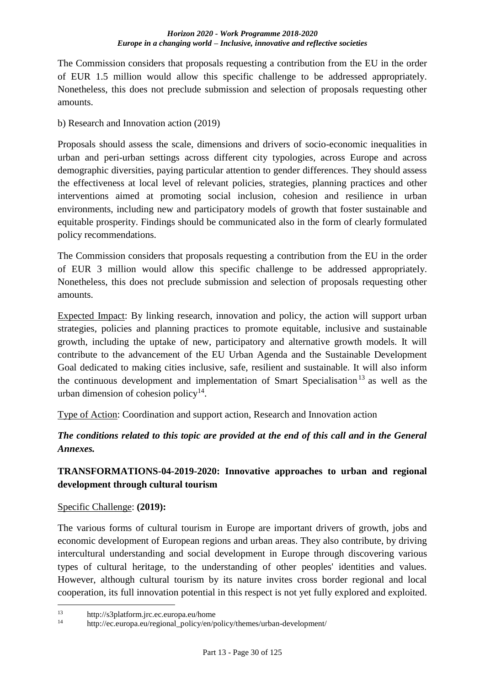The Commission considers that proposals requesting a contribution from the EU in the order of EUR 1.5 million would allow this specific challenge to be addressed appropriately. Nonetheless, this does not preclude submission and selection of proposals requesting other amounts.

b) Research and Innovation action (2019)

Proposals should assess the scale, dimensions and drivers of socio-economic inequalities in urban and peri-urban settings across different city typologies, across Europe and across demographic diversities, paying particular attention to gender differences. They should assess the effectiveness at local level of relevant policies, strategies, planning practices and other interventions aimed at promoting social inclusion, cohesion and resilience in urban environments, including new and participatory models of growth that foster sustainable and equitable prosperity. Findings should be communicated also in the form of clearly formulated policy recommendations.

The Commission considers that proposals requesting a contribution from the EU in the order of EUR 3 million would allow this specific challenge to be addressed appropriately. Nonetheless, this does not preclude submission and selection of proposals requesting other amounts.

Expected Impact: By linking research, innovation and policy, the action will support urban strategies, policies and planning practices to promote equitable, inclusive and sustainable growth, including the uptake of new, participatory and alternative growth models. It will contribute to the advancement of the EU Urban Agenda and the Sustainable Development Goal dedicated to making cities inclusive, safe, resilient and sustainable. It will also inform the continuous development and implementation of Smart Specialisation<sup>13</sup> as well as the urban dimension of cohesion policy $14$ .

Type of Action: Coordination and support action, Research and Innovation action

*The conditions related to this topic are provided at the end of this call and in the General Annexes.*

## <span id="page-29-0"></span>**TRANSFORMATIONS-04-2019-2020: Innovative approaches to urban and regional development through cultural tourism**

## Specific Challenge: **(2019):**

1

The various forms of cultural tourism in Europe are important drivers of growth, jobs and economic development of European regions and urban areas. They also contribute, by driving intercultural understanding and social development in Europe through discovering various types of cultural heritage, to the understanding of other peoples' identities and values. However, although cultural tourism by its nature invites cross border regional and local cooperation, its full innovation potential in this respect is not yet fully explored and exploited.

<sup>&</sup>lt;sup>13</sup> http://s3platform.jrc.ec.europa.eu/home<br><sup>14</sup> http://sa.europa.eu/pasiepel.paliau/or/p

<sup>14</sup> http://ec.europa.eu/regional\_policy/en/policy/themes/urban-development/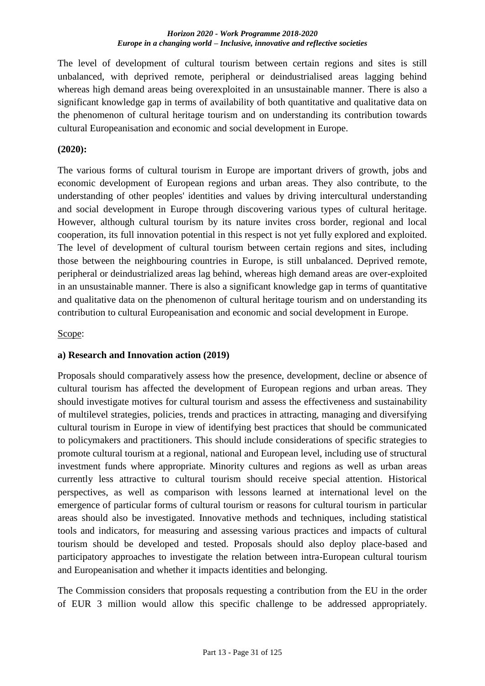The level of development of cultural tourism between certain regions and sites is still unbalanced, with deprived remote, peripheral or deindustrialised areas lagging behind whereas high demand areas being overexploited in an unsustainable manner. There is also a significant knowledge gap in terms of availability of both quantitative and qualitative data on the phenomenon of cultural heritage tourism and on understanding its contribution towards cultural Europeanisation and economic and social development in Europe.

## **(2020):**

The various forms of cultural tourism in Europe are important drivers of growth, jobs and economic development of European regions and urban areas. They also contribute, to the understanding of other peoples' identities and values by driving intercultural understanding and social development in Europe through discovering various types of cultural heritage. However, although cultural tourism by its nature invites cross border, regional and local cooperation, its full innovation potential in this respect is not yet fully explored and exploited. The level of development of cultural tourism between certain regions and sites, including those between the neighbouring countries in Europe, is still unbalanced. Deprived remote, peripheral or deindustrialized areas lag behind, whereas high demand areas are over-exploited in an unsustainable manner. There is also a significant knowledge gap in terms of quantitative and qualitative data on the phenomenon of cultural heritage tourism and on understanding its contribution to cultural Europeanisation and economic and social development in Europe.

#### Scope:

## **a) Research and Innovation action (2019)**

Proposals should comparatively assess how the presence, development, decline or absence of cultural tourism has affected the development of European regions and urban areas. They should investigate motives for cultural tourism and assess the effectiveness and sustainability of multilevel strategies, policies, trends and practices in attracting, managing and diversifying cultural tourism in Europe in view of identifying best practices that should be communicated to policymakers and practitioners. This should include considerations of specific strategies to promote cultural tourism at a regional, national and European level, including use of structural investment funds where appropriate. Minority cultures and regions as well as urban areas currently less attractive to cultural tourism should receive special attention. Historical perspectives, as well as comparison with lessons learned at international level on the emergence of particular forms of cultural tourism or reasons for cultural tourism in particular areas should also be investigated. Innovative methods and techniques, including statistical tools and indicators, for measuring and assessing various practices and impacts of cultural tourism should be developed and tested. Proposals should also deploy place-based and participatory approaches to investigate the relation between intra-European cultural tourism and Europeanisation and whether it impacts identities and belonging.

The Commission considers that proposals requesting a contribution from the EU in the order of EUR 3 million would allow this specific challenge to be addressed appropriately.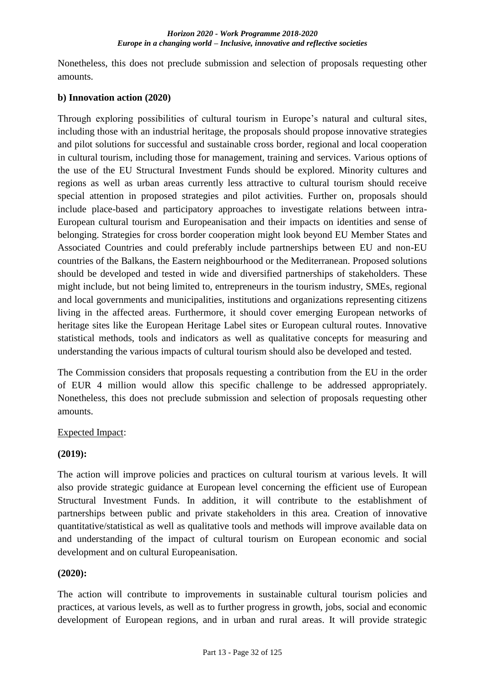Nonetheless, this does not preclude submission and selection of proposals requesting other amounts.

## **b) Innovation action (2020)**

Through exploring possibilities of cultural tourism in Europe's natural and cultural sites, including those with an industrial heritage, the proposals should propose innovative strategies and pilot solutions for successful and sustainable cross border, regional and local cooperation in cultural tourism, including those for management, training and services. Various options of the use of the EU Structural Investment Funds should be explored. Minority cultures and regions as well as urban areas currently less attractive to cultural tourism should receive special attention in proposed strategies and pilot activities. Further on, proposals should include place-based and participatory approaches to investigate relations between intra-European cultural tourism and Europeanisation and their impacts on identities and sense of belonging. Strategies for cross border cooperation might look beyond EU Member States and Associated Countries and could preferably include partnerships between EU and non-EU countries of the Balkans, the Eastern neighbourhood or the Mediterranean. Proposed solutions should be developed and tested in wide and diversified partnerships of stakeholders. These might include, but not being limited to, entrepreneurs in the tourism industry, SMEs, regional and local governments and municipalities, institutions and organizations representing citizens living in the affected areas. Furthermore, it should cover emerging European networks of heritage sites like the European Heritage Label sites or European cultural routes. Innovative statistical methods, tools and indicators as well as qualitative concepts for measuring and understanding the various impacts of cultural tourism should also be developed and tested.

The Commission considers that proposals requesting a contribution from the EU in the order of EUR 4 million would allow this specific challenge to be addressed appropriately. Nonetheless, this does not preclude submission and selection of proposals requesting other amounts.

## Expected Impact:

## **(2019):**

The action will improve policies and practices on cultural tourism at various levels. It will also provide strategic guidance at European level concerning the efficient use of European Structural Investment Funds. In addition, it will contribute to the establishment of partnerships between public and private stakeholders in this area. Creation of innovative quantitative/statistical as well as qualitative tools and methods will improve available data on and understanding of the impact of cultural tourism on European economic and social development and on cultural Europeanisation.

## **(2020):**

The action will contribute to improvements in sustainable cultural tourism policies and practices, at various levels, as well as to further progress in growth, jobs, social and economic development of European regions, and in urban and rural areas. It will provide strategic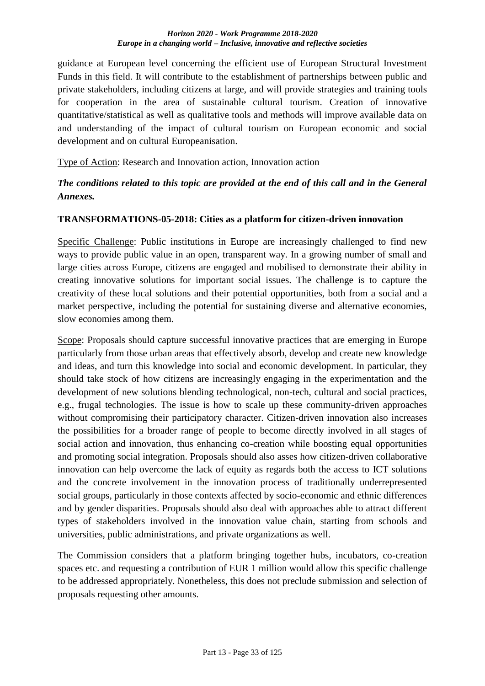guidance at European level concerning the efficient use of European Structural Investment Funds in this field. It will contribute to the establishment of partnerships between public and private stakeholders, including citizens at large, and will provide strategies and training tools for cooperation in the area of sustainable cultural tourism. Creation of innovative quantitative/statistical as well as qualitative tools and methods will improve available data on and understanding of the impact of cultural tourism on European economic and social development and on cultural Europeanisation.

Type of Action: Research and Innovation action, Innovation action

## *The conditions related to this topic are provided at the end of this call and in the General Annexes.*

## <span id="page-32-0"></span>**TRANSFORMATIONS-05-2018: Cities as a platform for citizen-driven innovation**

Specific Challenge: Public institutions in Europe are increasingly challenged to find new ways to provide public value in an open, transparent way. In a growing number of small and large cities across Europe, citizens are engaged and mobilised to demonstrate their ability in creating innovative solutions for important social issues. The challenge is to capture the creativity of these local solutions and their potential opportunities, both from a social and a market perspective, including the potential for sustaining diverse and alternative economies, slow economies among them.

Scope: Proposals should capture successful innovative practices that are emerging in Europe particularly from those urban areas that effectively absorb, develop and create new knowledge and ideas, and turn this knowledge into social and economic development. In particular, they should take stock of how citizens are increasingly engaging in the experimentation and the development of new solutions blending technological, non-tech, cultural and social practices, e.g., frugal technologies. The issue is how to scale up these community-driven approaches without compromising their participatory character. Citizen-driven innovation also increases the possibilities for a broader range of people to become directly involved in all stages of social action and innovation, thus enhancing co-creation while boosting equal opportunities and promoting social integration. Proposals should also asses how citizen-driven collaborative innovation can help overcome the lack of equity as regards both the access to ICT solutions and the concrete involvement in the innovation process of traditionally underrepresented social groups, particularly in those contexts affected by socio-economic and ethnic differences and by gender disparities. Proposals should also deal with approaches able to attract different types of stakeholders involved in the innovation value chain, starting from schools and universities, public administrations, and private organizations as well.

The Commission considers that a platform bringing together hubs, incubators, co-creation spaces etc. and requesting a contribution of EUR 1 million would allow this specific challenge to be addressed appropriately. Nonetheless, this does not preclude submission and selection of proposals requesting other amounts.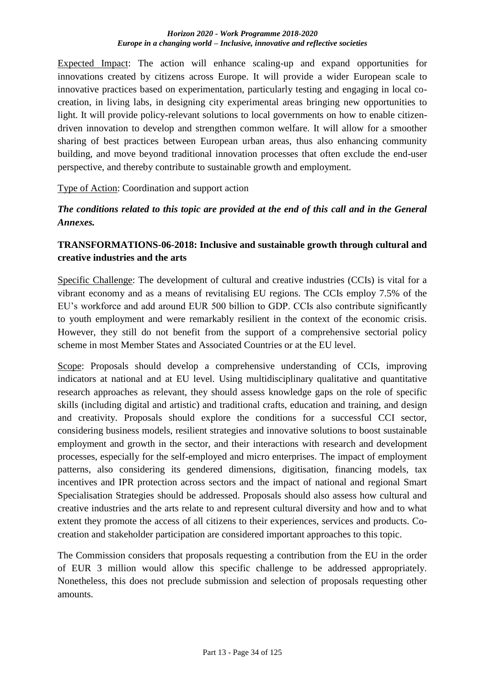Expected Impact: The action will enhance scaling-up and expand opportunities for innovations created by citizens across Europe. It will provide a wider European scale to innovative practices based on experimentation, particularly testing and engaging in local cocreation, in living labs, in designing city experimental areas bringing new opportunities to light. It will provide policy-relevant solutions to local governments on how to enable citizendriven innovation to develop and strengthen common welfare. It will allow for a smoother sharing of best practices between European urban areas, thus also enhancing community building, and move beyond traditional innovation processes that often exclude the end-user perspective, and thereby contribute to sustainable growth and employment.

Type of Action: Coordination and support action

*The conditions related to this topic are provided at the end of this call and in the General Annexes.*

## <span id="page-33-0"></span>**TRANSFORMATIONS-06-2018: Inclusive and sustainable growth through cultural and creative industries and the arts**

Specific Challenge: The development of cultural and creative industries (CCIs) is vital for a vibrant economy and as a means of revitalising EU regions. The CCIs employ 7.5% of the EU's workforce and add around EUR 500 billion to GDP. CCIs also contribute significantly to youth employment and were remarkably resilient in the context of the economic crisis. However, they still do not benefit from the support of a comprehensive sectorial policy scheme in most Member States and Associated Countries or at the EU level.

Scope: Proposals should develop a comprehensive understanding of CCIs, improving indicators at national and at EU level. Using multidisciplinary qualitative and quantitative research approaches as relevant, they should assess knowledge gaps on the role of specific skills (including digital and artistic) and traditional crafts, education and training, and design and creativity. Proposals should explore the conditions for a successful CCI sector, considering business models, resilient strategies and innovative solutions to boost sustainable employment and growth in the sector, and their interactions with research and development processes, especially for the self-employed and micro enterprises. The impact of employment patterns, also considering its gendered dimensions, digitisation, financing models, tax incentives and IPR protection across sectors and the impact of national and regional Smart Specialisation Strategies should be addressed. Proposals should also assess how cultural and creative industries and the arts relate to and represent cultural diversity and how and to what extent they promote the access of all citizens to their experiences, services and products. Cocreation and stakeholder participation are considered important approaches to this topic.

The Commission considers that proposals requesting a contribution from the EU in the order of EUR 3 million would allow this specific challenge to be addressed appropriately. Nonetheless, this does not preclude submission and selection of proposals requesting other amounts.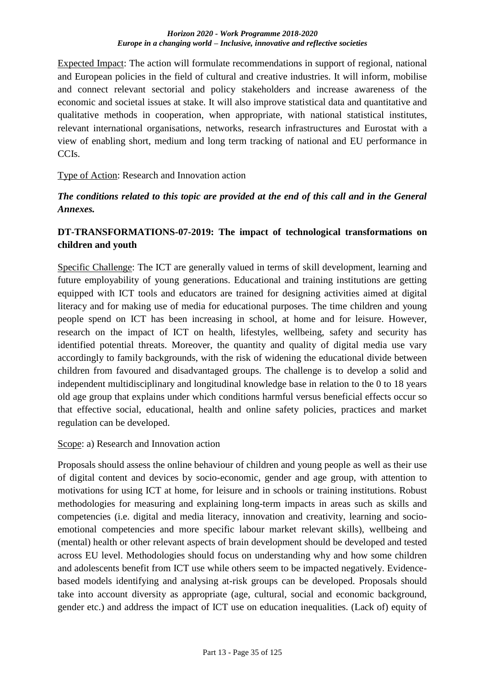Expected Impact: The action will formulate recommendations in support of regional, national and European policies in the field of cultural and creative industries. It will inform, mobilise and connect relevant sectorial and policy stakeholders and increase awareness of the economic and societal issues at stake. It will also improve statistical data and quantitative and qualitative methods in cooperation, when appropriate, with national statistical institutes, relevant international organisations, networks, research infrastructures and Eurostat with a view of enabling short, medium and long term tracking of national and EU performance in CCIs.

## Type of Action: Research and Innovation action

## *The conditions related to this topic are provided at the end of this call and in the General Annexes.*

## <span id="page-34-0"></span>**DT-TRANSFORMATIONS-07-2019: The impact of technological transformations on children and youth**

Specific Challenge: The ICT are generally valued in terms of skill development, learning and future employability of young generations. Educational and training institutions are getting equipped with ICT tools and educators are trained for designing activities aimed at digital literacy and for making use of media for educational purposes. The time children and young people spend on ICT has been increasing in school, at home and for leisure. However, research on the impact of ICT on health, lifestyles, wellbeing, safety and security has identified potential threats. Moreover, the quantity and quality of digital media use vary accordingly to family backgrounds, with the risk of widening the educational divide between children from favoured and disadvantaged groups. The challenge is to develop a solid and independent multidisciplinary and longitudinal knowledge base in relation to the 0 to 18 years old age group that explains under which conditions harmful versus beneficial effects occur so that effective social, educational, health and online safety policies, practices and market regulation can be developed.

#### Scope: a) Research and Innovation action

Proposals should assess the online behaviour of children and young people as well as their use of digital content and devices by socio-economic, gender and age group, with attention to motivations for using ICT at home, for leisure and in schools or training institutions. Robust methodologies for measuring and explaining long-term impacts in areas such as skills and competencies (i.e. digital and media literacy, innovation and creativity, learning and socioemotional competencies and more specific labour market relevant skills), wellbeing and (mental) health or other relevant aspects of brain development should be developed and tested across EU level. Methodologies should focus on understanding why and how some children and adolescents benefit from ICT use while others seem to be impacted negatively. Evidencebased models identifying and analysing at-risk groups can be developed. Proposals should take into account diversity as appropriate (age, cultural, social and economic background, gender etc.) and address the impact of ICT use on education inequalities. (Lack of) equity of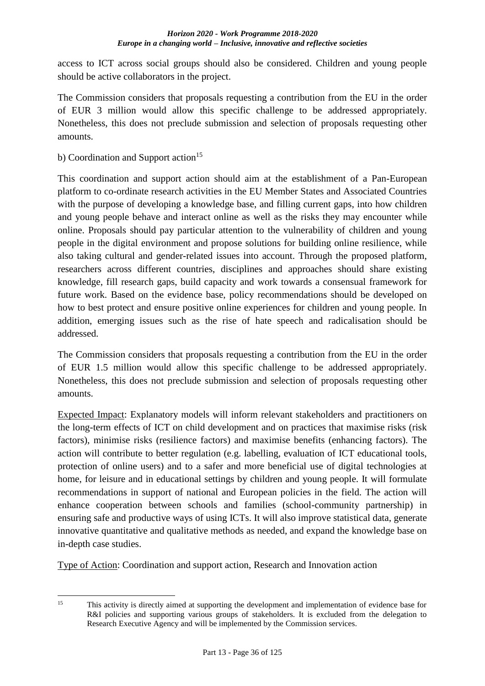access to ICT across social groups should also be considered. Children and young people should be active collaborators in the project.

The Commission considers that proposals requesting a contribution from the EU in the order of EUR 3 million would allow this specific challenge to be addressed appropriately. Nonetheless, this does not preclude submission and selection of proposals requesting other amounts.

b) Coordination and Support  $\arctan^{15}$ 

This coordination and support action should aim at the establishment of a Pan-European platform to co-ordinate research activities in the EU Member States and Associated Countries with the purpose of developing a knowledge base, and filling current gaps, into how children and young people behave and interact online as well as the risks they may encounter while online. Proposals should pay particular attention to the vulnerability of children and young people in the digital environment and propose solutions for building online resilience, while also taking cultural and gender-related issues into account. Through the proposed platform, researchers across different countries, disciplines and approaches should share existing knowledge, fill research gaps, build capacity and work towards a consensual framework for future work. Based on the evidence base, policy recommendations should be developed on how to best protect and ensure positive online experiences for children and young people. In addition, emerging issues such as the rise of hate speech and radicalisation should be addressed.

The Commission considers that proposals requesting a contribution from the EU in the order of EUR 1.5 million would allow this specific challenge to be addressed appropriately. Nonetheless, this does not preclude submission and selection of proposals requesting other amounts.

Expected Impact: Explanatory models will inform relevant stakeholders and practitioners on the long-term effects of ICT on child development and on practices that maximise risks (risk factors), minimise risks (resilience factors) and maximise benefits (enhancing factors). The action will contribute to better regulation (e.g. labelling, evaluation of ICT educational tools, protection of online users) and to a safer and more beneficial use of digital technologies at home, for leisure and in educational settings by children and young people. It will formulate recommendations in support of national and European policies in the field. The action will enhance cooperation between schools and families (school-community partnership) in ensuring safe and productive ways of using ICTs. It will also improve statistical data, generate innovative quantitative and qualitative methods as needed, and expand the knowledge base on in-depth case studies.

Type of Action: Coordination and support action, Research and Innovation action

 $15$ This activity is directly aimed at supporting the development and implementation of evidence base for R&I policies and supporting various groups of stakeholders. It is excluded from the delegation to Research Executive Agency and will be implemented by the Commission services.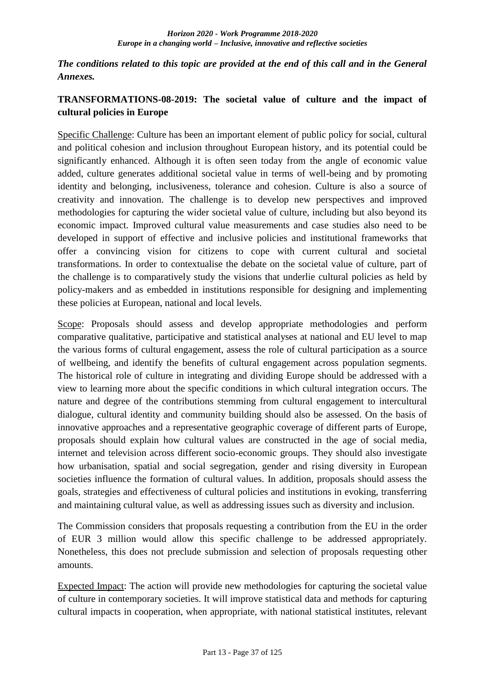*The conditions related to this topic are provided at the end of this call and in the General Annexes.*

# **TRANSFORMATIONS-08-2019: The societal value of culture and the impact of cultural policies in Europe**

Specific Challenge: Culture has been an important element of public policy for social, cultural and political cohesion and inclusion throughout European history, and its potential could be significantly enhanced. Although it is often seen today from the angle of economic value added, culture generates additional societal value in terms of well-being and by promoting identity and belonging, inclusiveness, tolerance and cohesion. Culture is also a source of creativity and innovation. The challenge is to develop new perspectives and improved methodologies for capturing the wider societal value of culture, including but also beyond its economic impact. Improved cultural value measurements and case studies also need to be developed in support of effective and inclusive policies and institutional frameworks that offer a convincing vision for citizens to cope with current cultural and societal transformations. In order to contextualise the debate on the societal value of culture, part of the challenge is to comparatively study the visions that underlie cultural policies as held by policy-makers and as embedded in institutions responsible for designing and implementing these policies at European, national and local levels.

Scope: Proposals should assess and develop appropriate methodologies and perform comparative qualitative, participative and statistical analyses at national and EU level to map the various forms of cultural engagement, assess the role of cultural participation as a source of wellbeing, and identify the benefits of cultural engagement across population segments. The historical role of culture in integrating and dividing Europe should be addressed with a view to learning more about the specific conditions in which cultural integration occurs. The nature and degree of the contributions stemming from cultural engagement to intercultural dialogue, cultural identity and community building should also be assessed. On the basis of innovative approaches and a representative geographic coverage of different parts of Europe, proposals should explain how cultural values are constructed in the age of social media, internet and television across different socio-economic groups. They should also investigate how urbanisation, spatial and social segregation, gender and rising diversity in European societies influence the formation of cultural values. In addition, proposals should assess the goals, strategies and effectiveness of cultural policies and institutions in evoking, transferring and maintaining cultural value, as well as addressing issues such as diversity and inclusion.

The Commission considers that proposals requesting a contribution from the EU in the order of EUR 3 million would allow this specific challenge to be addressed appropriately. Nonetheless, this does not preclude submission and selection of proposals requesting other amounts.

Expected Impact: The action will provide new methodologies for capturing the societal value of culture in contemporary societies. It will improve statistical data and methods for capturing cultural impacts in cooperation, when appropriate, with national statistical institutes, relevant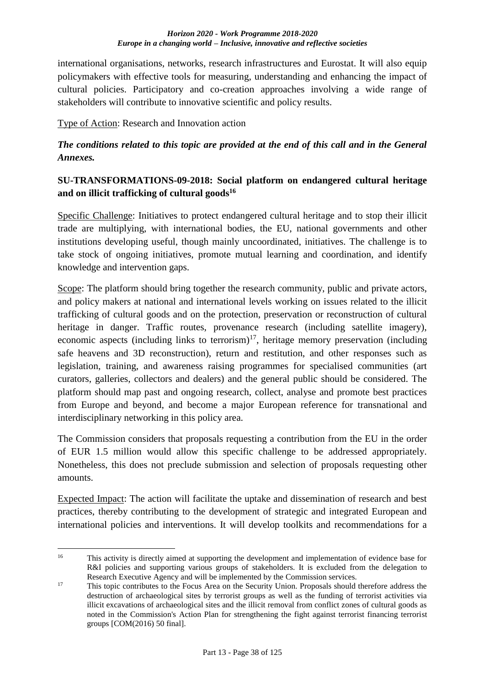international organisations, networks, research infrastructures and Eurostat. It will also equip policymakers with effective tools for measuring, understanding and enhancing the impact of cultural policies. Participatory and co-creation approaches involving a wide range of stakeholders will contribute to innovative scientific and policy results.

Type of Action: Research and Innovation action

# *The conditions related to this topic are provided at the end of this call and in the General Annexes.*

# **SU-TRANSFORMATIONS-09-2018: Social platform on endangered cultural heritage and on illicit trafficking of cultural goods<sup>16</sup>**

Specific Challenge: Initiatives to protect endangered cultural heritage and to stop their illicit trade are multiplying, with international bodies, the EU, national governments and other institutions developing useful, though mainly uncoordinated, initiatives. The challenge is to take stock of ongoing initiatives, promote mutual learning and coordination, and identify knowledge and intervention gaps.

Scope: The platform should bring together the research community, public and private actors, and policy makers at national and international levels working on issues related to the illicit trafficking of cultural goods and on the protection, preservation or reconstruction of cultural heritage in danger. Traffic routes, provenance research (including satellite imagery), economic aspects (including links to terrorism)<sup>17</sup>, heritage memory preservation (including safe heavens and 3D reconstruction), return and restitution, and other responses such as legislation, training, and awareness raising programmes for specialised communities (art curators, galleries, collectors and dealers) and the general public should be considered. The platform should map past and ongoing research, collect, analyse and promote best practices from Europe and beyond, and become a major European reference for transnational and interdisciplinary networking in this policy area.

The Commission considers that proposals requesting a contribution from the EU in the order of EUR 1.5 million would allow this specific challenge to be addressed appropriately. Nonetheless, this does not preclude submission and selection of proposals requesting other amounts.

Expected Impact: The action will facilitate the uptake and dissemination of research and best practices, thereby contributing to the development of strategic and integrated European and international policies and interventions. It will develop toolkits and recommendations for a

 $16$ <sup>16</sup> This activity is directly aimed at supporting the development and implementation of evidence base for R&I policies and supporting various groups of stakeholders. It is excluded from the delegation to Research Executive Agency and will be implemented by the Commission services.

<sup>&</sup>lt;sup>17</sup> This topic contributes to the Focus Area on the Security Union. Proposals should therefore address the destruction of archaeological sites by terrorist groups as well as the funding of terrorist activities via illicit excavations of archaeological sites and the illicit removal from conflict zones of cultural goods as noted in the Commission's Action Plan for strengthening the fight against terrorist financing terrorist groups [COM(2016) 50 final].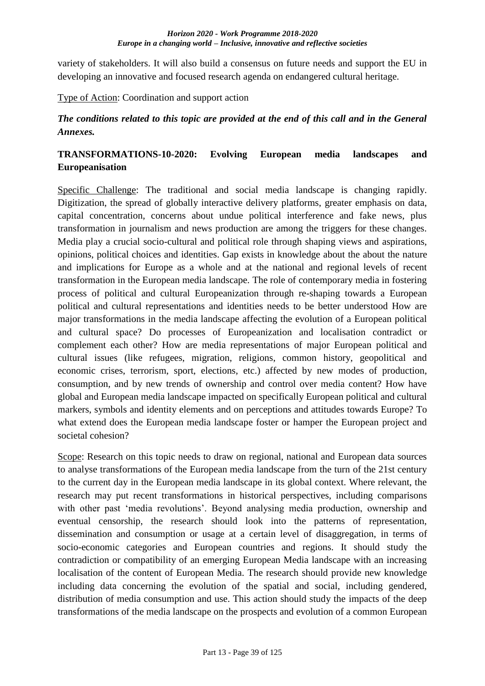variety of stakeholders. It will also build a consensus on future needs and support the EU in developing an innovative and focused research agenda on endangered cultural heritage.

Type of Action: Coordination and support action

## *The conditions related to this topic are provided at the end of this call and in the General Annexes.*

# **TRANSFORMATIONS-10-2020: Evolving European media landscapes and Europeanisation**

Specific Challenge: The traditional and social media landscape is changing rapidly. Digitization, the spread of globally interactive delivery platforms, greater emphasis on data, capital concentration, concerns about undue political interference and fake news, plus transformation in journalism and news production are among the triggers for these changes. Media play a crucial socio-cultural and political role through shaping views and aspirations, opinions, political choices and identities. Gap exists in knowledge about the about the nature and implications for Europe as a whole and at the national and regional levels of recent transformation in the European media landscape. The role of contemporary media in fostering process of political and cultural Europeanization through re-shaping towards a European political and cultural representations and identities needs to be better understood How are major transformations in the media landscape affecting the evolution of a European political and cultural space? Do processes of Europeanization and localisation contradict or complement each other? How are media representations of major European political and cultural issues (like refugees, migration, religions, common history, geopolitical and economic crises, terrorism, sport, elections, etc.) affected by new modes of production, consumption, and by new trends of ownership and control over media content? How have global and European media landscape impacted on specifically European political and cultural markers, symbols and identity elements and on perceptions and attitudes towards Europe? To what extend does the European media landscape foster or hamper the European project and societal cohesion?

Scope: Research on this topic needs to draw on regional, national and European data sources to analyse transformations of the European media landscape from the turn of the 21st century to the current day in the European media landscape in its global context. Where relevant, the research may put recent transformations in historical perspectives, including comparisons with other past 'media revolutions'. Beyond analysing media production, ownership and eventual censorship, the research should look into the patterns of representation, dissemination and consumption or usage at a certain level of disaggregation, in terms of socio-economic categories and European countries and regions. It should study the contradiction or compatibility of an emerging European Media landscape with an increasing localisation of the content of European Media. The research should provide new knowledge including data concerning the evolution of the spatial and social, including gendered, distribution of media consumption and use. This action should study the impacts of the deep transformations of the media landscape on the prospects and evolution of a common European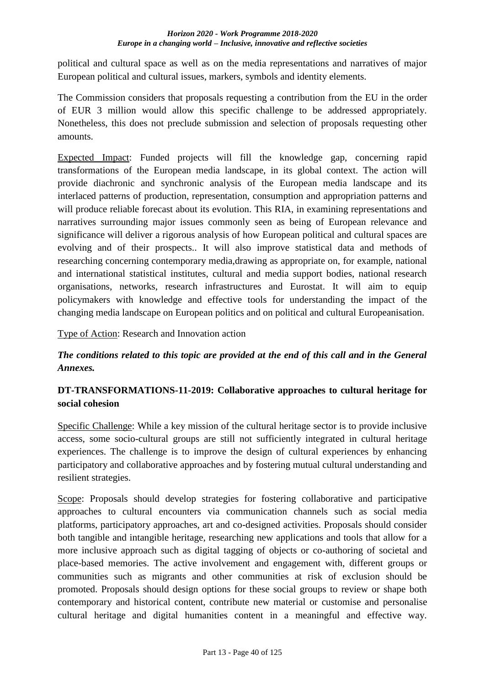political and cultural space as well as on the media representations and narratives of major European political and cultural issues, markers, symbols and identity elements.

The Commission considers that proposals requesting a contribution from the EU in the order of EUR 3 million would allow this specific challenge to be addressed appropriately. Nonetheless, this does not preclude submission and selection of proposals requesting other amounts.

Expected Impact: Funded projects will fill the knowledge gap, concerning rapid transformations of the European media landscape, in its global context. The action will provide diachronic and synchronic analysis of the European media landscape and its interlaced patterns of production, representation, consumption and appropriation patterns and will produce reliable forecast about its evolution. This RIA, in examining representations and narratives surrounding major issues commonly seen as being of European relevance and significance will deliver a rigorous analysis of how European political and cultural spaces are evolving and of their prospects.. It will also improve statistical data and methods of researching concerning contemporary media,drawing as appropriate on, for example, national and international statistical institutes, cultural and media support bodies, national research organisations, networks, research infrastructures and Eurostat. It will aim to equip policymakers with knowledge and effective tools for understanding the impact of the changing media landscape on European politics and on political and cultural Europeanisation.

Type of Action: Research and Innovation action

# *The conditions related to this topic are provided at the end of this call and in the General Annexes.*

# **DT-TRANSFORMATIONS-11-2019: Collaborative approaches to cultural heritage for social cohesion**

Specific Challenge: While a key mission of the cultural heritage sector is to provide inclusive access, some socio-cultural groups are still not sufficiently integrated in cultural heritage experiences. The challenge is to improve the design of cultural experiences by enhancing participatory and collaborative approaches and by fostering mutual cultural understanding and resilient strategies.

Scope: Proposals should develop strategies for fostering collaborative and participative approaches to cultural encounters via communication channels such as social media platforms, participatory approaches, art and co-designed activities. Proposals should consider both tangible and intangible heritage, researching new applications and tools that allow for a more inclusive approach such as digital tagging of objects or co-authoring of societal and place-based memories. The active involvement and engagement with, different groups or communities such as migrants and other communities at risk of exclusion should be promoted. Proposals should design options for these social groups to review or shape both contemporary and historical content, contribute new material or customise and personalise cultural heritage and digital humanities content in a meaningful and effective way.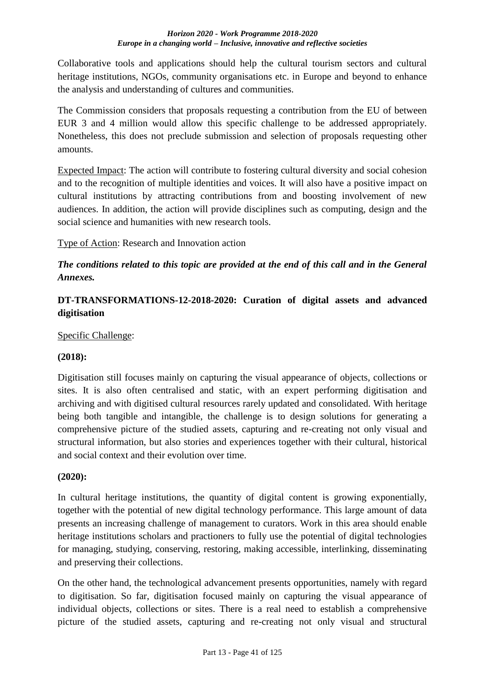Collaborative tools and applications should help the cultural tourism sectors and cultural heritage institutions, NGOs, community organisations etc. in Europe and beyond to enhance the analysis and understanding of cultures and communities.

The Commission considers that proposals requesting a contribution from the EU of between EUR 3 and 4 million would allow this specific challenge to be addressed appropriately. Nonetheless, this does not preclude submission and selection of proposals requesting other amounts.

Expected Impact: The action will contribute to fostering cultural diversity and social cohesion and to the recognition of multiple identities and voices. It will also have a positive impact on cultural institutions by attracting contributions from and boosting involvement of new audiences. In addition, the action will provide disciplines such as computing, design and the social science and humanities with new research tools.

Type of Action: Research and Innovation action

# *The conditions related to this topic are provided at the end of this call and in the General Annexes.*

# **DT-TRANSFORMATIONS-12-2018-2020: Curation of digital assets and advanced digitisation**

## Specific Challenge:

### **(2018):**

Digitisation still focuses mainly on capturing the visual appearance of objects, collections or sites. It is also often centralised and static, with an expert performing digitisation and archiving and with digitised cultural resources rarely updated and consolidated. With heritage being both tangible and intangible, the challenge is to design solutions for generating a comprehensive picture of the studied assets, capturing and re-creating not only visual and structural information, but also stories and experiences together with their cultural, historical and social context and their evolution over time.

### **(2020):**

In cultural heritage institutions, the quantity of digital content is growing exponentially, together with the potential of new digital technology performance. This large amount of data presents an increasing challenge of management to curators. Work in this area should enable heritage institutions scholars and practioners to fully use the potential of digital technologies for managing, studying, conserving, restoring, making accessible, interlinking, disseminating and preserving their collections.

On the other hand, the technological advancement presents opportunities, namely with regard to digitisation. So far, digitisation focused mainly on capturing the visual appearance of individual objects, collections or sites. There is a real need to establish a comprehensive picture of the studied assets, capturing and re-creating not only visual and structural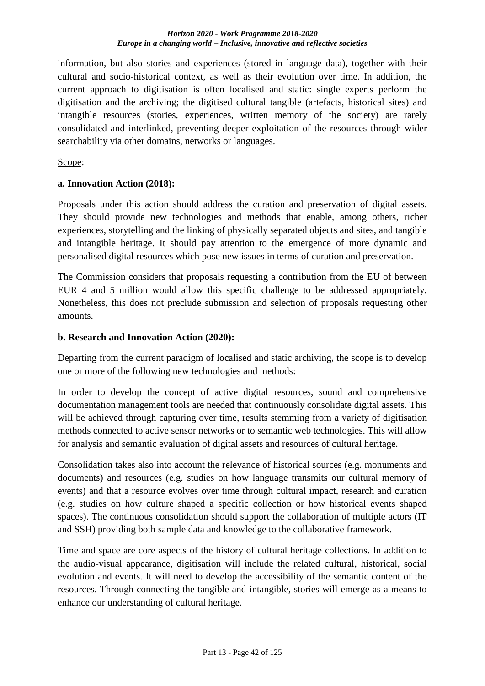information, but also stories and experiences (stored in language data), together with their cultural and socio-historical context, as well as their evolution over time. In addition, the current approach to digitisation is often localised and static: single experts perform the digitisation and the archiving; the digitised cultural tangible (artefacts, historical sites) and intangible resources (stories, experiences, written memory of the society) are rarely consolidated and interlinked, preventing deeper exploitation of the resources through wider searchability via other domains, networks or languages.

### Scope:

### **a. Innovation Action (2018):**

Proposals under this action should address the curation and preservation of digital assets. They should provide new technologies and methods that enable, among others, richer experiences, storytelling and the linking of physically separated objects and sites, and tangible and intangible heritage. It should pay attention to the emergence of more dynamic and personalised digital resources which pose new issues in terms of curation and preservation.

The Commission considers that proposals requesting a contribution from the EU of between EUR 4 and 5 million would allow this specific challenge to be addressed appropriately. Nonetheless, this does not preclude submission and selection of proposals requesting other amounts.

### **b. Research and Innovation Action (2020):**

Departing from the current paradigm of localised and static archiving, the scope is to develop one or more of the following new technologies and methods:

In order to develop the concept of active digital resources, sound and comprehensive documentation management tools are needed that continuously consolidate digital assets. This will be achieved through capturing over time, results stemming from a variety of digitisation methods connected to active sensor networks or to semantic web technologies. This will allow for analysis and semantic evaluation of digital assets and resources of cultural heritage.

Consolidation takes also into account the relevance of historical sources (e.g. monuments and documents) and resources (e.g. studies on how language transmits our cultural memory of events) and that a resource evolves over time through cultural impact, research and curation (e.g. studies on how culture shaped a specific collection or how historical events shaped spaces). The continuous consolidation should support the collaboration of multiple actors (IT and SSH) providing both sample data and knowledge to the collaborative framework.

Time and space are core aspects of the history of cultural heritage collections. In addition to the audio-visual appearance, digitisation will include the related cultural, historical, social evolution and events. It will need to develop the accessibility of the semantic content of the resources. Through connecting the tangible and intangible, stories will emerge as a means to enhance our understanding of cultural heritage.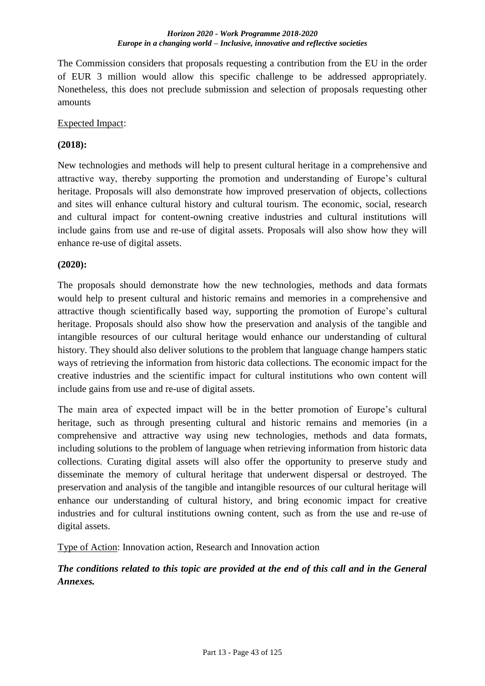The Commission considers that proposals requesting a contribution from the EU in the order of EUR 3 million would allow this specific challenge to be addressed appropriately. Nonetheless, this does not preclude submission and selection of proposals requesting other amounts

### Expected Impact:

### **(2018):**

New technologies and methods will help to present cultural heritage in a comprehensive and attractive way, thereby supporting the promotion and understanding of Europe's cultural heritage. Proposals will also demonstrate how improved preservation of objects, collections and sites will enhance cultural history and cultural tourism. The economic, social, research and cultural impact for content-owning creative industries and cultural institutions will include gains from use and re-use of digital assets. Proposals will also show how they will enhance re-use of digital assets.

### **(2020):**

The proposals should demonstrate how the new technologies, methods and data formats would help to present cultural and historic remains and memories in a comprehensive and attractive though scientifically based way, supporting the promotion of Europe's cultural heritage. Proposals should also show how the preservation and analysis of the tangible and intangible resources of our cultural heritage would enhance our understanding of cultural history. They should also deliver solutions to the problem that language change hampers static ways of retrieving the information from historic data collections. The economic impact for the creative industries and the scientific impact for cultural institutions who own content will include gains from use and re-use of digital assets.

The main area of expected impact will be in the better promotion of Europe's cultural heritage, such as through presenting cultural and historic remains and memories (in a comprehensive and attractive way using new technologies, methods and data formats, including solutions to the problem of language when retrieving information from historic data collections. Curating digital assets will also offer the opportunity to preserve study and disseminate the memory of cultural heritage that underwent dispersal or destroyed. The preservation and analysis of the tangible and intangible resources of our cultural heritage will enhance our understanding of cultural history, and bring economic impact for creative industries and for cultural institutions owning content, such as from the use and re-use of digital assets.

Type of Action: Innovation action, Research and Innovation action

# *The conditions related to this topic are provided at the end of this call and in the General Annexes.*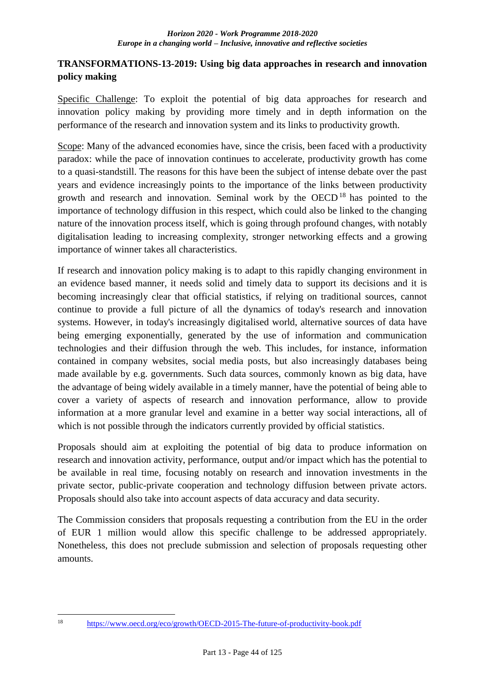## **TRANSFORMATIONS-13-2019: Using big data approaches in research and innovation policy making**

Specific Challenge: To exploit the potential of big data approaches for research and innovation policy making by providing more timely and in depth information on the performance of the research and innovation system and its links to productivity growth.

Scope: Many of the advanced economies have, since the crisis, been faced with a productivity paradox: while the pace of innovation continues to accelerate, productivity growth has come to a quasi-standstill. The reasons for this have been the subject of intense debate over the past years and evidence increasingly points to the importance of the links between productivity growth and research and innovation. Seminal work by the OECD<sup>18</sup> has pointed to the importance of technology diffusion in this respect, which could also be linked to the changing nature of the innovation process itself, which is going through profound changes, with notably digitalisation leading to increasing complexity, stronger networking effects and a growing importance of winner takes all characteristics.

If research and innovation policy making is to adapt to this rapidly changing environment in an evidence based manner, it needs solid and timely data to support its decisions and it is becoming increasingly clear that official statistics, if relying on traditional sources, cannot continue to provide a full picture of all the dynamics of today's research and innovation systems. However, in today's increasingly digitalised world, alternative sources of data have being emerging exponentially, generated by the use of information and communication technologies and their diffusion through the web. This includes, for instance, information contained in company websites, social media posts, but also increasingly databases being made available by e.g. governments. Such data sources, commonly known as big data, have the advantage of being widely available in a timely manner, have the potential of being able to cover a variety of aspects of research and innovation performance, allow to provide information at a more granular level and examine in a better way social interactions, all of which is not possible through the indicators currently provided by official statistics.

Proposals should aim at exploiting the potential of big data to produce information on research and innovation activity, performance, output and/or impact which has the potential to be available in real time, focusing notably on research and innovation investments in the private sector, public-private cooperation and technology diffusion between private actors. Proposals should also take into account aspects of data accuracy and data security.

The Commission considers that proposals requesting a contribution from the EU in the order of EUR 1 million would allow this specific challenge to be addressed appropriately. Nonetheless, this does not preclude submission and selection of proposals requesting other amounts.

<sup>18</sup> 

<https://www.oecd.org/eco/growth/OECD-2015-The-future-of-productivity-book.pdf>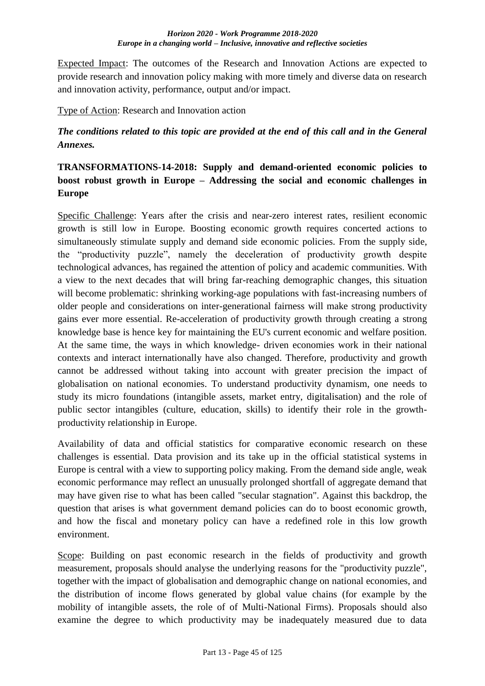Expected Impact: The outcomes of the Research and Innovation Actions are expected to provide research and innovation policy making with more timely and diverse data on research and innovation activity, performance, output and/or impact.

Type of Action: Research and Innovation action

*The conditions related to this topic are provided at the end of this call and in the General Annexes.*

# **TRANSFORMATIONS-14-2018: Supply and demand-oriented economic policies to boost robust growth in Europe – Addressing the social and economic challenges in Europe**

Specific Challenge: Years after the crisis and near-zero interest rates, resilient economic growth is still low in Europe. Boosting economic growth requires concerted actions to simultaneously stimulate supply and demand side economic policies. From the supply side, the "productivity puzzle", namely the deceleration of productivity growth despite technological advances, has regained the attention of policy and academic communities. With a view to the next decades that will bring far-reaching demographic changes, this situation will become problematic: shrinking working-age populations with fast-increasing numbers of older people and considerations on inter-generational fairness will make strong productivity gains ever more essential. Re-acceleration of productivity growth through creating a strong knowledge base is hence key for maintaining the EU's current economic and welfare position. At the same time, the ways in which knowledge- driven economies work in their national contexts and interact internationally have also changed. Therefore, productivity and growth cannot be addressed without taking into account with greater precision the impact of globalisation on national economies. To understand productivity dynamism, one needs to study its micro foundations (intangible assets, market entry, digitalisation) and the role of public sector intangibles (culture, education, skills) to identify their role in the growthproductivity relationship in Europe.

Availability of data and official statistics for comparative economic research on these challenges is essential. Data provision and its take up in the official statistical systems in Europe is central with a view to supporting policy making. From the demand side angle, weak economic performance may reflect an unusually prolonged shortfall of aggregate demand that may have given rise to what has been called "secular stagnation". Against this backdrop, the question that arises is what government demand policies can do to boost economic growth, and how the fiscal and monetary policy can have a redefined role in this low growth environment.

Scope: Building on past economic research in the fields of productivity and growth measurement, proposals should analyse the underlying reasons for the "productivity puzzle", together with the impact of globalisation and demographic change on national economies, and the distribution of income flows generated by global value chains (for example by the mobility of intangible assets, the role of of Multi-National Firms). Proposals should also examine the degree to which productivity may be inadequately measured due to data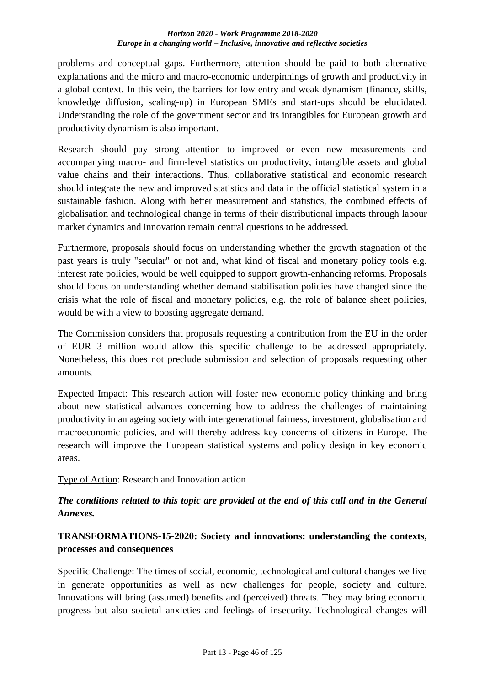problems and conceptual gaps. Furthermore, attention should be paid to both alternative explanations and the micro and macro-economic underpinnings of growth and productivity in a global context. In this vein, the barriers for low entry and weak dynamism (finance, skills, knowledge diffusion, scaling-up) in European SMEs and start-ups should be elucidated. Understanding the role of the government sector and its intangibles for European growth and productivity dynamism is also important.

Research should pay strong attention to improved or even new measurements and accompanying macro- and firm-level statistics on productivity, intangible assets and global value chains and their interactions. Thus, collaborative statistical and economic research should integrate the new and improved statistics and data in the official statistical system in a sustainable fashion. Along with better measurement and statistics, the combined effects of globalisation and technological change in terms of their distributional impacts through labour market dynamics and innovation remain central questions to be addressed.

Furthermore, proposals should focus on understanding whether the growth stagnation of the past years is truly "secular" or not and, what kind of fiscal and monetary policy tools e.g. interest rate policies, would be well equipped to support growth-enhancing reforms. Proposals should focus on understanding whether demand stabilisation policies have changed since the crisis what the role of fiscal and monetary policies, e.g. the role of balance sheet policies, would be with a view to boosting aggregate demand.

The Commission considers that proposals requesting a contribution from the EU in the order of EUR 3 million would allow this specific challenge to be addressed appropriately. Nonetheless, this does not preclude submission and selection of proposals requesting other amounts.

Expected Impact: This research action will foster new economic policy thinking and bring about new statistical advances concerning how to address the challenges of maintaining productivity in an ageing society with intergenerational fairness, investment, globalisation and macroeconomic policies, and will thereby address key concerns of citizens in Europe. The research will improve the European statistical systems and policy design in key economic areas.

Type of Action: Research and Innovation action

# *The conditions related to this topic are provided at the end of this call and in the General Annexes.*

# **TRANSFORMATIONS-15-2020: Society and innovations: understanding the contexts, processes and consequences**

Specific Challenge: The times of social, economic, technological and cultural changes we live in generate opportunities as well as new challenges for people, society and culture. Innovations will bring (assumed) benefits and (perceived) threats. They may bring economic progress but also societal anxieties and feelings of insecurity. Technological changes will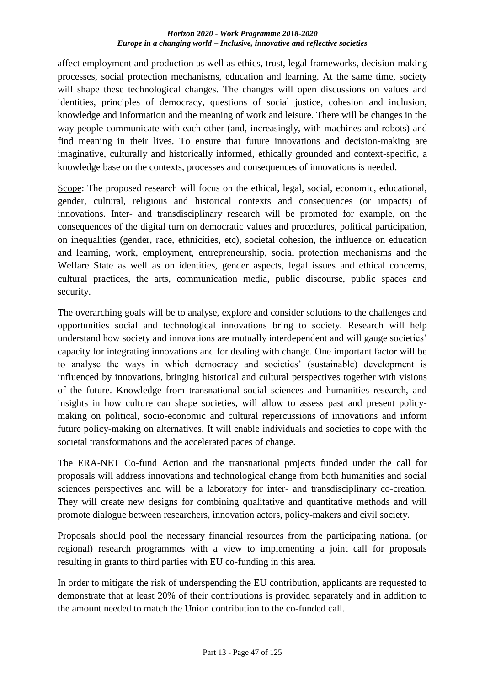affect employment and production as well as ethics, trust, legal frameworks, decision-making processes, social protection mechanisms, education and learning. At the same time, society will shape these technological changes. The changes will open discussions on values and identities, principles of democracy, questions of social justice, cohesion and inclusion, knowledge and information and the meaning of work and leisure. There will be changes in the way people communicate with each other (and, increasingly, with machines and robots) and find meaning in their lives. To ensure that future innovations and decision-making are imaginative, culturally and historically informed, ethically grounded and context-specific, a knowledge base on the contexts, processes and consequences of innovations is needed.

Scope: The proposed research will focus on the ethical, legal, social, economic, educational, gender, cultural, religious and historical contexts and consequences (or impacts) of innovations. Inter- and transdisciplinary research will be promoted for example, on the consequences of the digital turn on democratic values and procedures, political participation, on inequalities (gender, race, ethnicities, etc), societal cohesion, the influence on education and learning, work, employment, entrepreneurship, social protection mechanisms and the Welfare State as well as on identities, gender aspects, legal issues and ethical concerns, cultural practices, the arts, communication media, public discourse, public spaces and security.

The overarching goals will be to analyse, explore and consider solutions to the challenges and opportunities social and technological innovations bring to society. Research will help understand how society and innovations are mutually interdependent and will gauge societies' capacity for integrating innovations and for dealing with change. One important factor will be to analyse the ways in which democracy and societies' (sustainable) development is influenced by innovations, bringing historical and cultural perspectives together with visions of the future. Knowledge from transnational social sciences and humanities research, and insights in how culture can shape societies, will allow to assess past and present policymaking on political, socio-economic and cultural repercussions of innovations and inform future policy-making on alternatives. It will enable individuals and societies to cope with the societal transformations and the accelerated paces of change.

The ERA-NET Co-fund Action and the transnational projects funded under the call for proposals will address innovations and technological change from both humanities and social sciences perspectives and will be a laboratory for inter- and transdisciplinary co-creation. They will create new designs for combining qualitative and quantitative methods and will promote dialogue between researchers, innovation actors, policy-makers and civil society.

Proposals should pool the necessary financial resources from the participating national (or regional) research programmes with a view to implementing a joint call for proposals resulting in grants to third parties with EU co-funding in this area.

In order to mitigate the risk of underspending the EU contribution, applicants are requested to demonstrate that at least 20% of their contributions is provided separately and in addition to the amount needed to match the Union contribution to the co-funded call.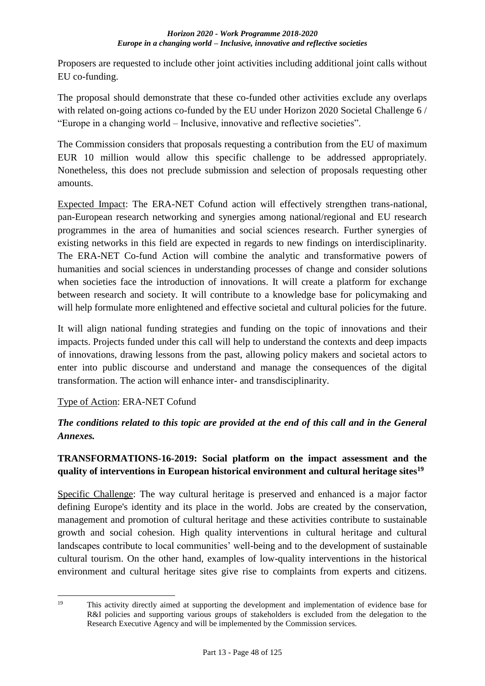Proposers are requested to include other joint activities including additional joint calls without EU co-funding.

The proposal should demonstrate that these co-funded other activities exclude any overlaps with related on-going actions co-funded by the EU under Horizon 2020 Societal Challenge 6 / "Europe in a changing world – Inclusive, innovative and reflective societies".

The Commission considers that proposals requesting a contribution from the EU of maximum EUR 10 million would allow this specific challenge to be addressed appropriately. Nonetheless, this does not preclude submission and selection of proposals requesting other amounts.

Expected Impact: The ERA-NET Cofund action will effectively strengthen trans-national, pan-European research networking and synergies among national/regional and EU research programmes in the area of humanities and social sciences research. Further synergies of existing networks in this field are expected in regards to new findings on interdisciplinarity. The ERA-NET Co-fund Action will combine the analytic and transformative powers of humanities and social sciences in understanding processes of change and consider solutions when societies face the introduction of innovations. It will create a platform for exchange between research and society. It will contribute to a knowledge base for policymaking and will help formulate more enlightened and effective societal and cultural policies for the future.

It will align national funding strategies and funding on the topic of innovations and their impacts. Projects funded under this call will help to understand the contexts and deep impacts of innovations, drawing lessons from the past, allowing policy makers and societal actors to enter into public discourse and understand and manage the consequences of the digital transformation. The action will enhance inter- and transdisciplinarity.

# Type of Action: ERA-NET Cofund

# *The conditions related to this topic are provided at the end of this call and in the General Annexes.*

# **TRANSFORMATIONS-16-2019: Social platform on the impact assessment and the quality of interventions in European historical environment and cultural heritage sites<sup>19</sup>**

Specific Challenge: The way cultural heritage is preserved and enhanced is a major factor defining Europe's identity and its place in the world. Jobs are created by the conservation, management and promotion of cultural heritage and these activities contribute to sustainable growth and social cohesion. High quality interventions in cultural heritage and cultural landscapes contribute to local communities' well-being and to the development of sustainable cultural tourism. On the other hand, examples of low-quality interventions in the historical environment and cultural heritage sites give rise to complaints from experts and citizens.

 $19$ This activity directly aimed at supporting the development and implementation of evidence base for R&I policies and supporting various groups of stakeholders is excluded from the delegation to the Research Executive Agency and will be implemented by the Commission services.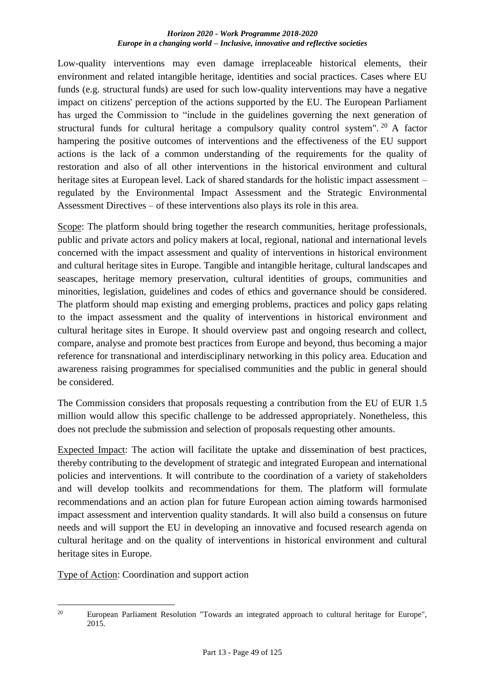Low-quality interventions may even damage irreplaceable historical elements, their environment and related intangible heritage, identities and social practices. Cases where EU funds (e.g. structural funds) are used for such low-quality interventions may have a negative impact on citizens' perception of the actions supported by the EU. The European Parliament has urged the Commission to "include in the guidelines governing the next generation of structural funds for cultural heritage a compulsory quality control system". <sup>20</sup> A factor hampering the positive outcomes of interventions and the effectiveness of the EU support actions is the lack of a common understanding of the requirements for the quality of restoration and also of all other interventions in the historical environment and cultural heritage sites at European level. Lack of shared standards for the holistic impact assessment – regulated by the Environmental Impact Assessment and the Strategic Environmental Assessment Directives – of these interventions also plays its role in this area.

Scope: The platform should bring together the research communities, heritage professionals, public and private actors and policy makers at local, regional, national and international levels concerned with the impact assessment and quality of interventions in historical environment and cultural heritage sites in Europe. Tangible and intangible heritage, cultural landscapes and seascapes, heritage memory preservation, cultural identities of groups, communities and minorities, legislation, guidelines and codes of ethics and governance should be considered. The platform should map existing and emerging problems, practices and policy gaps relating to the impact assessment and the quality of interventions in historical environment and cultural heritage sites in Europe. It should overview past and ongoing research and collect, compare, analyse and promote best practices from Europe and beyond, thus becoming a major reference for transnational and interdisciplinary networking in this policy area. Education and awareness raising programmes for specialised communities and the public in general should be considered.

The Commission considers that proposals requesting a contribution from the EU of EUR 1.5 million would allow this specific challenge to be addressed appropriately. Nonetheless, this does not preclude the submission and selection of proposals requesting other amounts.

Expected Impact: The action will facilitate the uptake and dissemination of best practices, thereby contributing to the development of strategic and integrated European and international policies and interventions. It will contribute to the coordination of a variety of stakeholders and will develop toolkits and recommendations for them. The platform will formulate recommendations and an action plan for future European action aiming towards harmonised impact assessment and intervention quality standards. It will also build a consensus on future needs and will support the EU in developing an innovative and focused research agenda on cultural heritage and on the quality of interventions in historical environment and cultural heritage sites in Europe.

Type of Action: Coordination and support action

<sup>1</sup> <sup>20</sup> European Parliament Resolution "Towards an integrated approach to cultural heritage for Europe", 2015.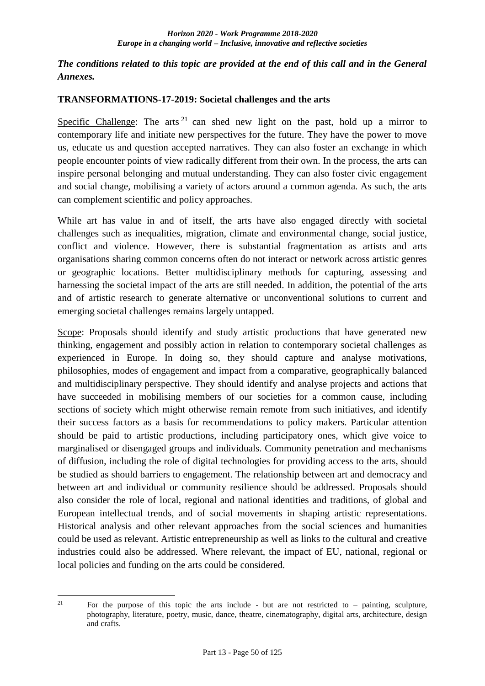## *The conditions related to this topic are provided at the end of this call and in the General Annexes.*

### **TRANSFORMATIONS-17-2019: Societal challenges and the arts**

Specific Challenge: The arts  $21$  can shed new light on the past, hold up a mirror to contemporary life and initiate new perspectives for the future. They have the power to move us, educate us and question accepted narratives. They can also foster an exchange in which people encounter points of view radically different from their own. In the process, the arts can inspire personal belonging and mutual understanding. They can also foster civic engagement and social change, mobilising a variety of actors around a common agenda. As such, the arts can complement scientific and policy approaches.

While art has value in and of itself, the arts have also engaged directly with societal challenges such as inequalities, migration, climate and environmental change, social justice, conflict and violence. However, there is substantial fragmentation as artists and arts organisations sharing common concerns often do not interact or network across artistic genres or geographic locations. Better multidisciplinary methods for capturing, assessing and harnessing the societal impact of the arts are still needed. In addition, the potential of the arts and of artistic research to generate alternative or unconventional solutions to current and emerging societal challenges remains largely untapped.

Scope: Proposals should identify and study artistic productions that have generated new thinking, engagement and possibly action in relation to contemporary societal challenges as experienced in Europe. In doing so, they should capture and analyse motivations, philosophies, modes of engagement and impact from a comparative, geographically balanced and multidisciplinary perspective. They should identify and analyse projects and actions that have succeeded in mobilising members of our societies for a common cause, including sections of society which might otherwise remain remote from such initiatives, and identify their success factors as a basis for recommendations to policy makers. Particular attention should be paid to artistic productions, including participatory ones, which give voice to marginalised or disengaged groups and individuals. Community penetration and mechanisms of diffusion, including the role of digital technologies for providing access to the arts, should be studied as should barriers to engagement. The relationship between art and democracy and between art and individual or community resilience should be addressed. Proposals should also consider the role of local, regional and national identities and traditions, of global and European intellectual trends, and of social movements in shaping artistic representations. Historical analysis and other relevant approaches from the social sciences and humanities could be used as relevant. Artistic entrepreneurship as well as links to the cultural and creative industries could also be addressed. Where relevant, the impact of EU, national, regional or local policies and funding on the arts could be considered.

 $21$ For the purpose of this topic the arts include - but are not restricted to  $-$  painting, sculpture, photography, literature, poetry, music, dance, theatre, cinematography, digital arts, architecture, design and crafts.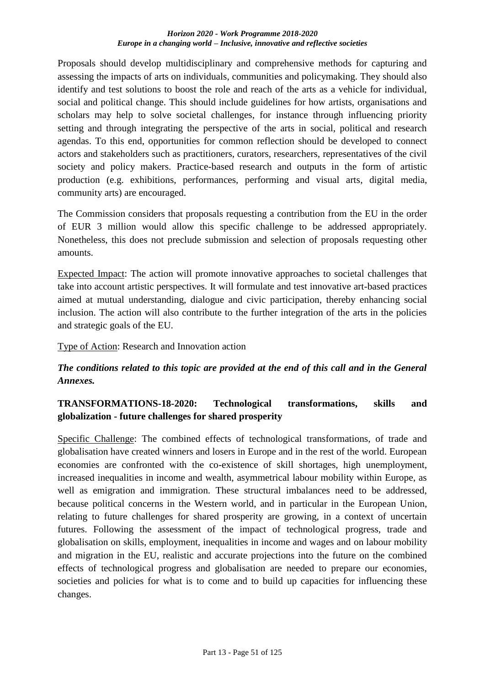Proposals should develop multidisciplinary and comprehensive methods for capturing and assessing the impacts of arts on individuals, communities and policymaking. They should also identify and test solutions to boost the role and reach of the arts as a vehicle for individual, social and political change. This should include guidelines for how artists, organisations and scholars may help to solve societal challenges, for instance through influencing priority setting and through integrating the perspective of the arts in social, political and research agendas. To this end, opportunities for common reflection should be developed to connect actors and stakeholders such as practitioners, curators, researchers, representatives of the civil society and policy makers. Practice-based research and outputs in the form of artistic production (e.g. exhibitions, performances, performing and visual arts, digital media, community arts) are encouraged.

The Commission considers that proposals requesting a contribution from the EU in the order of EUR 3 million would allow this specific challenge to be addressed appropriately. Nonetheless, this does not preclude submission and selection of proposals requesting other amounts.

Expected Impact: The action will promote innovative approaches to societal challenges that take into account artistic perspectives. It will formulate and test innovative art-based practices aimed at mutual understanding, dialogue and civic participation, thereby enhancing social inclusion. The action will also contribute to the further integration of the arts in the policies and strategic goals of the EU.

Type of Action: Research and Innovation action

# *The conditions related to this topic are provided at the end of this call and in the General Annexes.*

# **TRANSFORMATIONS-18-2020: Technological transformations, skills and globalization - future challenges for shared prosperity**

Specific Challenge: The combined effects of technological transformations, of trade and globalisation have created winners and losers in Europe and in the rest of the world. European economies are confronted with the co-existence of skill shortages, high unemployment, increased inequalities in income and wealth, asymmetrical labour mobility within Europe, as well as emigration and immigration. These structural imbalances need to be addressed, because political concerns in the Western world, and in particular in the European Union, relating to future challenges for shared prosperity are growing, in a context of uncertain futures. Following the assessment of the impact of technological progress, trade and globalisation on skills, employment, inequalities in income and wages and on labour mobility and migration in the EU, realistic and accurate projections into the future on the combined effects of technological progress and globalisation are needed to prepare our economies, societies and policies for what is to come and to build up capacities for influencing these changes.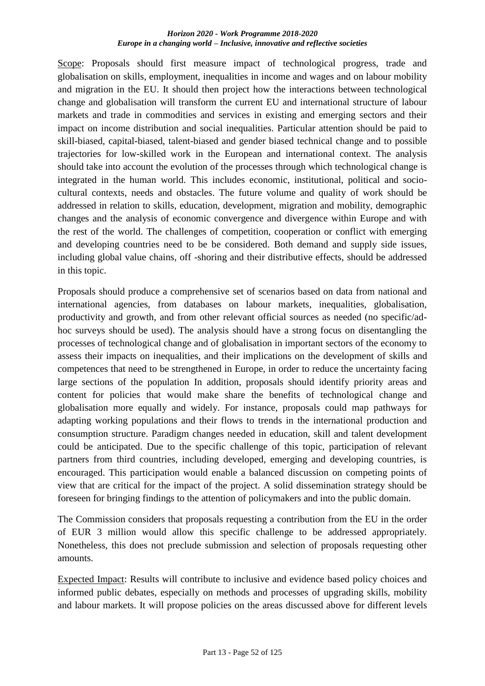Scope: Proposals should first measure impact of technological progress, trade and globalisation on skills, employment, inequalities in income and wages and on labour mobility and migration in the EU. It should then project how the interactions between technological change and globalisation will transform the current EU and international structure of labour markets and trade in commodities and services in existing and emerging sectors and their impact on income distribution and social inequalities. Particular attention should be paid to skill-biased, capital-biased, talent-biased and gender biased technical change and to possible trajectories for low-skilled work in the European and international context. The analysis should take into account the evolution of the processes through which technological change is integrated in the human world. This includes economic, institutional, political and sociocultural contexts, needs and obstacles. The future volume and quality of work should be addressed in relation to skills, education, development, migration and mobility, demographic changes and the analysis of economic convergence and divergence within Europe and with the rest of the world. The challenges of competition, cooperation or conflict with emerging and developing countries need to be be considered. Both demand and supply side issues, including global value chains, off -shoring and their distributive effects, should be addressed in this topic.

Proposals should produce a comprehensive set of scenarios based on data from national and international agencies, from databases on labour markets, inequalities, globalisation, productivity and growth, and from other relevant official sources as needed (no specific/adhoc surveys should be used). The analysis should have a strong focus on disentangling the processes of technological change and of globalisation in important sectors of the economy to assess their impacts on inequalities, and their implications on the development of skills and competences that need to be strengthened in Europe, in order to reduce the uncertainty facing large sections of the population In addition, proposals should identify priority areas and content for policies that would make share the benefits of technological change and globalisation more equally and widely. For instance, proposals could map pathways for adapting working populations and their flows to trends in the international production and consumption structure. Paradigm changes needed in education, skill and talent development could be anticipated. Due to the specific challenge of this topic, participation of relevant partners from third countries, including developed, emerging and developing countries, is encouraged. This participation would enable a balanced discussion on competing points of view that are critical for the impact of the project. A solid dissemination strategy should be foreseen for bringing findings to the attention of policymakers and into the public domain.

The Commission considers that proposals requesting a contribution from the EU in the order of EUR 3 million would allow this specific challenge to be addressed appropriately. Nonetheless, this does not preclude submission and selection of proposals requesting other amounts.

Expected Impact: Results will contribute to inclusive and evidence based policy choices and informed public debates, especially on methods and processes of upgrading skills, mobility and labour markets. It will propose policies on the areas discussed above for different levels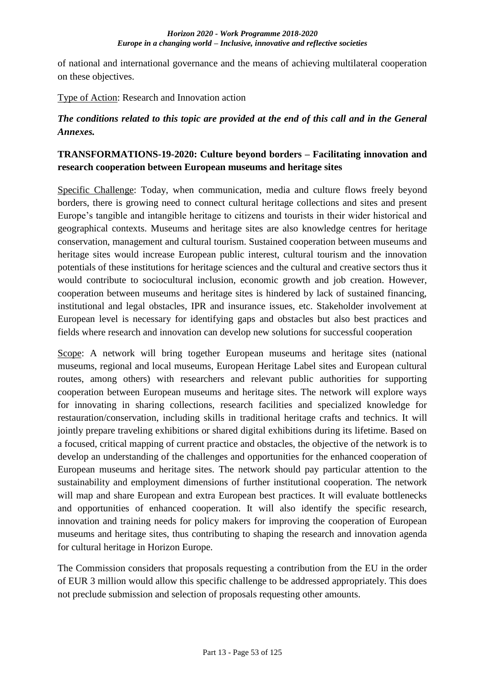of national and international governance and the means of achieving multilateral cooperation on these objectives.

Type of Action: Research and Innovation action

## *The conditions related to this topic are provided at the end of this call and in the General Annexes.*

## **TRANSFORMATIONS-19-2020: Culture beyond borders – Facilitating innovation and research cooperation between European museums and heritage sites**

Specific Challenge: Today, when communication, media and culture flows freely beyond borders, there is growing need to connect cultural heritage collections and sites and present Europe's tangible and intangible heritage to citizens and tourists in their wider historical and geographical contexts. Museums and heritage sites are also knowledge centres for heritage conservation, management and cultural tourism. Sustained cooperation between museums and heritage sites would increase European public interest, cultural tourism and the innovation potentials of these institutions for heritage sciences and the cultural and creative sectors thus it would contribute to sociocultural inclusion, economic growth and job creation. However, cooperation between museums and heritage sites is hindered by lack of sustained financing, institutional and legal obstacles, IPR and insurance issues, etc. Stakeholder involvement at European level is necessary for identifying gaps and obstacles but also best practices and fields where research and innovation can develop new solutions for successful cooperation

Scope: A network will bring together European museums and heritage sites (national museums, regional and local museums, European Heritage Label sites and European cultural routes, among others) with researchers and relevant public authorities for supporting cooperation between European museums and heritage sites. The network will explore ways for innovating in sharing collections, research facilities and specialized knowledge for restauration/conservation, including skills in traditional heritage crafts and technics. It will jointly prepare traveling exhibitions or shared digital exhibitions during its lifetime. Based on a focused, critical mapping of current practice and obstacles, the objective of the network is to develop an understanding of the challenges and opportunities for the enhanced cooperation of European museums and heritage sites. The network should pay particular attention to the sustainability and employment dimensions of further institutional cooperation. The network will map and share European and extra European best practices. It will evaluate bottlenecks and opportunities of enhanced cooperation. It will also identify the specific research, innovation and training needs for policy makers for improving the cooperation of European museums and heritage sites, thus contributing to shaping the research and innovation agenda for cultural heritage in Horizon Europe.

The Commission considers that proposals requesting a contribution from the EU in the order of EUR 3 million would allow this specific challenge to be addressed appropriately. This does not preclude submission and selection of proposals requesting other amounts.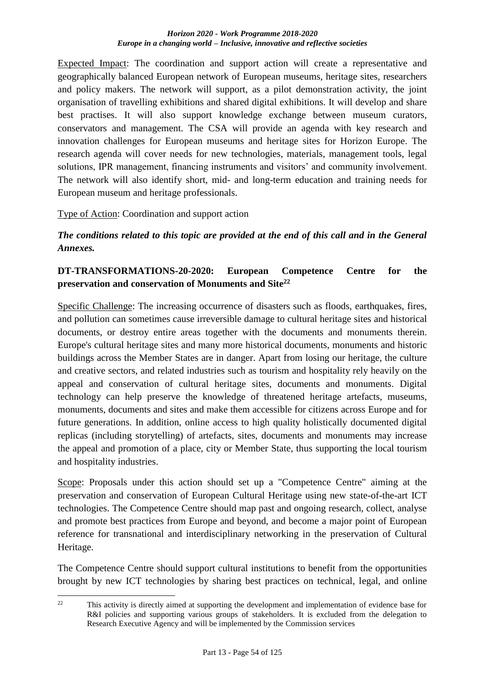Expected Impact: The coordination and support action will create a representative and geographically balanced European network of European museums, heritage sites, researchers and policy makers. The network will support, as a pilot demonstration activity, the joint organisation of travelling exhibitions and shared digital exhibitions. It will develop and share best practises. It will also support knowledge exchange between museum curators, conservators and management. The CSA will provide an agenda with key research and innovation challenges for European museums and heritage sites for Horizon Europe. The research agenda will cover needs for new technologies, materials, management tools, legal solutions, IPR management, financing instruments and visitors' and community involvement. The network will also identify short, mid- and long-term education and training needs for European museum and heritage professionals.

## Type of Action: Coordination and support action

*The conditions related to this topic are provided at the end of this call and in the General Annexes.*

# **DT-TRANSFORMATIONS-20-2020: European Competence Centre for the preservation and conservation of Monuments and Site<sup>22</sup>**

Specific Challenge: The increasing occurrence of disasters such as floods, earthquakes, fires, and pollution can sometimes cause irreversible damage to cultural heritage sites and historical documents, or destroy entire areas together with the documents and monuments therein. Europe's cultural heritage sites and many more historical documents, monuments and historic buildings across the Member States are in danger. Apart from losing our heritage, the culture and creative sectors, and related industries such as tourism and hospitality rely heavily on the appeal and conservation of cultural heritage sites, documents and monuments. Digital technology can help preserve the knowledge of threatened heritage artefacts, museums, monuments, documents and sites and make them accessible for citizens across Europe and for future generations. In addition, online access to high quality holistically documented digital replicas (including storytelling) of artefacts, sites, documents and monuments may increase the appeal and promotion of a place, city or Member State, thus supporting the local tourism and hospitality industries.

Scope: Proposals under this action should set up a "Competence Centre" aiming at the preservation and conservation of European Cultural Heritage using new state-of-the-art ICT technologies. The Competence Centre should map past and ongoing research, collect, analyse and promote best practices from Europe and beyond, and become a major point of European reference for transnational and interdisciplinary networking in the preservation of Cultural Heritage.

The Competence Centre should support cultural institutions to benefit from the opportunities brought by new ICT technologies by sharing best practices on technical, legal, and online

 $\mathfrak{D}$ This activity is directly aimed at supporting the development and implementation of evidence base for R&I policies and supporting various groups of stakeholders. It is excluded from the delegation to Research Executive Agency and will be implemented by the Commission services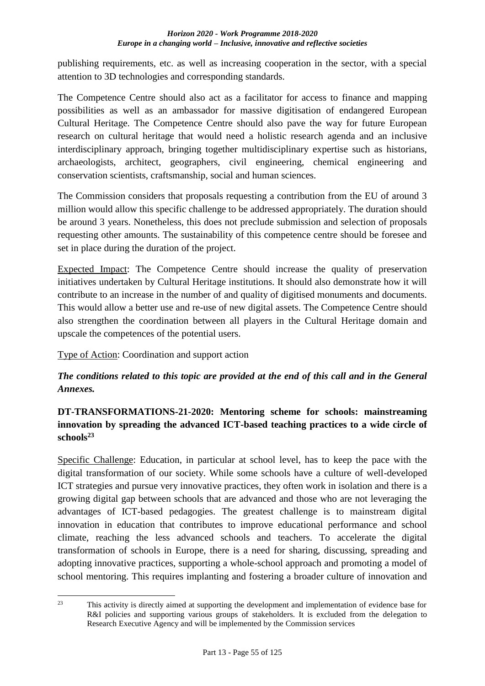publishing requirements, etc. as well as increasing cooperation in the sector, with a special attention to 3D technologies and corresponding standards.

The Competence Centre should also act as a facilitator for access to finance and mapping possibilities as well as an ambassador for massive digitisation of endangered European Cultural Heritage. The Competence Centre should also pave the way for future European research on cultural heritage that would need a holistic research agenda and an inclusive interdisciplinary approach, bringing together multidisciplinary expertise such as historians, archaeologists, architect, geographers, civil engineering, chemical engineering and conservation scientists, craftsmanship, social and human sciences.

The Commission considers that proposals requesting a contribution from the EU of around 3 million would allow this specific challenge to be addressed appropriately. The duration should be around 3 years. Nonetheless, this does not preclude submission and selection of proposals requesting other amounts. The sustainability of this competence centre should be foresee and set in place during the duration of the project.

Expected Impact: The Competence Centre should increase the quality of preservation initiatives undertaken by Cultural Heritage institutions. It should also demonstrate how it will contribute to an increase in the number of and quality of digitised monuments and documents. This would allow a better use and re-use of new digital assets. The Competence Centre should also strengthen the coordination between all players in the Cultural Heritage domain and upscale the competences of the potential users.

Type of Action: Coordination and support action

# *The conditions related to this topic are provided at the end of this call and in the General Annexes.*

# **DT-TRANSFORMATIONS-21-2020: Mentoring scheme for schools: mainstreaming innovation by spreading the advanced ICT-based teaching practices to a wide circle of schools<sup>23</sup>**

Specific Challenge: Education, in particular at school level, has to keep the pace with the digital transformation of our society. While some schools have a culture of well-developed ICT strategies and pursue very innovative practices, they often work in isolation and there is a growing digital gap between schools that are advanced and those who are not leveraging the advantages of ICT-based pedagogies. The greatest challenge is to mainstream digital innovation in education that contributes to improve educational performance and school climate, reaching the less advanced schools and teachers. To accelerate the digital transformation of schools in Europe, there is a need for sharing, discussing, spreading and adopting innovative practices, supporting a whole-school approach and promoting a model of school mentoring. This requires implanting and fostering a broader culture of innovation and

 $23$ This activity is directly aimed at supporting the development and implementation of evidence base for R&I policies and supporting various groups of stakeholders. It is excluded from the delegation to Research Executive Agency and will be implemented by the Commission services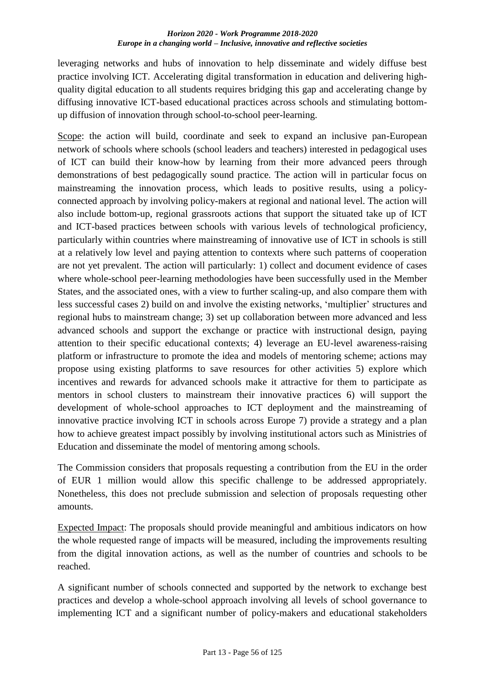leveraging networks and hubs of innovation to help disseminate and widely diffuse best practice involving ICT. Accelerating digital transformation in education and delivering highquality digital education to all students requires bridging this gap and accelerating change by diffusing innovative ICT-based educational practices across schools and stimulating bottomup diffusion of innovation through school-to-school peer-learning.

Scope: the action will build, coordinate and seek to expand an inclusive pan-European network of schools where schools (school leaders and teachers) interested in pedagogical uses of ICT can build their know-how by learning from their more advanced peers through demonstrations of best pedagogically sound practice. The action will in particular focus on mainstreaming the innovation process, which leads to positive results, using a policyconnected approach by involving policy-makers at regional and national level. The action will also include bottom-up, regional grassroots actions that support the situated take up of ICT and ICT-based practices between schools with various levels of technological proficiency, particularly within countries where mainstreaming of innovative use of ICT in schools is still at a relatively low level and paying attention to contexts where such patterns of cooperation are not yet prevalent. The action will particularly: 1) collect and document evidence of cases where whole-school peer-learning methodologies have been successfully used in the Member States, and the associated ones, with a view to further scaling-up, and also compare them with less successful cases 2) build on and involve the existing networks, 'multiplier' structures and regional hubs to mainstream change; 3) set up collaboration between more advanced and less advanced schools and support the exchange or practice with instructional design, paying attention to their specific educational contexts; 4) leverage an EU-level awareness-raising platform or infrastructure to promote the idea and models of mentoring scheme; actions may propose using existing platforms to save resources for other activities 5) explore which incentives and rewards for advanced schools make it attractive for them to participate as mentors in school clusters to mainstream their innovative practices 6) will support the development of whole-school approaches to ICT deployment and the mainstreaming of innovative practice involving ICT in schools across Europe 7) provide a strategy and a plan how to achieve greatest impact possibly by involving institutional actors such as Ministries of Education and disseminate the model of mentoring among schools.

The Commission considers that proposals requesting a contribution from the EU in the order of EUR 1 million would allow this specific challenge to be addressed appropriately. Nonetheless, this does not preclude submission and selection of proposals requesting other amounts.

Expected Impact: The proposals should provide meaningful and ambitious indicators on how the whole requested range of impacts will be measured, including the improvements resulting from the digital innovation actions, as well as the number of countries and schools to be reached.

A significant number of schools connected and supported by the network to exchange best practices and develop a whole-school approach involving all levels of school governance to implementing ICT and a significant number of policy-makers and educational stakeholders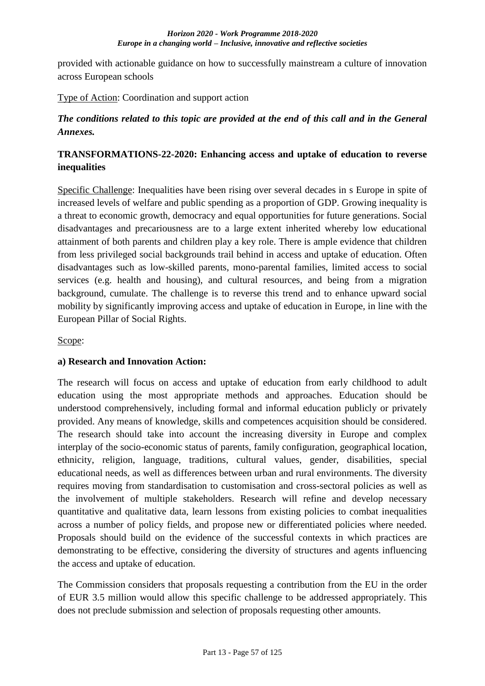provided with actionable guidance on how to successfully mainstream a culture of innovation across European schools

Type of Action: Coordination and support action

## *The conditions related to this topic are provided at the end of this call and in the General Annexes.*

## **TRANSFORMATIONS-22-2020: Enhancing access and uptake of education to reverse inequalities**

Specific Challenge: Inequalities have been rising over several decades in s Europe in spite of increased levels of welfare and public spending as a proportion of GDP. Growing inequality is a threat to economic growth, democracy and equal opportunities for future generations. Social disadvantages and precariousness are to a large extent inherited whereby low educational attainment of both parents and children play a key role. There is ample evidence that children from less privileged social backgrounds trail behind in access and uptake of education. Often disadvantages such as low-skilled parents, mono-parental families, limited access to social services (e.g. health and housing), and cultural resources, and being from a migration background, cumulate. The challenge is to reverse this trend and to enhance upward social mobility by significantly improving access and uptake of education in Europe, in line with the European Pillar of Social Rights.

Scope:

### **a) Research and Innovation Action:**

The research will focus on access and uptake of education from early childhood to adult education using the most appropriate methods and approaches. Education should be understood comprehensively, including formal and informal education publicly or privately provided. Any means of knowledge, skills and competences acquisition should be considered. The research should take into account the increasing diversity in Europe and complex interplay of the socio-economic status of parents, family configuration, geographical location, ethnicity, religion, language, traditions, cultural values, gender, disabilities, special educational needs, as well as differences between urban and rural environments. The diversity requires moving from standardisation to customisation and cross-sectoral policies as well as the involvement of multiple stakeholders. Research will refine and develop necessary quantitative and qualitative data, learn lessons from existing policies to combat inequalities across a number of policy fields, and propose new or differentiated policies where needed. Proposals should build on the evidence of the successful contexts in which practices are demonstrating to be effective, considering the diversity of structures and agents influencing the access and uptake of education.

The Commission considers that proposals requesting a contribution from the EU in the order of EUR 3.5 million would allow this specific challenge to be addressed appropriately. This does not preclude submission and selection of proposals requesting other amounts.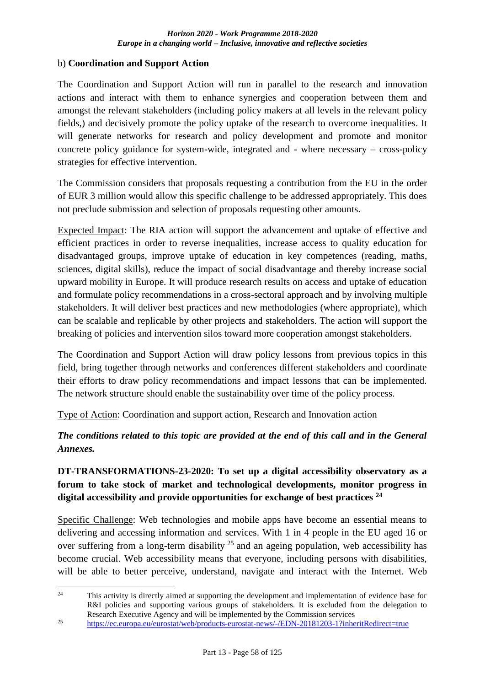### b) **Coordination and Support Action**

The Coordination and Support Action will run in parallel to the research and innovation actions and interact with them to enhance synergies and cooperation between them and amongst the relevant stakeholders (including policy makers at all levels in the relevant policy fields,) and decisively promote the policy uptake of the research to overcome inequalities. It will generate networks for research and policy development and promote and monitor concrete policy guidance for system-wide, integrated and - where necessary – cross-policy strategies for effective intervention.

The Commission considers that proposals requesting a contribution from the EU in the order of EUR 3 million would allow this specific challenge to be addressed appropriately. This does not preclude submission and selection of proposals requesting other amounts.

Expected Impact: The RIA action will support the advancement and uptake of effective and efficient practices in order to reverse inequalities, increase access to quality education for disadvantaged groups, improve uptake of education in key competences (reading, maths, sciences, digital skills), reduce the impact of social disadvantage and thereby increase social upward mobility in Europe. It will produce research results on access and uptake of education and formulate policy recommendations in a cross-sectoral approach and by involving multiple stakeholders. It will deliver best practices and new methodologies (where appropriate), which can be scalable and replicable by other projects and stakeholders. The action will support the breaking of policies and intervention silos toward more cooperation amongst stakeholders.

The Coordination and Support Action will draw policy lessons from previous topics in this field, bring together through networks and conferences different stakeholders and coordinate their efforts to draw policy recommendations and impact lessons that can be implemented. The network structure should enable the sustainability over time of the policy process.

Type of Action: Coordination and support action, Research and Innovation action

*The conditions related to this topic are provided at the end of this call and in the General Annexes.*

# **DT-TRANSFORMATIONS-23-2020: To set up a digital accessibility observatory as a forum to take stock of market and technological developments, monitor progress in digital accessibility and provide opportunities for exchange of best practices <sup>24</sup>**

Specific Challenge: Web technologies and mobile apps have become an essential means to delivering and accessing information and services. With 1 in 4 people in the EU aged 16 or over suffering from a long-term disability  $2<sup>5</sup>$  and an ageing population, web accessibility has become crucial. Web accessibility means that everyone, including persons with disabilities, will be able to better perceive, understand, navigate and interact with the Internet. Web

 $24$ <sup>24</sup> This activity is directly aimed at supporting the development and implementation of evidence base for R&I policies and supporting various groups of stakeholders. It is excluded from the delegation to Research Executive Agency and will be implemented by the Commission services

<sup>&</sup>lt;sup>25</sup> <https://ec.europa.eu/eurostat/web/products-eurostat-news/-/EDN-20181203-1?inheritRedirect=true>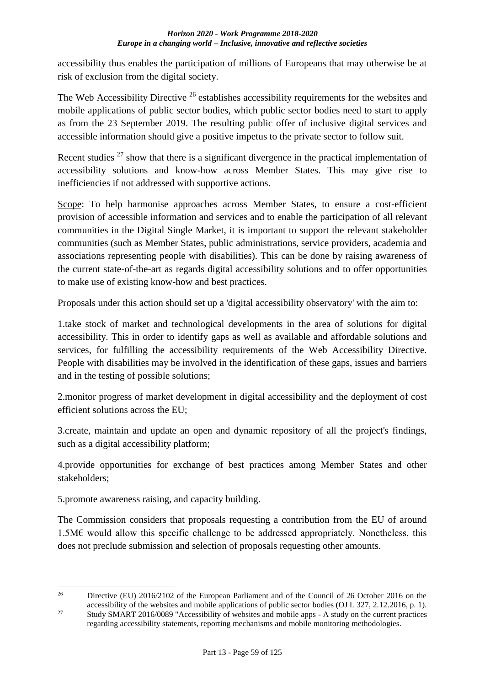accessibility thus enables the participation of millions of Europeans that may otherwise be at risk of exclusion from the digital society.

The Web Accessibility Directive <sup>26</sup> establishes accessibility requirements for the websites and mobile applications of public sector bodies, which public sector bodies need to start to apply as from the 23 September 2019. The resulting public offer of inclusive digital services and accessible information should give a positive impetus to the private sector to follow suit.

Recent studies <sup>27</sup> show that there is a significant divergence in the practical implementation of accessibility solutions and know-how across Member States. This may give rise to inefficiencies if not addressed with supportive actions.

Scope: To help harmonise approaches across Member States, to ensure a cost-efficient provision of accessible information and services and to enable the participation of all relevant communities in the Digital Single Market, it is important to support the relevant stakeholder communities (such as Member States, public administrations, service providers, academia and associations representing people with disabilities). This can be done by raising awareness of the current state-of-the-art as regards digital accessibility solutions and to offer opportunities to make use of existing know-how and best practices.

Proposals under this action should set up a 'digital accessibility observatory' with the aim to:

1.take stock of market and technological developments in the area of solutions for digital accessibility. This in order to identify gaps as well as available and affordable solutions and services, for fulfilling the accessibility requirements of the Web Accessibility Directive. People with disabilities may be involved in the identification of these gaps, issues and barriers and in the testing of possible solutions;

2.monitor progress of market development in digital accessibility and the deployment of cost efficient solutions across the EU;

3.create, maintain and update an open and dynamic repository of all the project's findings, such as a digital accessibility platform;

4.provide opportunities for exchange of best practices among Member States and other stakeholders;

5.promote awareness raising, and capacity building.

<u>.</u>

The Commission considers that proposals requesting a contribution from the EU of around  $1.5M\epsilon$  would allow this specific challenge to be addressed appropriately. Nonetheless, this does not preclude submission and selection of proposals requesting other amounts.

<sup>&</sup>lt;sup>26</sup> Directive (EU) 2016/2102 of the European Parliament and of the Council of 26 October 2016 on the accessibility of the websites and mobile applications of public sector bodies (OJ L 327, 2.12.2016, p. 1). <sup>27</sup> Study SMART 2016/0089 "Accessibility of websites and mobile apps - A study on the current practices regarding accessibility statements, reporting mechanisms and mobile monitoring methodologies.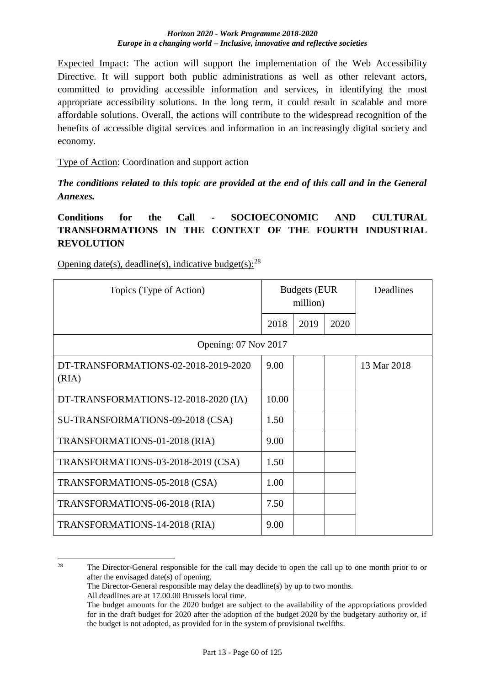Expected Impact: The action will support the implementation of the Web Accessibility Directive. It will support both public administrations as well as other relevant actors, committed to providing accessible information and services, in identifying the most appropriate accessibility solutions. In the long term, it could result in scalable and more affordable solutions. Overall, the actions will contribute to the widespread recognition of the benefits of accessible digital services and information in an increasingly digital society and economy.

Type of Action: Coordination and support action

*The conditions related to this topic are provided at the end of this call and in the General Annexes.*

# **Conditions for the Call - SOCIOECONOMIC AND CULTURAL TRANSFORMATIONS IN THE CONTEXT OF THE FOURTH INDUSTRIAL REVOLUTION**

| Topics (Type of Action)                       | <b>Budgets (EUR</b><br>million) |      |  | Deadlines   |  |  |  |
|-----------------------------------------------|---------------------------------|------|--|-------------|--|--|--|
|                                               | 2018                            | 2019 |  |             |  |  |  |
| Opening: 07 Nov 2017                          |                                 |      |  |             |  |  |  |
| DT-TRANSFORMATIONS-02-2018-2019-2020<br>(RIA) | 9.00                            |      |  | 13 Mar 2018 |  |  |  |
| DT-TRANSFORMATIONS-12-2018-2020 (IA)          | 10.00                           |      |  |             |  |  |  |
| SU-TRANSFORMATIONS-09-2018 (CSA)              | 1.50                            |      |  |             |  |  |  |
| TRANSFORMATIONS-01-2018 (RIA)                 | 9.00                            |      |  |             |  |  |  |
| TRANSFORMATIONS-03-2018-2019 (CSA)            | 1.50                            |      |  |             |  |  |  |
| TRANSFORMATIONS-05-2018 (CSA)                 | 1.00                            |      |  |             |  |  |  |
| TRANSFORMATIONS-06-2018 (RIA)                 | 7.50                            |      |  |             |  |  |  |
| TRANSFORMATIONS-14-2018 (RIA)                 | 9.00                            |      |  |             |  |  |  |

Opening date(s), deadline(s), indicative budget(s):  $28$ 

The Director-General responsible may delay the deadline(s) by up to two months.

<u>.</u>

<sup>&</sup>lt;sup>28</sup> The Director-General responsible for the call may decide to open the call up to one month prior to or after the envisaged date(s) of opening.

All deadlines are at 17.00.00 Brussels local time.

The budget amounts for the 2020 budget are subject to the availability of the appropriations provided for in the draft budget for 2020 after the adoption of the budget 2020 by the budgetary authority or, if the budget is not adopted, as provided for in the system of provisional twelfths.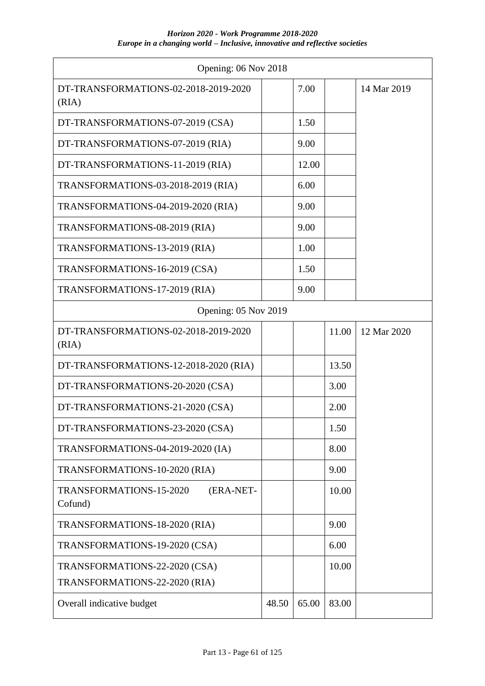| Opening: 06 Nov 2018                            |       |       |       |             |
|-------------------------------------------------|-------|-------|-------|-------------|
| DT-TRANSFORMATIONS-02-2018-2019-2020<br>(RIA)   |       | 7.00  |       | 14 Mar 2019 |
| DT-TRANSFORMATIONS-07-2019 (CSA)                |       | 1.50  |       |             |
| DT-TRANSFORMATIONS-07-2019 (RIA)                |       | 9.00  |       |             |
| DT-TRANSFORMATIONS-11-2019 (RIA)                |       | 12.00 |       |             |
| TRANSFORMATIONS-03-2018-2019 (RIA)              |       | 6.00  |       |             |
| TRANSFORMATIONS-04-2019-2020 (RIA)              |       | 9.00  |       |             |
| TRANSFORMATIONS-08-2019 (RIA)                   |       | 9.00  |       |             |
| TRANSFORMATIONS-13-2019 (RIA)                   |       | 1.00  |       |             |
| TRANSFORMATIONS-16-2019 (CSA)                   |       | 1.50  |       |             |
| TRANSFORMATIONS-17-2019 (RIA)                   |       | 9.00  |       |             |
| Opening: 05 Nov 2019                            |       |       |       |             |
| DT-TRANSFORMATIONS-02-2018-2019-2020<br>(RIA)   |       |       | 11.00 | 12 Mar 2020 |
| DT-TRANSFORMATIONS-12-2018-2020 (RIA)           |       |       | 13.50 |             |
| DT-TRANSFORMATIONS-20-2020 (CSA)                |       |       | 3.00  |             |
| DT-TRANSFORMATIONS-21-2020 (CSA)                |       |       | 2.00  |             |
| DT-TRANSFORMATIONS-23-2020 (CSA)                |       |       | 1.50  |             |
| TRANSFORMATIONS-04-2019-2020 (IA)               |       |       | 8.00  |             |
| TRANSFORMATIONS-10-2020 (RIA)                   |       |       | 9.00  |             |
| TRANSFORMATIONS-15-2020<br>(ERA-NET-<br>Cofund) |       |       | 10.00 |             |
| TRANSFORMATIONS-18-2020 (RIA)                   |       |       | 9.00  |             |
| TRANSFORMATIONS-19-2020 (CSA)                   |       |       | 6.00  |             |
| TRANSFORMATIONS-22-2020 (CSA)                   |       |       | 10.00 |             |
| TRANSFORMATIONS-22-2020 (RIA)                   |       |       |       |             |
| Overall indicative budget                       | 48.50 | 65.00 | 83.00 |             |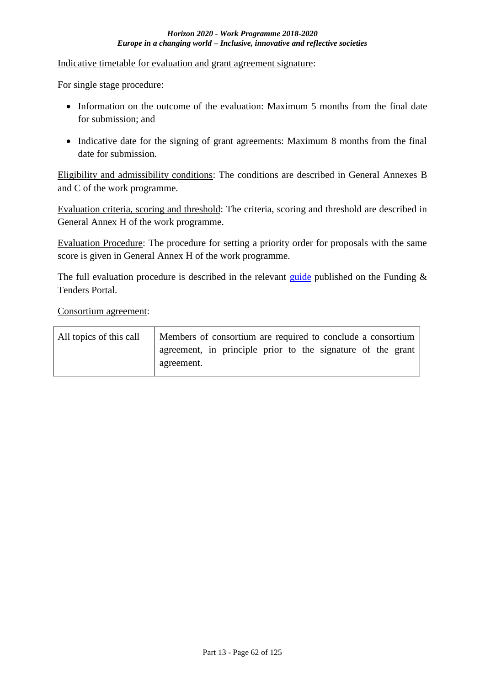Indicative timetable for evaluation and grant agreement signature:

For single stage procedure:

- Information on the outcome of the evaluation: Maximum 5 months from the final date for submission; and
- Indicative date for the signing of grant agreements: Maximum 8 months from the final date for submission.

Eligibility and admissibility conditions: The conditions are described in General Annexes B and C of the work programme.

Evaluation criteria, scoring and threshold: The criteria, scoring and threshold are described in General Annex H of the work programme.

Evaluation Procedure: The procedure for setting a priority order for proposals with the same score is given in General Annex H of the work programme.

The full evaluation procedure is described in the relevant [guide](http://ec.europa.eu/research/participants/docs/h2020-funding-guide/grants/applying-for-funding/submit-proposals_en.htm) published on the Funding  $\&$ Tenders Portal.

Consortium agreement:

| All topics of this call | Members of consortium are required to conclude a consortium               |  |  |  |  |  |
|-------------------------|---------------------------------------------------------------------------|--|--|--|--|--|
|                         | agreement, in principle prior to the signature of the grant<br>agreement. |  |  |  |  |  |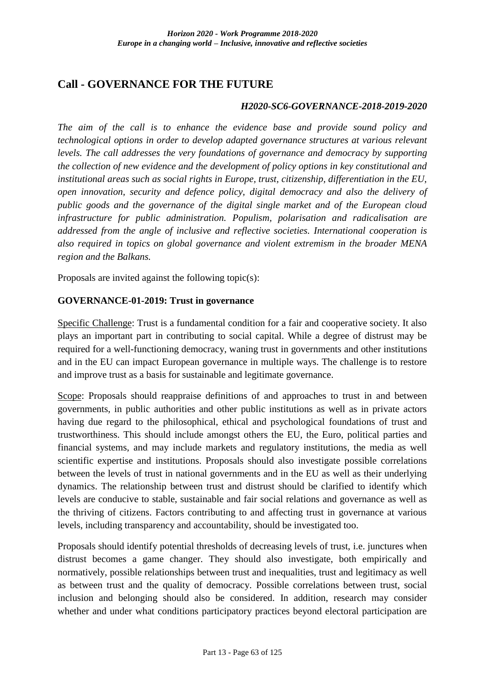# **Call - GOVERNANCE FOR THE FUTURE**

#### *H2020-SC6-GOVERNANCE-2018-2019-2020*

*The aim of the call is to enhance the evidence base and provide sound policy and technological options in order to develop adapted governance structures at various relevant levels. The call addresses the very foundations of governance and democracy by supporting the collection of new evidence and the development of policy options in key constitutional and institutional areas such as social rights in Europe, trust, citizenship, differentiation in the EU, open innovation, security and defence policy, digital democracy and also the delivery of public goods and the governance of the digital single market and of the European cloud infrastructure for public administration. Populism, polarisation and radicalisation are addressed from the angle of inclusive and reflective societies. International cooperation is also required in topics on global governance and violent extremism in the broader MENA region and the Balkans.*

Proposals are invited against the following topic(s):

### **GOVERNANCE-01-2019: Trust in governance**

Specific Challenge: Trust is a fundamental condition for a fair and cooperative society. It also plays an important part in contributing to social capital. While a degree of distrust may be required for a well-functioning democracy, waning trust in governments and other institutions and in the EU can impact European governance in multiple ways. The challenge is to restore and improve trust as a basis for sustainable and legitimate governance.

Scope: Proposals should reappraise definitions of and approaches to trust in and between governments, in public authorities and other public institutions as well as in private actors having due regard to the philosophical, ethical and psychological foundations of trust and trustworthiness. This should include amongst others the EU, the Euro, political parties and financial systems, and may include markets and regulatory institutions, the media as well scientific expertise and institutions. Proposals should also investigate possible correlations between the levels of trust in national governments and in the EU as well as their underlying dynamics. The relationship between trust and distrust should be clarified to identify which levels are conducive to stable, sustainable and fair social relations and governance as well as the thriving of citizens. Factors contributing to and affecting trust in governance at various levels, including transparency and accountability, should be investigated too.

Proposals should identify potential thresholds of decreasing levels of trust, i.e. junctures when distrust becomes a game changer. They should also investigate, both empirically and normatively, possible relationships between trust and inequalities, trust and legitimacy as well as between trust and the quality of democracy. Possible correlations between trust, social inclusion and belonging should also be considered. In addition, research may consider whether and under what conditions participatory practices beyond electoral participation are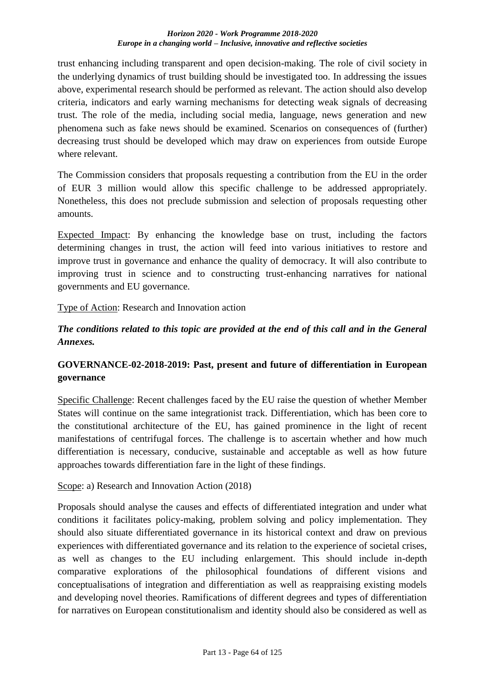trust enhancing including transparent and open decision-making. The role of civil society in the underlying dynamics of trust building should be investigated too. In addressing the issues above, experimental research should be performed as relevant. The action should also develop criteria, indicators and early warning mechanisms for detecting weak signals of decreasing trust. The role of the media, including social media, language, news generation and new phenomena such as fake news should be examined. Scenarios on consequences of (further) decreasing trust should be developed which may draw on experiences from outside Europe where relevant.

The Commission considers that proposals requesting a contribution from the EU in the order of EUR 3 million would allow this specific challenge to be addressed appropriately. Nonetheless, this does not preclude submission and selection of proposals requesting other amounts.

Expected Impact: By enhancing the knowledge base on trust, including the factors determining changes in trust, the action will feed into various initiatives to restore and improve trust in governance and enhance the quality of democracy. It will also contribute to improving trust in science and to constructing trust-enhancing narratives for national governments and EU governance.

Type of Action: Research and Innovation action

# *The conditions related to this topic are provided at the end of this call and in the General Annexes.*

# **GOVERNANCE-02-2018-2019: Past, present and future of differentiation in European governance**

Specific Challenge: Recent challenges faced by the EU raise the question of whether Member States will continue on the same integrationist track. Differentiation, which has been core to the constitutional architecture of the EU, has gained prominence in the light of recent manifestations of centrifugal forces. The challenge is to ascertain whether and how much differentiation is necessary, conducive, sustainable and acceptable as well as how future approaches towards differentiation fare in the light of these findings.

Scope: a) Research and Innovation Action (2018)

Proposals should analyse the causes and effects of differentiated integration and under what conditions it facilitates policy-making, problem solving and policy implementation. They should also situate differentiated governance in its historical context and draw on previous experiences with differentiated governance and its relation to the experience of societal crises, as well as changes to the EU including enlargement. This should include in-depth comparative explorations of the philosophical foundations of different visions and conceptualisations of integration and differentiation as well as reappraising existing models and developing novel theories. Ramifications of different degrees and types of differentiation for narratives on European constitutionalism and identity should also be considered as well as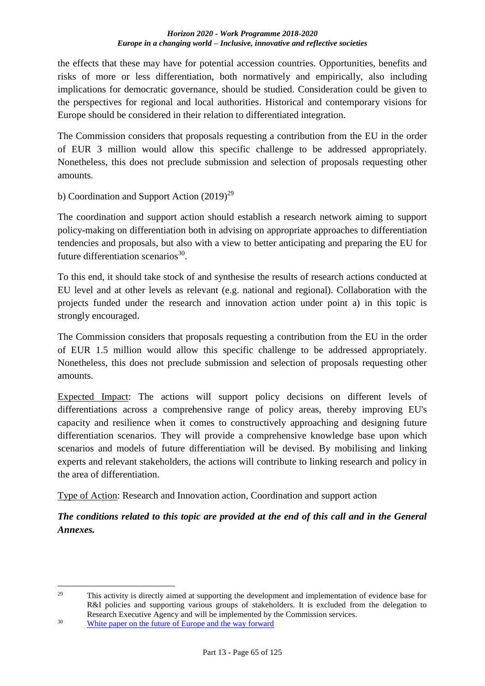the effects that these may have for potential accession countries. Opportunities, benefits and risks of more or less differentiation, both normatively and empirically, also including implications for democratic governance, should be studied. Consideration could be given to the perspectives for regional and local authorities. Historical and contemporary visions for Europe should be considered in their relation to differentiated integration.

The Commission considers that proposals requesting a contribution from the EU in the order of EUR 3 million would allow this specific challenge to be addressed appropriately. Nonetheless, this does not preclude submission and selection of proposals requesting other amounts.

b) Coordination and Support Action  $(2019)^{29}$ 

The coordination and support action should establish a research network aiming to support policy-making on differentiation both in advising on appropriate approaches to differentiation tendencies and proposals, but also with a view to better anticipating and preparing the EU for future differentiation scenarios<sup>30</sup>.

To this end, it should take stock of and synthesise the results of research actions conducted at EU level and at other levels as relevant (e.g. national and regional). Collaboration with the projects funded under the research and innovation action under point a) in this topic is strongly encouraged.

The Commission considers that proposals requesting a contribution from the EU in the order of EUR 1.5 million would allow this specific challenge to be addressed appropriately. Nonetheless, this does not preclude submission and selection of proposals requesting other amounts.

Expected Impact: The actions will support policy decisions on different levels of differentiations across a comprehensive range of policy areas, thereby improving EU's capacity and resilience when it comes to constructively approaching and designing future differentiation scenarios. They will provide a comprehensive knowledge base upon which scenarios and models of future differentiation will be devised. By mobilising and linking experts and relevant stakeholders, the actions will contribute to linking research and policy in the area of differentiation.

Type of Action: Research and Innovation action, Coordination and support action

*The conditions related to this topic are provided at the end of this call and in the General Annexes.*

<u>.</u>

<sup>&</sup>lt;sup>29</sup> This activity is directly aimed at supporting the development and implementation of evidence base for R&I policies and supporting various groups of stakeholders. It is excluded from the delegation to Research Executive Agency and will be implemented by the Commission services.

<sup>30</sup> [White paper on the future of Europe and the way forward](https://ec.europa.eu/commission/white-paper-future-europe-reflections-and-scenarios-eu27_en)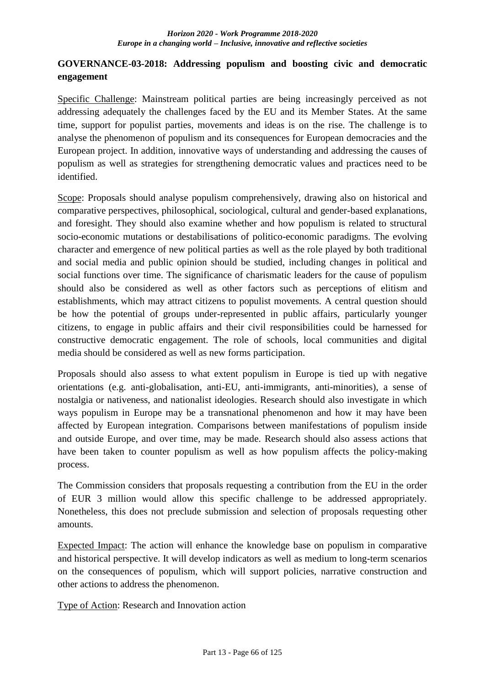## **GOVERNANCE-03-2018: Addressing populism and boosting civic and democratic engagement**

Specific Challenge: Mainstream political parties are being increasingly perceived as not addressing adequately the challenges faced by the EU and its Member States. At the same time, support for populist parties, movements and ideas is on the rise. The challenge is to analyse the phenomenon of populism and its consequences for European democracies and the European project. In addition, innovative ways of understanding and addressing the causes of populism as well as strategies for strengthening democratic values and practices need to be identified.

Scope: Proposals should analyse populism comprehensively, drawing also on historical and comparative perspectives, philosophical, sociological, cultural and gender-based explanations, and foresight. They should also examine whether and how populism is related to structural socio-economic mutations or destabilisations of politico-economic paradigms. The evolving character and emergence of new political parties as well as the role played by both traditional and social media and public opinion should be studied, including changes in political and social functions over time. The significance of charismatic leaders for the cause of populism should also be considered as well as other factors such as perceptions of elitism and establishments, which may attract citizens to populist movements. A central question should be how the potential of groups under-represented in public affairs, particularly younger citizens, to engage in public affairs and their civil responsibilities could be harnessed for constructive democratic engagement. The role of schools, local communities and digital media should be considered as well as new forms participation.

Proposals should also assess to what extent populism in Europe is tied up with negative orientations (e.g. anti-globalisation, anti-EU, anti-immigrants, anti-minorities), a sense of nostalgia or nativeness, and nationalist ideologies. Research should also investigate in which ways populism in Europe may be a transnational phenomenon and how it may have been affected by European integration. Comparisons between manifestations of populism inside and outside Europe, and over time, may be made. Research should also assess actions that have been taken to counter populism as well as how populism affects the policy-making process.

The Commission considers that proposals requesting a contribution from the EU in the order of EUR 3 million would allow this specific challenge to be addressed appropriately. Nonetheless, this does not preclude submission and selection of proposals requesting other amounts.

Expected Impact: The action will enhance the knowledge base on populism in comparative and historical perspective. It will develop indicators as well as medium to long-term scenarios on the consequences of populism, which will support policies, narrative construction and other actions to address the phenomenon.

Type of Action: Research and Innovation action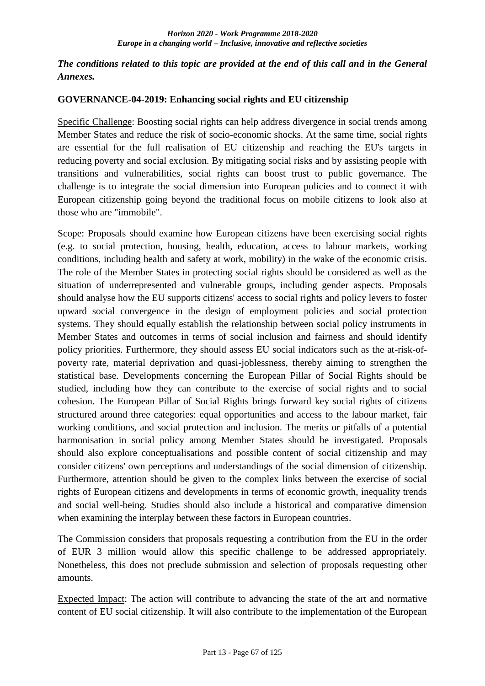## *The conditions related to this topic are provided at the end of this call and in the General Annexes.*

### **GOVERNANCE-04-2019: Enhancing social rights and EU citizenship**

Specific Challenge: Boosting social rights can help address divergence in social trends among Member States and reduce the risk of socio-economic shocks. At the same time, social rights are essential for the full realisation of EU citizenship and reaching the EU's targets in reducing poverty and social exclusion. By mitigating social risks and by assisting people with transitions and vulnerabilities, social rights can boost trust to public governance. The challenge is to integrate the social dimension into European policies and to connect it with European citizenship going beyond the traditional focus on mobile citizens to look also at those who are "immobile".

Scope: Proposals should examine how European citizens have been exercising social rights (e.g. to social protection, housing, health, education, access to labour markets, working conditions, including health and safety at work, mobility) in the wake of the economic crisis. The role of the Member States in protecting social rights should be considered as well as the situation of underrepresented and vulnerable groups, including gender aspects. Proposals should analyse how the EU supports citizens' access to social rights and policy levers to foster upward social convergence in the design of employment policies and social protection systems. They should equally establish the relationship between social policy instruments in Member States and outcomes in terms of social inclusion and fairness and should identify policy priorities. Furthermore, they should assess EU social indicators such as the at-risk-ofpoverty rate, material deprivation and quasi-joblessness, thereby aiming to strengthen the statistical base. Developments concerning the European Pillar of Social Rights should be studied, including how they can contribute to the exercise of social rights and to social cohesion. The European Pillar of Social Rights brings forward key social rights of citizens structured around three categories: equal opportunities and access to the labour market, fair working conditions, and social protection and inclusion. The merits or pitfalls of a potential harmonisation in social policy among Member States should be investigated. Proposals should also explore conceptualisations and possible content of social citizenship and may consider citizens' own perceptions and understandings of the social dimension of citizenship. Furthermore, attention should be given to the complex links between the exercise of social rights of European citizens and developments in terms of economic growth, inequality trends and social well-being. Studies should also include a historical and comparative dimension when examining the interplay between these factors in European countries.

The Commission considers that proposals requesting a contribution from the EU in the order of EUR 3 million would allow this specific challenge to be addressed appropriately. Nonetheless, this does not preclude submission and selection of proposals requesting other amounts.

Expected Impact: The action will contribute to advancing the state of the art and normative content of EU social citizenship. It will also contribute to the implementation of the European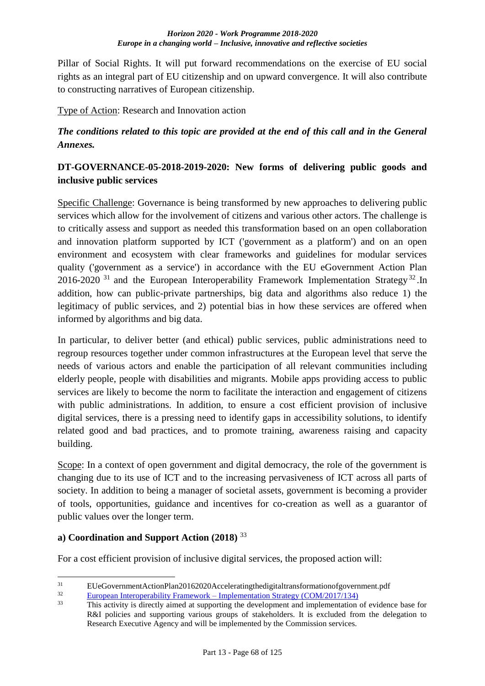Pillar of Social Rights. It will put forward recommendations on the exercise of EU social rights as an integral part of EU citizenship and on upward convergence. It will also contribute to constructing narratives of European citizenship.

Type of Action: Research and Innovation action

# *The conditions related to this topic are provided at the end of this call and in the General Annexes.*

# **DT-GOVERNANCE-05-2018-2019-2020: New forms of delivering public goods and inclusive public services**

Specific Challenge: Governance is being transformed by new approaches to delivering public services which allow for the involvement of citizens and various other actors. The challenge is to critically assess and support as needed this transformation based on an open collaboration and innovation platform supported by ICT ('government as a platform') and on an open environment and ecosystem with clear frameworks and guidelines for modular services quality ('government as a service') in accordance with the EU eGovernment Action Plan 2016-2020<sup>31</sup> and the European Interoperability Framework Implementation Strategy<sup>32</sup>. In addition, how can public-private partnerships, big data and algorithms also reduce 1) the legitimacy of public services, and 2) potential bias in how these services are offered when informed by algorithms and big data.

In particular, to deliver better (and ethical) public services, public administrations need to regroup resources together under common infrastructures at the European level that serve the needs of various actors and enable the participation of all relevant communities including elderly people, people with disabilities and migrants. Mobile apps providing access to public services are likely to become the norm to facilitate the interaction and engagement of citizens with public administrations. In addition, to ensure a cost efficient provision of inclusive digital services, there is a pressing need to identify gaps in accessibility solutions, to identify related good and bad practices, and to promote training, awareness raising and capacity building.

Scope: In a context of open government and digital democracy, the role of the government is changing due to its use of ICT and to the increasing pervasiveness of ICT across all parts of society. In addition to being a manager of societal assets, government is becoming a provider of tools, opportunities, guidance and incentives for co-creation as well as a guarantor of public values over the longer term.

# **a) Coordination and Support Action (2018)** <sup>33</sup>

For a cost efficient provision of inclusive digital services, the proposed action will:

 $31$ <sup>31</sup> EUeGovernmentActionPlan20162020Acceleratingthedigitaltransformationofgovernment.pdf<br><sup>32</sup> Eugeneen Intercognishility Enemoyeels Implementation Strategy (COM/2017/124)

 $\frac{32}{33}$  European Interoperability Framework – [Implementation Strategy \(COM/2017/134\)](http://eur-lex.europa.eu/legal-content/EN/TXT/?uri=COM:2017:134:FIN)

This activity is directly aimed at supporting the development and implementation of evidence base for R&I policies and supporting various groups of stakeholders. It is excluded from the delegation to Research Executive Agency and will be implemented by the Commission services.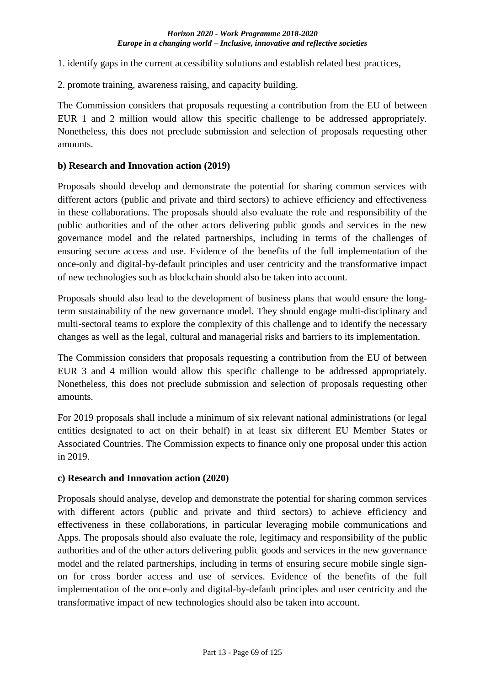1. identify gaps in the current accessibility solutions and establish related best practices,

2. promote training, awareness raising, and capacity building.

The Commission considers that proposals requesting a contribution from the EU of between EUR 1 and 2 million would allow this specific challenge to be addressed appropriately. Nonetheless, this does not preclude submission and selection of proposals requesting other amounts.

### **b) Research and Innovation action (2019)**

Proposals should develop and demonstrate the potential for sharing common services with different actors (public and private and third sectors) to achieve efficiency and effectiveness in these collaborations. The proposals should also evaluate the role and responsibility of the public authorities and of the other actors delivering public goods and services in the new governance model and the related partnerships, including in terms of the challenges of ensuring secure access and use. Evidence of the benefits of the full implementation of the once-only and digital-by-default principles and user centricity and the transformative impact of new technologies such as blockchain should also be taken into account.

Proposals should also lead to the development of business plans that would ensure the longterm sustainability of the new governance model. They should engage multi-disciplinary and multi-sectoral teams to explore the complexity of this challenge and to identify the necessary changes as well as the legal, cultural and managerial risks and barriers to its implementation.

The Commission considers that proposals requesting a contribution from the EU of between EUR 3 and 4 million would allow this specific challenge to be addressed appropriately. Nonetheless, this does not preclude submission and selection of proposals requesting other amounts.

For 2019 proposals shall include a minimum of six relevant national administrations (or legal entities designated to act on their behalf) in at least six different EU Member States or Associated Countries. The Commission expects to finance only one proposal under this action in 2019.

### **c) Research and Innovation action (2020)**

Proposals should analyse, develop and demonstrate the potential for sharing common services with different actors (public and private and third sectors) to achieve efficiency and effectiveness in these collaborations, in particular leveraging mobile communications and Apps. The proposals should also evaluate the role, legitimacy and responsibility of the public authorities and of the other actors delivering public goods and services in the new governance model and the related partnerships, including in terms of ensuring secure mobile single signon for cross border access and use of services. Evidence of the benefits of the full implementation of the once-only and digital-by-default principles and user centricity and the transformative impact of new technologies should also be taken into account.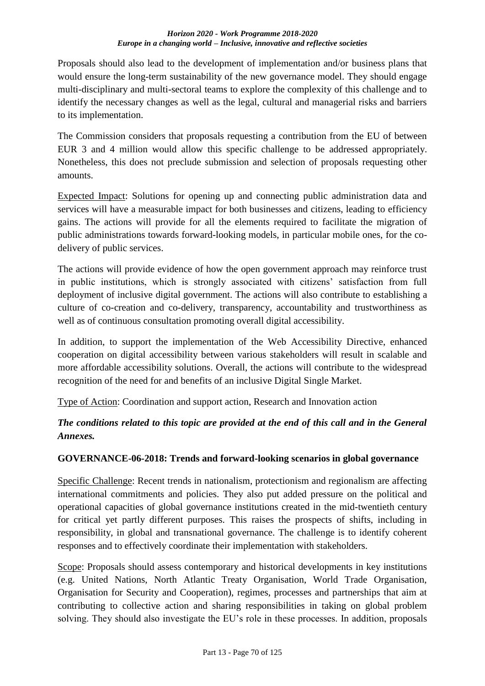Proposals should also lead to the development of implementation and/or business plans that would ensure the long-term sustainability of the new governance model. They should engage multi-disciplinary and multi-sectoral teams to explore the complexity of this challenge and to identify the necessary changes as well as the legal, cultural and managerial risks and barriers to its implementation.

The Commission considers that proposals requesting a contribution from the EU of between EUR 3 and 4 million would allow this specific challenge to be addressed appropriately. Nonetheless, this does not preclude submission and selection of proposals requesting other amounts.

Expected Impact: Solutions for opening up and connecting public administration data and services will have a measurable impact for both businesses and citizens, leading to efficiency gains. The actions will provide for all the elements required to facilitate the migration of public administrations towards forward-looking models, in particular mobile ones, for the codelivery of public services.

The actions will provide evidence of how the open government approach may reinforce trust in public institutions, which is strongly associated with citizens' satisfaction from full deployment of inclusive digital government. The actions will also contribute to establishing a culture of co-creation and co-delivery, transparency, accountability and trustworthiness as well as of continuous consultation promoting overall digital accessibility.

In addition, to support the implementation of the Web Accessibility Directive, enhanced cooperation on digital accessibility between various stakeholders will result in scalable and more affordable accessibility solutions. Overall, the actions will contribute to the widespread recognition of the need for and benefits of an inclusive Digital Single Market.

Type of Action: Coordination and support action, Research and Innovation action

# *The conditions related to this topic are provided at the end of this call and in the General Annexes.*

# **GOVERNANCE-06-2018: Trends and forward-looking scenarios in global governance**

Specific Challenge: Recent trends in nationalism, protectionism and regionalism are affecting international commitments and policies. They also put added pressure on the political and operational capacities of global governance institutions created in the mid-twentieth century for critical yet partly different purposes. This raises the prospects of shifts, including in responsibility, in global and transnational governance. The challenge is to identify coherent responses and to effectively coordinate their implementation with stakeholders.

Scope: Proposals should assess contemporary and historical developments in key institutions (e.g. United Nations, North Atlantic Treaty Organisation, World Trade Organisation, Organisation for Security and Cooperation), regimes, processes and partnerships that aim at contributing to collective action and sharing responsibilities in taking on global problem solving. They should also investigate the EU's role in these processes. In addition, proposals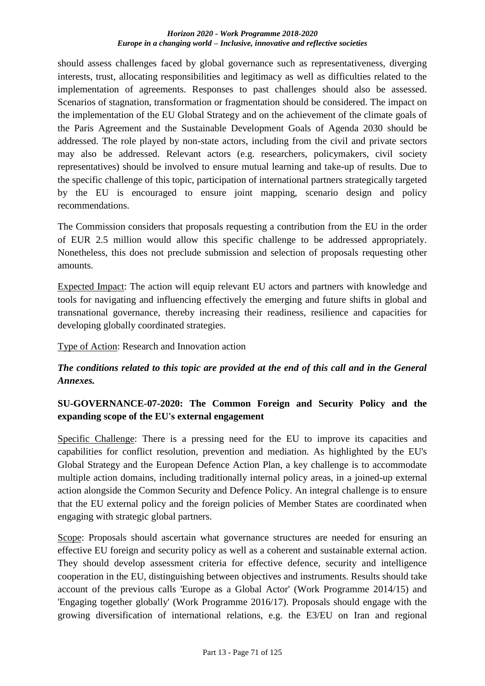should assess challenges faced by global governance such as representativeness, diverging interests, trust, allocating responsibilities and legitimacy as well as difficulties related to the implementation of agreements. Responses to past challenges should also be assessed. Scenarios of stagnation, transformation or fragmentation should be considered. The impact on the implementation of the EU Global Strategy and on the achievement of the climate goals of the Paris Agreement and the Sustainable Development Goals of Agenda 2030 should be addressed. The role played by non-state actors, including from the civil and private sectors may also be addressed. Relevant actors (e.g. researchers, policymakers, civil society representatives) should be involved to ensure mutual learning and take-up of results. Due to the specific challenge of this topic, participation of international partners strategically targeted by the EU is encouraged to ensure joint mapping, scenario design and policy recommendations.

The Commission considers that proposals requesting a contribution from the EU in the order of EUR 2.5 million would allow this specific challenge to be addressed appropriately. Nonetheless, this does not preclude submission and selection of proposals requesting other amounts.

Expected Impact: The action will equip relevant EU actors and partners with knowledge and tools for navigating and influencing effectively the emerging and future shifts in global and transnational governance, thereby increasing their readiness, resilience and capacities for developing globally coordinated strategies.

Type of Action: Research and Innovation action

# *The conditions related to this topic are provided at the end of this call and in the General Annexes.*

# **SU-GOVERNANCE-07-2020: The Common Foreign and Security Policy and the expanding scope of the EU's external engagement**

Specific Challenge: There is a pressing need for the EU to improve its capacities and capabilities for conflict resolution, prevention and mediation. As highlighted by the EU's Global Strategy and the European Defence Action Plan, a key challenge is to accommodate multiple action domains, including traditionally internal policy areas, in a joined-up external action alongside the Common Security and Defence Policy. An integral challenge is to ensure that the EU external policy and the foreign policies of Member States are coordinated when engaging with strategic global partners.

Scope: Proposals should ascertain what governance structures are needed for ensuring an effective EU foreign and security policy as well as a coherent and sustainable external action. They should develop assessment criteria for effective defence, security and intelligence cooperation in the EU, distinguishing between objectives and instruments. Results should take account of the previous calls 'Europe as a Global Actor' (Work Programme 2014/15) and 'Engaging together globally' (Work Programme 2016/17). Proposals should engage with the growing diversification of international relations, e.g. the E3/EU on Iran and regional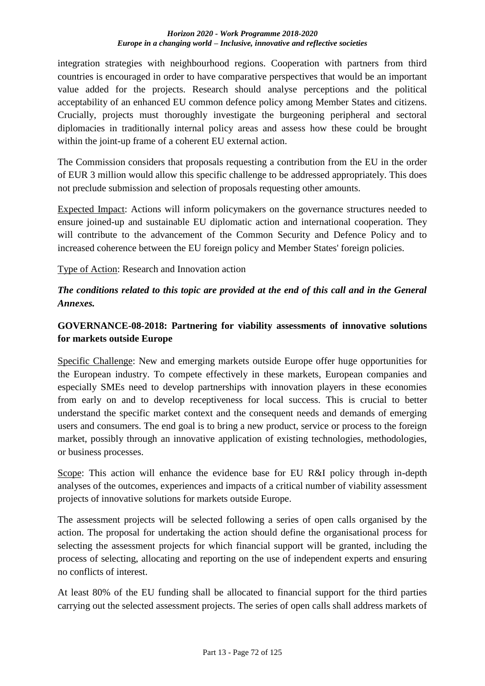integration strategies with neighbourhood regions. Cooperation with partners from third countries is encouraged in order to have comparative perspectives that would be an important value added for the projects. Research should analyse perceptions and the political acceptability of an enhanced EU common defence policy among Member States and citizens. Crucially, projects must thoroughly investigate the burgeoning peripheral and sectoral diplomacies in traditionally internal policy areas and assess how these could be brought within the joint-up frame of a coherent EU external action.

The Commission considers that proposals requesting a contribution from the EU in the order of EUR 3 million would allow this specific challenge to be addressed appropriately. This does not preclude submission and selection of proposals requesting other amounts.

Expected Impact: Actions will inform policymakers on the governance structures needed to ensure joined-up and sustainable EU diplomatic action and international cooperation. They will contribute to the advancement of the Common Security and Defence Policy and to increased coherence between the EU foreign policy and Member States' foreign policies.

Type of Action: Research and Innovation action

*The conditions related to this topic are provided at the end of this call and in the General Annexes.*

# **GOVERNANCE-08-2018: Partnering for viability assessments of innovative solutions for markets outside Europe**

Specific Challenge: New and emerging markets outside Europe offer huge opportunities for the European industry. To compete effectively in these markets, European companies and especially SMEs need to develop partnerships with innovation players in these economies from early on and to develop receptiveness for local success. This is crucial to better understand the specific market context and the consequent needs and demands of emerging users and consumers. The end goal is to bring a new product, service or process to the foreign market, possibly through an innovative application of existing technologies, methodologies, or business processes.

Scope: This action will enhance the evidence base for EU R&I policy through in-depth analyses of the outcomes, experiences and impacts of a critical number of viability assessment projects of innovative solutions for markets outside Europe.

The assessment projects will be selected following a series of open calls organised by the action. The proposal for undertaking the action should define the organisational process for selecting the assessment projects for which financial support will be granted, including the process of selecting, allocating and reporting on the use of independent experts and ensuring no conflicts of interest.

At least 80% of the EU funding shall be allocated to financial support for the third parties carrying out the selected assessment projects. The series of open calls shall address markets of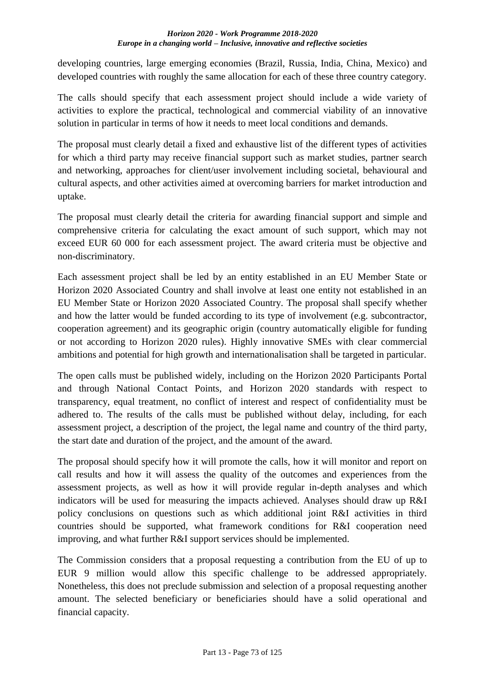developing countries, large emerging economies (Brazil, Russia, India, China, Mexico) and developed countries with roughly the same allocation for each of these three country category.

The calls should specify that each assessment project should include a wide variety of activities to explore the practical, technological and commercial viability of an innovative solution in particular in terms of how it needs to meet local conditions and demands.

The proposal must clearly detail a fixed and exhaustive list of the different types of activities for which a third party may receive financial support such as market studies, partner search and networking, approaches for client/user involvement including societal, behavioural and cultural aspects, and other activities aimed at overcoming barriers for market introduction and uptake.

The proposal must clearly detail the criteria for awarding financial support and simple and comprehensive criteria for calculating the exact amount of such support, which may not exceed EUR 60 000 for each assessment project. The award criteria must be objective and non-discriminatory.

Each assessment project shall be led by an entity established in an EU Member State or Horizon 2020 Associated Country and shall involve at least one entity not established in an EU Member State or Horizon 2020 Associated Country. The proposal shall specify whether and how the latter would be funded according to its type of involvement (e.g. subcontractor, cooperation agreement) and its geographic origin (country automatically eligible for funding or not according to Horizon 2020 rules). Highly innovative SMEs with clear commercial ambitions and potential for high growth and internationalisation shall be targeted in particular.

The open calls must be published widely, including on the Horizon 2020 Participants Portal and through National Contact Points, and Horizon 2020 standards with respect to transparency, equal treatment, no conflict of interest and respect of confidentiality must be adhered to. The results of the calls must be published without delay, including, for each assessment project, a description of the project, the legal name and country of the third party, the start date and duration of the project, and the amount of the award.

The proposal should specify how it will promote the calls, how it will monitor and report on call results and how it will assess the quality of the outcomes and experiences from the assessment projects, as well as how it will provide regular in-depth analyses and which indicators will be used for measuring the impacts achieved. Analyses should draw up R&I policy conclusions on questions such as which additional joint R&I activities in third countries should be supported, what framework conditions for R&I cooperation need improving, and what further R&I support services should be implemented.

The Commission considers that a proposal requesting a contribution from the EU of up to EUR 9 million would allow this specific challenge to be addressed appropriately. Nonetheless, this does not preclude submission and selection of a proposal requesting another amount. The selected beneficiary or beneficiaries should have a solid operational and financial capacity.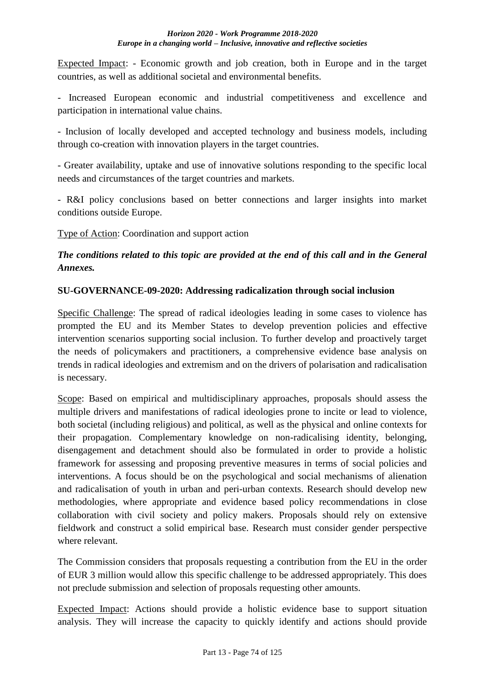Expected Impact: - Economic growth and job creation, both in Europe and in the target countries, as well as additional societal and environmental benefits.

- Increased European economic and industrial competitiveness and excellence and participation in international value chains.

- Inclusion of locally developed and accepted technology and business models, including through co-creation with innovation players in the target countries.

- Greater availability, uptake and use of innovative solutions responding to the specific local needs and circumstances of the target countries and markets.

- R&I policy conclusions based on better connections and larger insights into market conditions outside Europe.

Type of Action: Coordination and support action

# *The conditions related to this topic are provided at the end of this call and in the General Annexes.*

## **SU-GOVERNANCE-09-2020: Addressing radicalization through social inclusion**

Specific Challenge: The spread of radical ideologies leading in some cases to violence has prompted the EU and its Member States to develop prevention policies and effective intervention scenarios supporting social inclusion. To further develop and proactively target the needs of policymakers and practitioners, a comprehensive evidence base analysis on trends in radical ideologies and extremism and on the drivers of polarisation and radicalisation is necessary.

Scope: Based on empirical and multidisciplinary approaches, proposals should assess the multiple drivers and manifestations of radical ideologies prone to incite or lead to violence, both societal (including religious) and political, as well as the physical and online contexts for their propagation. Complementary knowledge on non-radicalising identity, belonging, disengagement and detachment should also be formulated in order to provide a holistic framework for assessing and proposing preventive measures in terms of social policies and interventions. A focus should be on the psychological and social mechanisms of alienation and radicalisation of youth in urban and peri-urban contexts. Research should develop new methodologies, where appropriate and evidence based policy recommendations in close collaboration with civil society and policy makers. Proposals should rely on extensive fieldwork and construct a solid empirical base. Research must consider gender perspective where relevant.

The Commission considers that proposals requesting a contribution from the EU in the order of EUR 3 million would allow this specific challenge to be addressed appropriately. This does not preclude submission and selection of proposals requesting other amounts.

Expected Impact: Actions should provide a holistic evidence base to support situation analysis. They will increase the capacity to quickly identify and actions should provide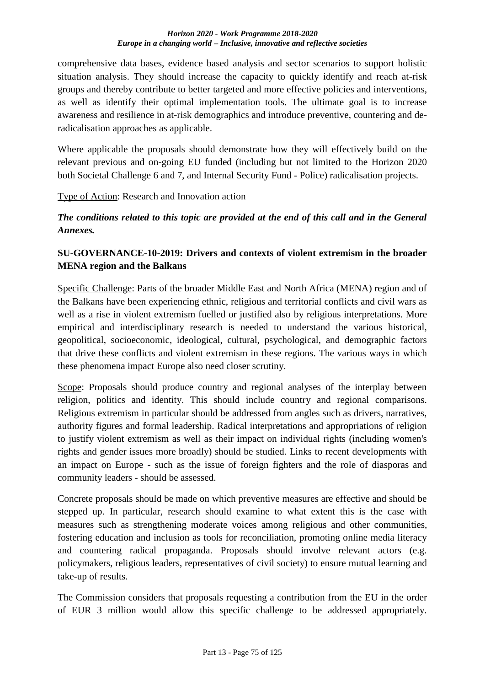comprehensive data bases, evidence based analysis and sector scenarios to support holistic situation analysis. They should increase the capacity to quickly identify and reach at-risk groups and thereby contribute to better targeted and more effective policies and interventions, as well as identify their optimal implementation tools. The ultimate goal is to increase awareness and resilience in at-risk demographics and introduce preventive, countering and deradicalisation approaches as applicable.

Where applicable the proposals should demonstrate how they will effectively build on the relevant previous and on-going EU funded (including but not limited to the Horizon 2020 both Societal Challenge 6 and 7, and Internal Security Fund - Police) radicalisation projects.

### Type of Action: Research and Innovation action

*The conditions related to this topic are provided at the end of this call and in the General Annexes.*

## **SU-GOVERNANCE-10-2019: Drivers and contexts of violent extremism in the broader MENA region and the Balkans**

Specific Challenge: Parts of the broader Middle East and North Africa (MENA) region and of the Balkans have been experiencing ethnic, religious and territorial conflicts and civil wars as well as a rise in violent extremism fuelled or justified also by religious interpretations. More empirical and interdisciplinary research is needed to understand the various historical, geopolitical, socioeconomic, ideological, cultural, psychological, and demographic factors that drive these conflicts and violent extremism in these regions. The various ways in which these phenomena impact Europe also need closer scrutiny.

Scope: Proposals should produce country and regional analyses of the interplay between religion, politics and identity. This should include country and regional comparisons. Religious extremism in particular should be addressed from angles such as drivers, narratives, authority figures and formal leadership. Radical interpretations and appropriations of religion to justify violent extremism as well as their impact on individual rights (including women's rights and gender issues more broadly) should be studied. Links to recent developments with an impact on Europe - such as the issue of foreign fighters and the role of diasporas and community leaders - should be assessed.

Concrete proposals should be made on which preventive measures are effective and should be stepped up. In particular, research should examine to what extent this is the case with measures such as strengthening moderate voices among religious and other communities, fostering education and inclusion as tools for reconciliation, promoting online media literacy and countering radical propaganda. Proposals should involve relevant actors (e.g. policymakers, religious leaders, representatives of civil society) to ensure mutual learning and take-up of results.

The Commission considers that proposals requesting a contribution from the EU in the order of EUR 3 million would allow this specific challenge to be addressed appropriately.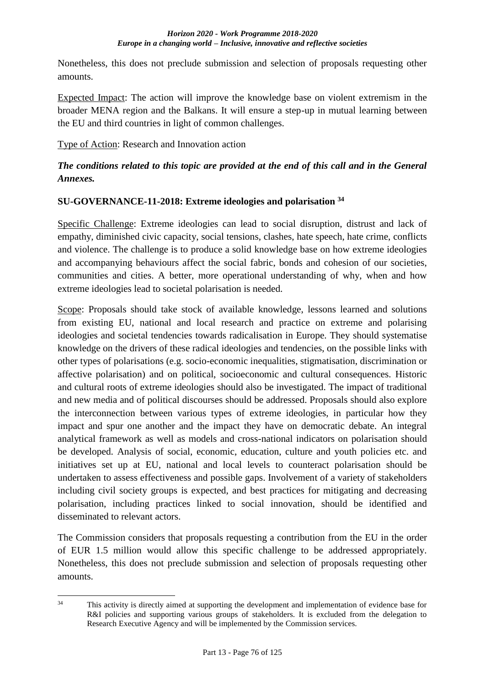Nonetheless, this does not preclude submission and selection of proposals requesting other amounts.

Expected Impact: The action will improve the knowledge base on violent extremism in the broader MENA region and the Balkans. It will ensure a step-up in mutual learning between the EU and third countries in light of common challenges.

Type of Action: Research and Innovation action

# *The conditions related to this topic are provided at the end of this call and in the General Annexes.*

## **SU-GOVERNANCE-11-2018: Extreme ideologies and polarisation <sup>34</sup>**

Specific Challenge: Extreme ideologies can lead to social disruption, distrust and lack of empathy, diminished civic capacity, social tensions, clashes, hate speech, hate crime, conflicts and violence. The challenge is to produce a solid knowledge base on how extreme ideologies and accompanying behaviours affect the social fabric, bonds and cohesion of our societies, communities and cities. A better, more operational understanding of why, when and how extreme ideologies lead to societal polarisation is needed.

Scope: Proposals should take stock of available knowledge, lessons learned and solutions from existing EU, national and local research and practice on extreme and polarising ideologies and societal tendencies towards radicalisation in Europe. They should systematise knowledge on the drivers of these radical ideologies and tendencies, on the possible links with other types of polarisations (e.g. socio-economic inequalities, stigmatisation, discrimination or affective polarisation) and on political, socioeconomic and cultural consequences. Historic and cultural roots of extreme ideologies should also be investigated. The impact of traditional and new media and of political discourses should be addressed. Proposals should also explore the interconnection between various types of extreme ideologies, in particular how they impact and spur one another and the impact they have on democratic debate. An integral analytical framework as well as models and cross-national indicators on polarisation should be developed. Analysis of social, economic, education, culture and youth policies etc. and initiatives set up at EU, national and local levels to counteract polarisation should be undertaken to assess effectiveness and possible gaps. Involvement of a variety of stakeholders including civil society groups is expected, and best practices for mitigating and decreasing polarisation, including practices linked to social innovation, should be identified and disseminated to relevant actors.

The Commission considers that proposals requesting a contribution from the EU in the order of EUR 1.5 million would allow this specific challenge to be addressed appropriately. Nonetheless, this does not preclude submission and selection of proposals requesting other amounts.

 $34$ This activity is directly aimed at supporting the development and implementation of evidence base for R&I policies and supporting various groups of stakeholders. It is excluded from the delegation to Research Executive Agency and will be implemented by the Commission services.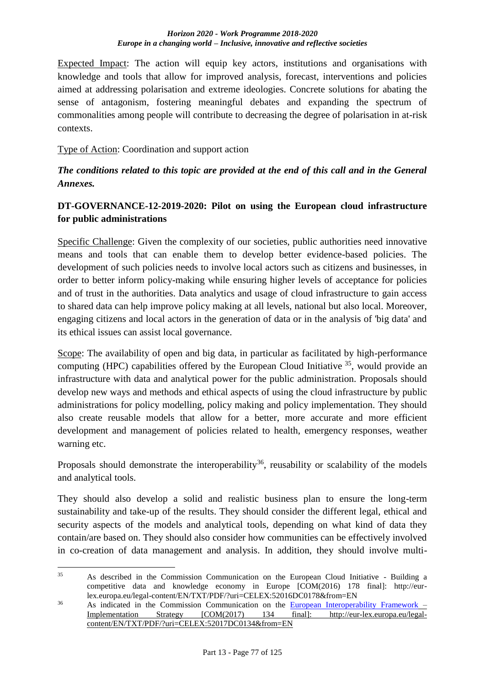Expected Impact: The action will equip key actors, institutions and organisations with knowledge and tools that allow for improved analysis, forecast, interventions and policies aimed at addressing polarisation and extreme ideologies. Concrete solutions for abating the sense of antagonism, fostering meaningful debates and expanding the spectrum of commonalities among people will contribute to decreasing the degree of polarisation in at-risk contexts.

Type of Action: Coordination and support action

## *The conditions related to this topic are provided at the end of this call and in the General Annexes.*

## **DT-GOVERNANCE-12-2019-2020: Pilot on using the European cloud infrastructure for public administrations**

Specific Challenge: Given the complexity of our societies, public authorities need innovative means and tools that can enable them to develop better evidence-based policies. The development of such policies needs to involve local actors such as citizens and businesses, in order to better inform policy-making while ensuring higher levels of acceptance for policies and of trust in the authorities. Data analytics and usage of cloud infrastructure to gain access to shared data can help improve policy making at all levels, national but also local. Moreover, engaging citizens and local actors in the generation of data or in the analysis of 'big data' and its ethical issues can assist local governance.

Scope: The availability of open and big data, in particular as facilitated by high-performance computing (HPC) capabilities offered by the European Cloud Initiative <sup>35</sup>, would provide an infrastructure with data and analytical power for the public administration. Proposals should develop new ways and methods and ethical aspects of using the cloud infrastructure by public administrations for policy modelling, policy making and policy implementation. They should also create reusable models that allow for a better, more accurate and more efficient development and management of policies related to health, emergency responses, weather warning etc.

Proposals should demonstrate the interoperability<sup>36</sup>, reusability or scalability of the models and analytical tools.

They should also develop a solid and realistic business plan to ensure the long-term sustainability and take-up of the results. They should consider the different legal, ethical and security aspects of the models and analytical tools, depending on what kind of data they contain/are based on. They should also consider how communities can be effectively involved in co-creation of data management and analysis. In addition, they should involve multi-

 $35$ <sup>35</sup> As described in the Commission Communication on the European Cloud Initiative - Building a competitive data and knowledge economy in Europe [COM(2016) 178 final]: http://eurlex.europa.eu/legal-content/EN/TXT/PDF/?uri=CELEX:52016DC0178&from=EN

<sup>&</sup>lt;sup>36</sup> As indicated in the Commission Communication on the <u>[European Interoperability Framework](http://eur-lex.europa.eu/resource.html?uri=cellar:2c2f2554-0faf-11e7-8a35-01aa75ed71a1.0017.02/DOC_3&format=PDF) –</u><br>Implementation Strategy [COM(2017) 134 final]: http://eur-lex.europa.eu/legal-Implementation Strategy [COM(2017) 134 final]: http://eur-lex.europa.eu/legalcontent/EN/TXT/PDF/?uri=CELEX:52017DC0134&from=EN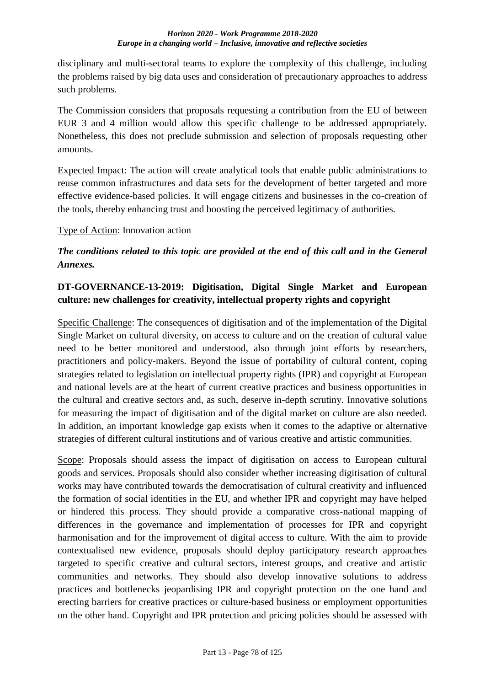disciplinary and multi-sectoral teams to explore the complexity of this challenge, including the problems raised by big data uses and consideration of precautionary approaches to address such problems.

The Commission considers that proposals requesting a contribution from the EU of between EUR 3 and 4 million would allow this specific challenge to be addressed appropriately. Nonetheless, this does not preclude submission and selection of proposals requesting other amounts.

Expected Impact: The action will create analytical tools that enable public administrations to reuse common infrastructures and data sets for the development of better targeted and more effective evidence-based policies. It will engage citizens and businesses in the co-creation of the tools, thereby enhancing trust and boosting the perceived legitimacy of authorities.

Type of Action: Innovation action

# *The conditions related to this topic are provided at the end of this call and in the General Annexes.*

# **DT-GOVERNANCE-13-2019: Digitisation, Digital Single Market and European culture: new challenges for creativity, intellectual property rights and copyright**

Specific Challenge: The consequences of digitisation and of the implementation of the Digital Single Market on cultural diversity, on access to culture and on the creation of cultural value need to be better monitored and understood, also through joint efforts by researchers, practitioners and policy-makers. Beyond the issue of portability of cultural content, coping strategies related to legislation on intellectual property rights (IPR) and copyright at European and national levels are at the heart of current creative practices and business opportunities in the cultural and creative sectors and, as such, deserve in-depth scrutiny. Innovative solutions for measuring the impact of digitisation and of the digital market on culture are also needed. In addition, an important knowledge gap exists when it comes to the adaptive or alternative strategies of different cultural institutions and of various creative and artistic communities.

Scope: Proposals should assess the impact of digitisation on access to European cultural goods and services. Proposals should also consider whether increasing digitisation of cultural works may have contributed towards the democratisation of cultural creativity and influenced the formation of social identities in the EU, and whether IPR and copyright may have helped or hindered this process. They should provide a comparative cross-national mapping of differences in the governance and implementation of processes for IPR and copyright harmonisation and for the improvement of digital access to culture. With the aim to provide contextualised new evidence, proposals should deploy participatory research approaches targeted to specific creative and cultural sectors, interest groups, and creative and artistic communities and networks. They should also develop innovative solutions to address practices and bottlenecks jeopardising IPR and copyright protection on the one hand and erecting barriers for creative practices or culture-based business or employment opportunities on the other hand. Copyright and IPR protection and pricing policies should be assessed with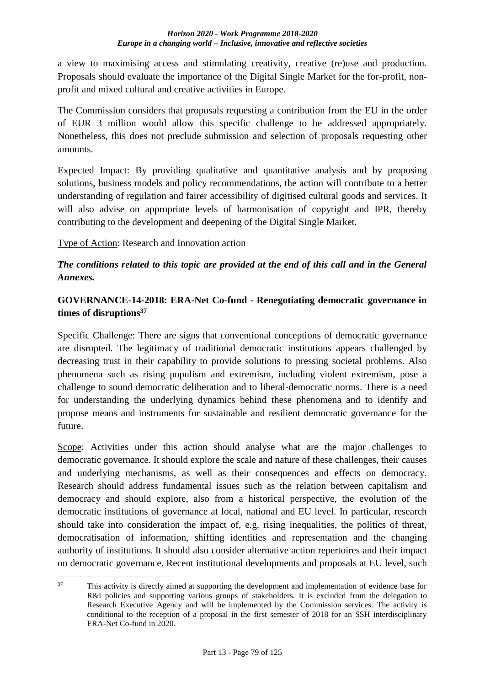a view to maximising access and stimulating creativity, creative (re)use and production. Proposals should evaluate the importance of the Digital Single Market for the for-profit, nonprofit and mixed cultural and creative activities in Europe.

The Commission considers that proposals requesting a contribution from the EU in the order of EUR 3 million would allow this specific challenge to be addressed appropriately. Nonetheless, this does not preclude submission and selection of proposals requesting other amounts.

Expected Impact: By providing qualitative and quantitative analysis and by proposing solutions, business models and policy recommendations, the action will contribute to a better understanding of regulation and fairer accessibility of digitised cultural goods and services. It will also advise on appropriate levels of harmonisation of copyright and IPR, thereby contributing to the development and deepening of the Digital Single Market.

Type of Action: Research and Innovation action

## *The conditions related to this topic are provided at the end of this call and in the General Annexes.*

## **GOVERNANCE-14-2018: ERA-Net Co-fund - Renegotiating democratic governance in times of disruptions<sup>37</sup>**

Specific Challenge: There are signs that conventional conceptions of democratic governance are disrupted. The legitimacy of traditional democratic institutions appears challenged by decreasing trust in their capability to provide solutions to pressing societal problems. Also phenomena such as rising populism and extremism, including violent extremism, pose a challenge to sound democratic deliberation and to liberal-democratic norms. There is a need for understanding the underlying dynamics behind these phenomena and to identify and propose means and instruments for sustainable and resilient democratic governance for the future.

Scope: Activities under this action should analyse what are the major challenges to democratic governance. It should explore the scale and nature of these challenges, their causes and underlying mechanisms, as well as their consequences and effects on democracy. Research should address fundamental issues such as the relation between capitalism and democracy and should explore, also from a historical perspective, the evolution of the democratic institutions of governance at local, national and EU level. In particular, research should take into consideration the impact of, e.g. rising inequalities, the politics of threat, democratisation of information, shifting identities and representation and the changing authority of institutions. It should also consider alternative action repertoires and their impact on democratic governance. Recent institutional developments and proposals at EU level, such

 $37$ This activity is directly aimed at supporting the development and implementation of evidence base for R&I policies and supporting various groups of stakeholders. It is excluded from the delegation to Research Executive Agency and will be implemented by the Commission services. The activity is conditional to the reception of a proposal in the first semester of 2018 for an SSH interdisciplinary ERA-Net Co-fund in 2020.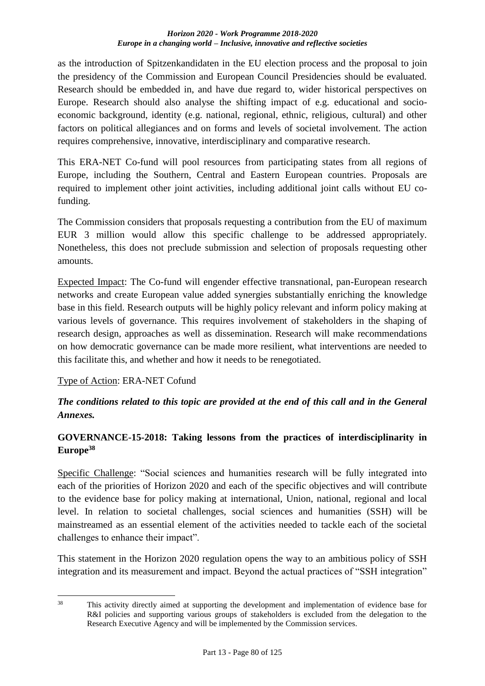as the introduction of Spitzenkandidaten in the EU election process and the proposal to join the presidency of the Commission and European Council Presidencies should be evaluated. Research should be embedded in, and have due regard to, wider historical perspectives on Europe. Research should also analyse the shifting impact of e.g. educational and socioeconomic background, identity (e.g. national, regional, ethnic, religious, cultural) and other factors on political allegiances and on forms and levels of societal involvement. The action requires comprehensive, innovative, interdisciplinary and comparative research.

This ERA-NET Co-fund will pool resources from participating states from all regions of Europe, including the Southern, Central and Eastern European countries. Proposals are required to implement other joint activities, including additional joint calls without EU cofunding.

The Commission considers that proposals requesting a contribution from the EU of maximum EUR 3 million would allow this specific challenge to be addressed appropriately. Nonetheless, this does not preclude submission and selection of proposals requesting other amounts.

Expected Impact: The Co-fund will engender effective transnational, pan-European research networks and create European value added synergies substantially enriching the knowledge base in this field. Research outputs will be highly policy relevant and inform policy making at various levels of governance. This requires involvement of stakeholders in the shaping of research design, approaches as well as dissemination. Research will make recommendations on how democratic governance can be made more resilient, what interventions are needed to this facilitate this, and whether and how it needs to be renegotiated.

### Type of Action: ERA-NET Cofund

## *The conditions related to this topic are provided at the end of this call and in the General Annexes.*

## **GOVERNANCE-15-2018: Taking lessons from the practices of interdisciplinarity in Europe<sup>38</sup>**

Specific Challenge: "Social sciences and humanities research will be fully integrated into each of the priorities of Horizon 2020 and each of the specific objectives and will contribute to the evidence base for policy making at international, Union, national, regional and local level. In relation to societal challenges, social sciences and humanities (SSH) will be mainstreamed as an essential element of the activities needed to tackle each of the societal challenges to enhance their impact".

This statement in the Horizon 2020 regulation opens the way to an ambitious policy of SSH integration and its measurement and impact. Beyond the actual practices of "SSH integration"

 $38$ This activity directly aimed at supporting the development and implementation of evidence base for R&I policies and supporting various groups of stakeholders is excluded from the delegation to the Research Executive Agency and will be implemented by the Commission services.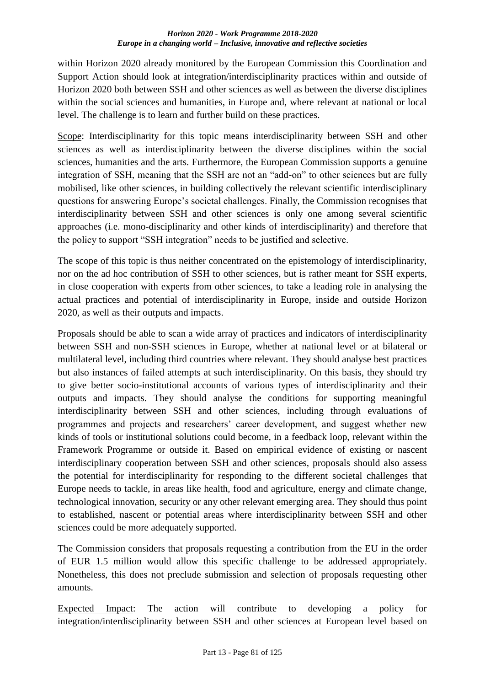within Horizon 2020 already monitored by the European Commission this Coordination and Support Action should look at integration/interdisciplinarity practices within and outside of Horizon 2020 both between SSH and other sciences as well as between the diverse disciplines within the social sciences and humanities, in Europe and, where relevant at national or local level. The challenge is to learn and further build on these practices.

Scope: Interdisciplinarity for this topic means interdisciplinarity between SSH and other sciences as well as interdisciplinarity between the diverse disciplines within the social sciences, humanities and the arts. Furthermore, the European Commission supports a genuine integration of SSH, meaning that the SSH are not an "add-on" to other sciences but are fully mobilised, like other sciences, in building collectively the relevant scientific interdisciplinary questions for answering Europe's societal challenges. Finally, the Commission recognises that interdisciplinarity between SSH and other sciences is only one among several scientific approaches (i.e. mono-disciplinarity and other kinds of interdisciplinarity) and therefore that the policy to support "SSH integration" needs to be justified and selective.

The scope of this topic is thus neither concentrated on the epistemology of interdisciplinarity, nor on the ad hoc contribution of SSH to other sciences, but is rather meant for SSH experts, in close cooperation with experts from other sciences, to take a leading role in analysing the actual practices and potential of interdisciplinarity in Europe, inside and outside Horizon 2020, as well as their outputs and impacts.

Proposals should be able to scan a wide array of practices and indicators of interdisciplinarity between SSH and non-SSH sciences in Europe, whether at national level or at bilateral or multilateral level, including third countries where relevant. They should analyse best practices but also instances of failed attempts at such interdisciplinarity. On this basis, they should try to give better socio-institutional accounts of various types of interdisciplinarity and their outputs and impacts. They should analyse the conditions for supporting meaningful interdisciplinarity between SSH and other sciences, including through evaluations of programmes and projects and researchers' career development, and suggest whether new kinds of tools or institutional solutions could become, in a feedback loop, relevant within the Framework Programme or outside it. Based on empirical evidence of existing or nascent interdisciplinary cooperation between SSH and other sciences, proposals should also assess the potential for interdisciplinarity for responding to the different societal challenges that Europe needs to tackle, in areas like health, food and agriculture, energy and climate change, technological innovation, security or any other relevant emerging area. They should thus point to established, nascent or potential areas where interdisciplinarity between SSH and other sciences could be more adequately supported.

The Commission considers that proposals requesting a contribution from the EU in the order of EUR 1.5 million would allow this specific challenge to be addressed appropriately. Nonetheless, this does not preclude submission and selection of proposals requesting other amounts.

Expected Impact: The action will contribute to developing a policy for integration/interdisciplinarity between SSH and other sciences at European level based on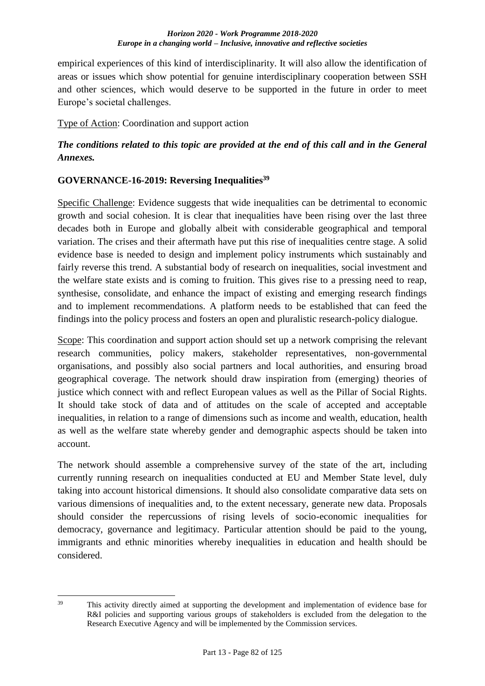empirical experiences of this kind of interdisciplinarity. It will also allow the identification of areas or issues which show potential for genuine interdisciplinary cooperation between SSH and other sciences, which would deserve to be supported in the future in order to meet Europe's societal challenges.

Type of Action: Coordination and support action

## *The conditions related to this topic are provided at the end of this call and in the General Annexes.*

### **GOVERNANCE-16-2019: Reversing Inequalities<sup>39</sup>**

Specific Challenge: Evidence suggests that wide inequalities can be detrimental to economic growth and social cohesion. It is clear that inequalities have been rising over the last three decades both in Europe and globally albeit with considerable geographical and temporal variation. The crises and their aftermath have put this rise of inequalities centre stage. A solid evidence base is needed to design and implement policy instruments which sustainably and fairly reverse this trend. A substantial body of research on inequalities, social investment and the welfare state exists and is coming to fruition. This gives rise to a pressing need to reap, synthesise, consolidate, and enhance the impact of existing and emerging research findings and to implement recommendations. A platform needs to be established that can feed the findings into the policy process and fosters an open and pluralistic research-policy dialogue.

Scope: This coordination and support action should set up a network comprising the relevant research communities, policy makers, stakeholder representatives, non-governmental organisations, and possibly also social partners and local authorities, and ensuring broad geographical coverage. The network should draw inspiration from (emerging) theories of justice which connect with and reflect European values as well as the Pillar of Social Rights. It should take stock of data and of attitudes on the scale of accepted and acceptable inequalities, in relation to a range of dimensions such as income and wealth, education, health as well as the welfare state whereby gender and demographic aspects should be taken into account.

The network should assemble a comprehensive survey of the state of the art, including currently running research on inequalities conducted at EU and Member State level, duly taking into account historical dimensions. It should also consolidate comparative data sets on various dimensions of inequalities and, to the extent necessary, generate new data. Proposals should consider the repercussions of rising levels of socio-economic inequalities for democracy, governance and legitimacy. Particular attention should be paid to the young, immigrants and ethnic minorities whereby inequalities in education and health should be considered.

 $39$ This activity directly aimed at supporting the development and implementation of evidence base for R&I policies and supporting various groups of stakeholders is excluded from the delegation to the Research Executive Agency and will be implemented by the Commission services.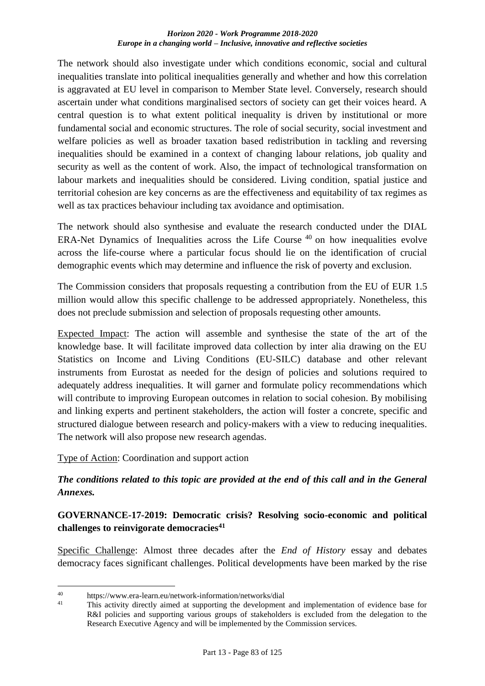The network should also investigate under which conditions economic, social and cultural inequalities translate into political inequalities generally and whether and how this correlation is aggravated at EU level in comparison to Member State level. Conversely, research should ascertain under what conditions marginalised sectors of society can get their voices heard. A central question is to what extent political inequality is driven by institutional or more fundamental social and economic structures. The role of social security, social investment and welfare policies as well as broader taxation based redistribution in tackling and reversing inequalities should be examined in a context of changing labour relations, job quality and security as well as the content of work. Also, the impact of technological transformation on labour markets and inequalities should be considered. Living condition, spatial justice and territorial cohesion are key concerns as are the effectiveness and equitability of tax regimes as well as tax practices behaviour including tax avoidance and optimisation.

The network should also synthesise and evaluate the research conducted under the DIAL ERA-Net Dynamics of Inequalities across the Life Course <sup>40</sup> on how inequalities evolve across the life-course where a particular focus should lie on the identification of crucial demographic events which may determine and influence the risk of poverty and exclusion.

The Commission considers that proposals requesting a contribution from the EU of EUR 1.5 million would allow this specific challenge to be addressed appropriately. Nonetheless, this does not preclude submission and selection of proposals requesting other amounts.

Expected Impact: The action will assemble and synthesise the state of the art of the knowledge base. It will facilitate improved data collection by inter alia drawing on the EU Statistics on Income and Living Conditions (EU-SILC) database and other relevant instruments from Eurostat as needed for the design of policies and solutions required to adequately address inequalities. It will garner and formulate policy recommendations which will contribute to improving European outcomes in relation to social cohesion. By mobilising and linking experts and pertinent stakeholders, the action will foster a concrete, specific and structured dialogue between research and policy-makers with a view to reducing inequalities. The network will also propose new research agendas.

Type of Action: Coordination and support action

## *The conditions related to this topic are provided at the end of this call and in the General Annexes.*

## **GOVERNANCE-17-2019: Democratic crisis? Resolving socio-economic and political challenges to reinvigorate democracies<sup>41</sup>**

Specific Challenge: Almost three decades after the *End of History* essay and debates democracy faces significant challenges. Political developments have been marked by the rise

<u>.</u>

<sup>40</sup> https://www.era-learn.eu/network-information/networks/dial<br>41 This extintual directly simple at sumperties the development

This activity directly aimed at supporting the development and implementation of evidence base for R&I policies and supporting various groups of stakeholders is excluded from the delegation to the Research Executive Agency and will be implemented by the Commission services.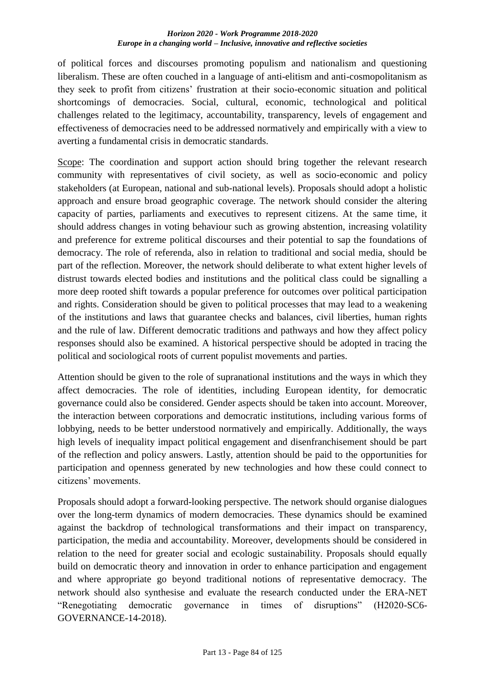of political forces and discourses promoting populism and nationalism and questioning liberalism. These are often couched in a language of anti-elitism and anti-cosmopolitanism as they seek to profit from citizens' frustration at their socio-economic situation and political shortcomings of democracies. Social, cultural, economic, technological and political challenges related to the legitimacy, accountability, transparency, levels of engagement and effectiveness of democracies need to be addressed normatively and empirically with a view to averting a fundamental crisis in democratic standards.

Scope: The coordination and support action should bring together the relevant research community with representatives of civil society, as well as socio-economic and policy stakeholders (at European, national and sub-national levels). Proposals should adopt a holistic approach and ensure broad geographic coverage. The network should consider the altering capacity of parties, parliaments and executives to represent citizens. At the same time, it should address changes in voting behaviour such as growing abstention, increasing volatility and preference for extreme political discourses and their potential to sap the foundations of democracy. The role of referenda, also in relation to traditional and social media, should be part of the reflection. Moreover, the network should deliberate to what extent higher levels of distrust towards elected bodies and institutions and the political class could be signalling a more deep rooted shift towards a popular preference for outcomes over political participation and rights. Consideration should be given to political processes that may lead to a weakening of the institutions and laws that guarantee checks and balances, civil liberties, human rights and the rule of law. Different democratic traditions and pathways and how they affect policy responses should also be examined. A historical perspective should be adopted in tracing the political and sociological roots of current populist movements and parties.

Attention should be given to the role of supranational institutions and the ways in which they affect democracies. The role of identities, including European identity, for democratic governance could also be considered. Gender aspects should be taken into account. Moreover, the interaction between corporations and democratic institutions, including various forms of lobbying, needs to be better understood normatively and empirically. Additionally, the ways high levels of inequality impact political engagement and disenfranchisement should be part of the reflection and policy answers. Lastly, attention should be paid to the opportunities for participation and openness generated by new technologies and how these could connect to citizens' movements.

Proposals should adopt a forward-looking perspective. The network should organise dialogues over the long-term dynamics of modern democracies. These dynamics should be examined against the backdrop of technological transformations and their impact on transparency, participation, the media and accountability. Moreover, developments should be considered in relation to the need for greater social and ecologic sustainability. Proposals should equally build on democratic theory and innovation in order to enhance participation and engagement and where appropriate go beyond traditional notions of representative democracy. The network should also synthesise and evaluate the research conducted under the ERA-NET "Renegotiating democratic governance in times of disruptions" (H2020-SC6- GOVERNANCE-14-2018).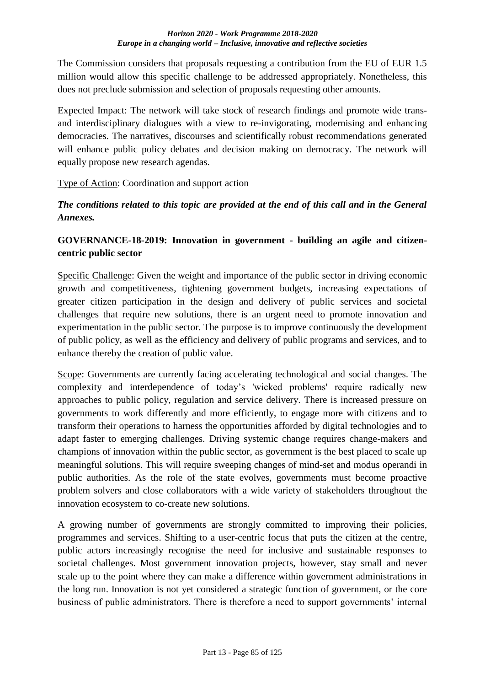The Commission considers that proposals requesting a contribution from the EU of EUR 1.5 million would allow this specific challenge to be addressed appropriately. Nonetheless, this does not preclude submission and selection of proposals requesting other amounts.

Expected Impact: The network will take stock of research findings and promote wide transand interdisciplinary dialogues with a view to re-invigorating, modernising and enhancing democracies. The narratives, discourses and scientifically robust recommendations generated will enhance public policy debates and decision making on democracy. The network will equally propose new research agendas.

### Type of Action: Coordination and support action

*The conditions related to this topic are provided at the end of this call and in the General Annexes.*

### **GOVERNANCE-18-2019: Innovation in government - building an agile and citizencentric public sector**

Specific Challenge: Given the weight and importance of the public sector in driving economic growth and competitiveness, tightening government budgets, increasing expectations of greater citizen participation in the design and delivery of public services and societal challenges that require new solutions, there is an urgent need to promote innovation and experimentation in the public sector. The purpose is to improve continuously the development of public policy, as well as the efficiency and delivery of public programs and services, and to enhance thereby the creation of public value.

Scope: Governments are currently facing accelerating technological and social changes. The complexity and interdependence of today's 'wicked problems' require radically new approaches to public policy, regulation and service delivery. There is increased pressure on governments to work differently and more efficiently, to engage more with citizens and to transform their operations to harness the opportunities afforded by digital technologies and to adapt faster to emerging challenges. Driving systemic change requires change-makers and champions of innovation within the public sector, as government is the best placed to scale up meaningful solutions. This will require sweeping changes of mind-set and modus operandi in public authorities. As the role of the state evolves, governments must become proactive problem solvers and close collaborators with a wide variety of stakeholders throughout the innovation ecosystem to co-create new solutions.

A growing number of governments are strongly committed to improving their policies, programmes and services. Shifting to a user-centric focus that puts the citizen at the centre, public actors increasingly recognise the need for inclusive and sustainable responses to societal challenges. Most government innovation projects, however, stay small and never scale up to the point where they can make a difference within government administrations in the long run. Innovation is not yet considered a strategic function of government, or the core business of public administrators. There is therefore a need to support governments' internal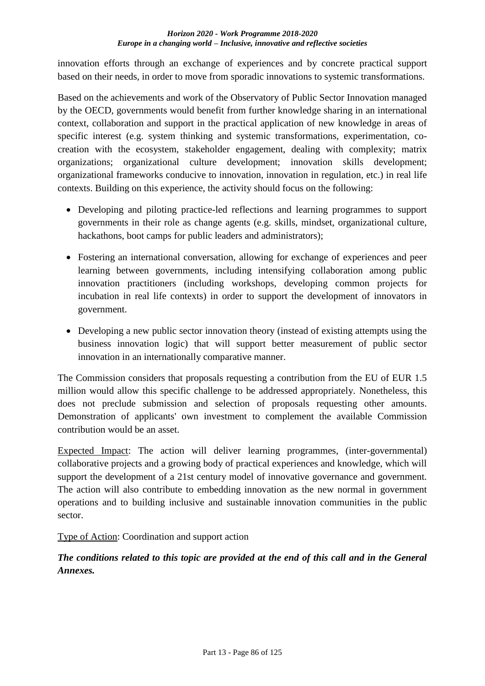innovation efforts through an exchange of experiences and by concrete practical support based on their needs, in order to move from sporadic innovations to systemic transformations.

Based on the achievements and work of the Observatory of Public Sector Innovation managed by the OECD, governments would benefit from further knowledge sharing in an international context, collaboration and support in the practical application of new knowledge in areas of specific interest (e.g. system thinking and systemic transformations, experimentation, cocreation with the ecosystem, stakeholder engagement, dealing with complexity; matrix organizations; organizational culture development; innovation skills development; organizational frameworks conducive to innovation, innovation in regulation, etc.) in real life contexts. Building on this experience, the activity should focus on the following:

- Developing and piloting practice-led reflections and learning programmes to support governments in their role as change agents (e.g. skills, mindset, organizational culture, hackathons, boot camps for public leaders and administrators);
- Fostering an international conversation, allowing for exchange of experiences and peer learning between governments, including intensifying collaboration among public innovation practitioners (including workshops, developing common projects for incubation in real life contexts) in order to support the development of innovators in government.
- Developing a new public sector innovation theory (instead of existing attempts using the business innovation logic) that will support better measurement of public sector innovation in an internationally comparative manner.

The Commission considers that proposals requesting a contribution from the EU of EUR 1.5 million would allow this specific challenge to be addressed appropriately. Nonetheless, this does not preclude submission and selection of proposals requesting other amounts. Demonstration of applicants' own investment to complement the available Commission contribution would be an asset.

Expected Impact: The action will deliver learning programmes, (inter-governmental) collaborative projects and a growing body of practical experiences and knowledge, which will support the development of a 21st century model of innovative governance and government. The action will also contribute to embedding innovation as the new normal in government operations and to building inclusive and sustainable innovation communities in the public sector.

Type of Action: Coordination and support action

*The conditions related to this topic are provided at the end of this call and in the General Annexes.*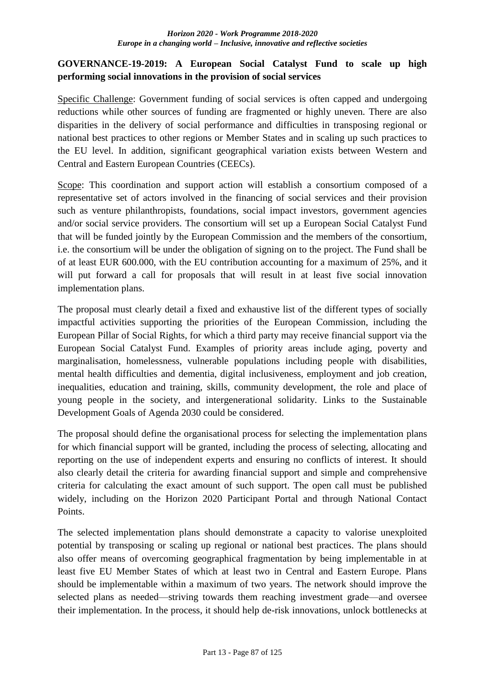### **GOVERNANCE-19-2019: A European Social Catalyst Fund to scale up high performing social innovations in the provision of social services**

Specific Challenge: Government funding of social services is often capped and undergoing reductions while other sources of funding are fragmented or highly uneven. There are also disparities in the delivery of social performance and difficulties in transposing regional or national best practices to other regions or Member States and in scaling up such practices to the EU level. In addition, significant geographical variation exists between Western and Central and Eastern European Countries (CEECs).

Scope: This coordination and support action will establish a consortium composed of a representative set of actors involved in the financing of social services and their provision such as venture philanthropists, foundations, social impact investors, government agencies and/or social service providers. The consortium will set up a European Social Catalyst Fund that will be funded jointly by the European Commission and the members of the consortium, i.e. the consortium will be under the obligation of signing on to the project. The Fund shall be of at least EUR 600.000, with the EU contribution accounting for a maximum of 25%, and it will put forward a call for proposals that will result in at least five social innovation implementation plans.

The proposal must clearly detail a fixed and exhaustive list of the different types of socially impactful activities supporting the priorities of the European Commission, including the European Pillar of Social Rights, for which a third party may receive financial support via the European Social Catalyst Fund. Examples of priority areas include aging, poverty and marginalisation, homelessness, vulnerable populations including people with disabilities, mental health difficulties and dementia, digital inclusiveness, employment and job creation, inequalities, education and training, skills, community development, the role and place of young people in the society, and intergenerational solidarity. Links to the Sustainable Development Goals of Agenda 2030 could be considered.

The proposal should define the organisational process for selecting the implementation plans for which financial support will be granted, including the process of selecting, allocating and reporting on the use of independent experts and ensuring no conflicts of interest. It should also clearly detail the criteria for awarding financial support and simple and comprehensive criteria for calculating the exact amount of such support. The open call must be published widely, including on the Horizon 2020 Participant Portal and through National Contact Points.

The selected implementation plans should demonstrate a capacity to valorise unexploited potential by transposing or scaling up regional or national best practices. The plans should also offer means of overcoming geographical fragmentation by being implementable in at least five EU Member States of which at least two in Central and Eastern Europe. Plans should be implementable within a maximum of two years. The network should improve the selected plans as needed—striving towards them reaching investment grade—and oversee their implementation. In the process, it should help de-risk innovations, unlock bottlenecks at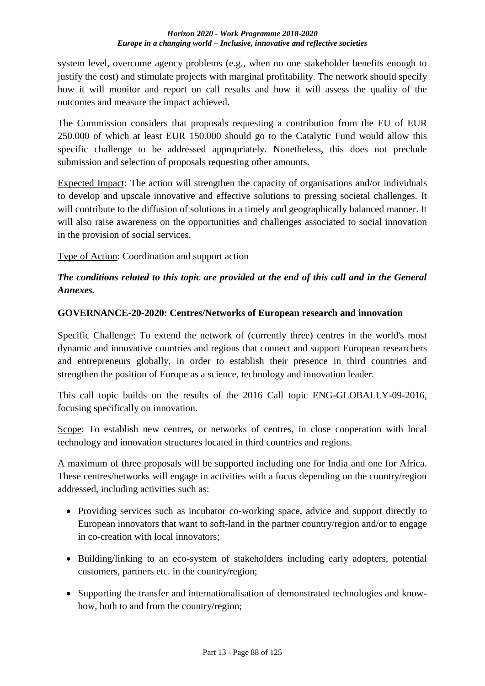system level, overcome agency problems (e.g., when no one stakeholder benefits enough to justify the cost) and stimulate projects with marginal profitability. The network should specify how it will monitor and report on call results and how it will assess the quality of the outcomes and measure the impact achieved.

The Commission considers that proposals requesting a contribution from the EU of EUR 250.000 of which at least EUR 150.000 should go to the Catalytic Fund would allow this specific challenge to be addressed appropriately. Nonetheless, this does not preclude submission and selection of proposals requesting other amounts.

Expected Impact: The action will strengthen the capacity of organisations and/or individuals to develop and upscale innovative and effective solutions to pressing societal challenges. It will contribute to the diffusion of solutions in a timely and geographically balanced manner. It will also raise awareness on the opportunities and challenges associated to social innovation in the provision of social services.

Type of Action: Coordination and support action

## *The conditions related to this topic are provided at the end of this call and in the General Annexes.*

### **GOVERNANCE-20-2020: Centres/Networks of European research and innovation**

Specific Challenge: To extend the network of (currently three) centres in the world's most dynamic and innovative countries and regions that connect and support European researchers and entrepreneurs globally, in order to establish their presence in third countries and strengthen the position of Europe as a science, technology and innovation leader.

This call topic builds on the results of the 2016 Call topic ENG-GLOBALLY-09-2016, focusing specifically on innovation.

Scope: To establish new centres, or networks of centres, in close cooperation with local technology and innovation structures located in third countries and regions.

A maximum of three proposals will be supported including one for India and one for Africa. These centres/networks will engage in activities with a focus depending on the country/region addressed, including activities such as:

- Providing services such as incubator co-working space, advice and support directly to European innovators that want to soft-land in the partner country/region and/or to engage in co-creation with local innovators;
- Building/linking to an eco-system of stakeholders including early adopters, potential customers, partners etc. in the country/region;
- Supporting the transfer and internationalisation of demonstrated technologies and knowhow, both to and from the country/region;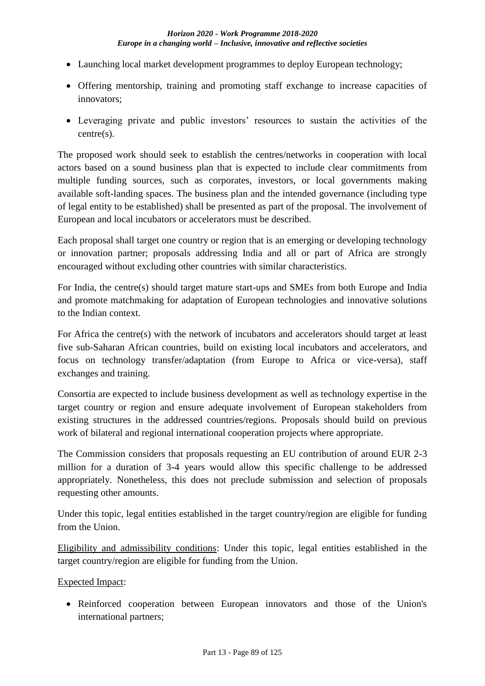- Launching local market development programmes to deploy European technology;
- Offering mentorship, training and promoting staff exchange to increase capacities of innovators;
- Leveraging private and public investors' resources to sustain the activities of the centre(s).

The proposed work should seek to establish the centres/networks in cooperation with local actors based on a sound business plan that is expected to include clear commitments from multiple funding sources, such as corporates, investors, or local governments making available soft-landing spaces. The business plan and the intended governance (including type of legal entity to be established) shall be presented as part of the proposal. The involvement of European and local incubators or accelerators must be described.

Each proposal shall target one country or region that is an emerging or developing technology or innovation partner; proposals addressing India and all or part of Africa are strongly encouraged without excluding other countries with similar characteristics.

For India, the centre(s) should target mature start-ups and SMEs from both Europe and India and promote matchmaking for adaptation of European technologies and innovative solutions to the Indian context.

For Africa the centre(s) with the network of incubators and accelerators should target at least five sub-Saharan African countries, build on existing local incubators and accelerators, and focus on technology transfer/adaptation (from Europe to Africa or vice-versa), staff exchanges and training.

Consortia are expected to include business development as well as technology expertise in the target country or region and ensure adequate involvement of European stakeholders from existing structures in the addressed countries/regions. Proposals should build on previous work of bilateral and regional international cooperation projects where appropriate.

The Commission considers that proposals requesting an EU contribution of around EUR 2-3 million for a duration of 3-4 years would allow this specific challenge to be addressed appropriately. Nonetheless, this does not preclude submission and selection of proposals requesting other amounts.

Under this topic, legal entities established in the target country/region are eligible for funding from the Union.

Eligibility and admissibility conditions: Under this topic, legal entities established in the target country/region are eligible for funding from the Union.

Expected Impact:

• Reinforced cooperation between European innovators and those of the Union's international partners;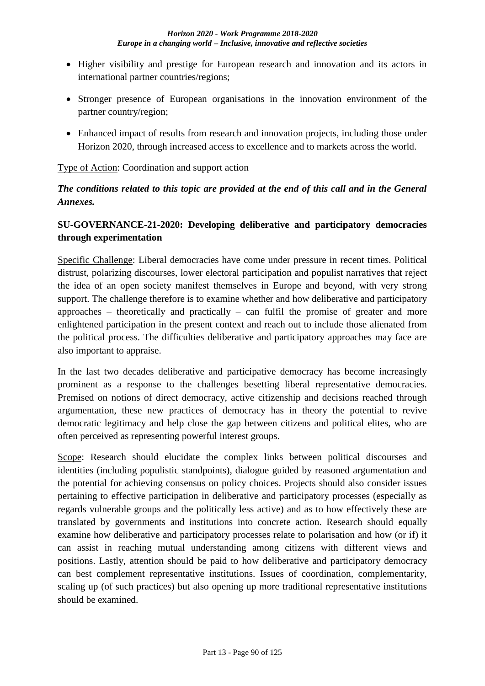- Higher visibility and prestige for European research and innovation and its actors in international partner countries/regions;
- Stronger presence of European organisations in the innovation environment of the partner country/region;
- Enhanced impact of results from research and innovation projects, including those under Horizon 2020, through increased access to excellence and to markets across the world.

### Type of Action: Coordination and support action

## *The conditions related to this topic are provided at the end of this call and in the General Annexes.*

## **SU-GOVERNANCE-21-2020: Developing deliberative and participatory democracies through experimentation**

Specific Challenge: Liberal democracies have come under pressure in recent times. Political distrust, polarizing discourses, lower electoral participation and populist narratives that reject the idea of an open society manifest themselves in Europe and beyond, with very strong support. The challenge therefore is to examine whether and how deliberative and participatory approaches – theoretically and practically – can fulfil the promise of greater and more enlightened participation in the present context and reach out to include those alienated from the political process. The difficulties deliberative and participatory approaches may face are also important to appraise.

In the last two decades deliberative and participative democracy has become increasingly prominent as a response to the challenges besetting liberal representative democracies. Premised on notions of direct democracy, active citizenship and decisions reached through argumentation, these new practices of democracy has in theory the potential to revive democratic legitimacy and help close the gap between citizens and political elites, who are often perceived as representing powerful interest groups.

Scope: Research should elucidate the complex links between political discourses and identities (including populistic standpoints), dialogue guided by reasoned argumentation and the potential for achieving consensus on policy choices. Projects should also consider issues pertaining to effective participation in deliberative and participatory processes (especially as regards vulnerable groups and the politically less active) and as to how effectively these are translated by governments and institutions into concrete action. Research should equally examine how deliberative and participatory processes relate to polarisation and how (or if) it can assist in reaching mutual understanding among citizens with different views and positions. Lastly, attention should be paid to how deliberative and participatory democracy can best complement representative institutions. Issues of coordination, complementarity, scaling up (of such practices) but also opening up more traditional representative institutions should be examined.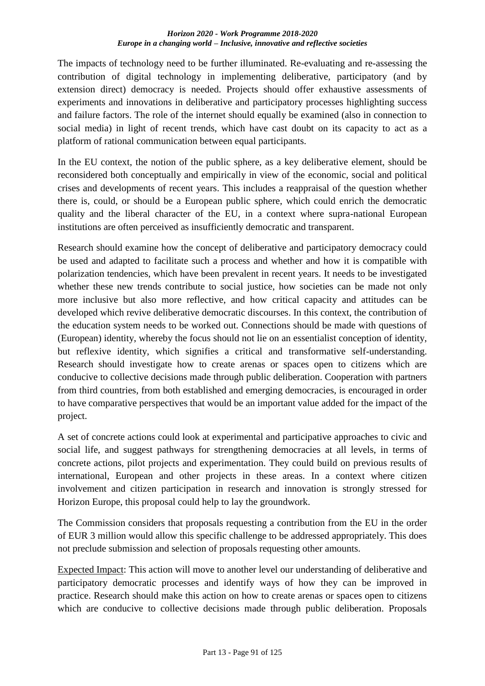The impacts of technology need to be further illuminated. Re-evaluating and re-assessing the contribution of digital technology in implementing deliberative, participatory (and by extension direct) democracy is needed. Projects should offer exhaustive assessments of experiments and innovations in deliberative and participatory processes highlighting success and failure factors. The role of the internet should equally be examined (also in connection to social media) in light of recent trends, which have cast doubt on its capacity to act as a platform of rational communication between equal participants.

In the EU context, the notion of the public sphere, as a key deliberative element, should be reconsidered both conceptually and empirically in view of the economic, social and political crises and developments of recent years. This includes a reappraisal of the question whether there is, could, or should be a European public sphere, which could enrich the democratic quality and the liberal character of the EU, in a context where supra-national European institutions are often perceived as insufficiently democratic and transparent.

Research should examine how the concept of deliberative and participatory democracy could be used and adapted to facilitate such a process and whether and how it is compatible with polarization tendencies, which have been prevalent in recent years. It needs to be investigated whether these new trends contribute to social justice, how societies can be made not only more inclusive but also more reflective, and how critical capacity and attitudes can be developed which revive deliberative democratic discourses. In this context, the contribution of the education system needs to be worked out. Connections should be made with questions of (European) identity, whereby the focus should not lie on an essentialist conception of identity, but reflexive identity, which signifies a critical and transformative self-understanding. Research should investigate how to create arenas or spaces open to citizens which are conducive to collective decisions made through public deliberation. Cooperation with partners from third countries, from both established and emerging democracies, is encouraged in order to have comparative perspectives that would be an important value added for the impact of the project.

A set of concrete actions could look at experimental and participative approaches to civic and social life, and suggest pathways for strengthening democracies at all levels, in terms of concrete actions, pilot projects and experimentation. They could build on previous results of international, European and other projects in these areas. In a context where citizen involvement and citizen participation in research and innovation is strongly stressed for Horizon Europe, this proposal could help to lay the groundwork.

The Commission considers that proposals requesting a contribution from the EU in the order of EUR 3 million would allow this specific challenge to be addressed appropriately. This does not preclude submission and selection of proposals requesting other amounts.

Expected Impact: This action will move to another level our understanding of deliberative and participatory democratic processes and identify ways of how they can be improved in practice. Research should make this action on how to create arenas or spaces open to citizens which are conducive to collective decisions made through public deliberation. Proposals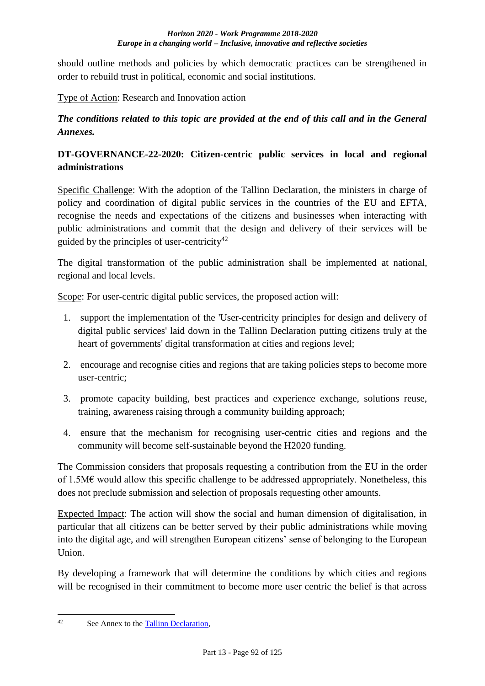should outline methods and policies by which democratic practices can be strengthened in order to rebuild trust in political, economic and social institutions.

Type of Action: Research and Innovation action

*The conditions related to this topic are provided at the end of this call and in the General Annexes.*

## **DT-GOVERNANCE-22-2020: Citizen-centric public services in local and regional administrations**

Specific Challenge: With the adoption of the Tallinn Declaration, the ministers in charge of policy and coordination of digital public services in the countries of the EU and EFTA, recognise the needs and expectations of the citizens and businesses when interacting with public administrations and commit that the design and delivery of their services will be guided by the principles of user-centricity<sup>42</sup>

The digital transformation of the public administration shall be implemented at national, regional and local levels.

Scope: For user-centric digital public services, the proposed action will:

- 1. support the implementation of the 'User-centricity principles for design and delivery of digital public services' laid down in the Tallinn Declaration putting citizens truly at the heart of governments' digital transformation at cities and regions level;
- 2. encourage and recognise cities and regions that are taking policies steps to become more user-centric;
- 3. promote capacity building, best practices and experience exchange, solutions reuse, training, awareness raising through a community building approach;
- 4. ensure that the mechanism for recognising user-centric cities and regions and the community will become self-sustainable beyond the H2020 funding.

The Commission considers that proposals requesting a contribution from the EU in the order of 1.5M€ would allow this specific challenge to be addressed appropriately. Nonetheless, this does not preclude submission and selection of proposals requesting other amounts.

Expected Impact: The action will show the social and human dimension of digitalisation, in particular that all citizens can be better served by their public administrations while moving into the digital age, and will strengthen European citizens' sense of belonging to the European Union.

By developing a framework that will determine the conditions by which cities and regions will be recognised in their commitment to become more user centric the belief is that across

 $42$ See Annex to the [Tallinn Declaration,](http://ec.europa.eu/newsroom/document.cfm?doc_id=47559)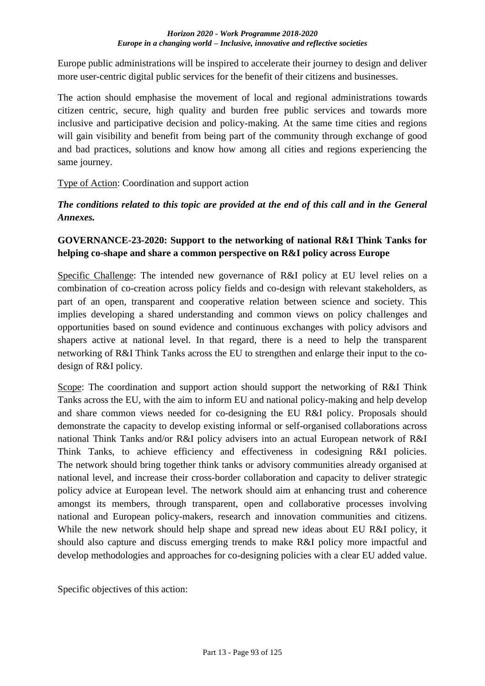Europe public administrations will be inspired to accelerate their journey to design and deliver more user-centric digital public services for the benefit of their citizens and businesses.

The action should emphasise the movement of local and regional administrations towards citizen centric, secure, high quality and burden free public services and towards more inclusive and participative decision and policy-making. At the same time cities and regions will gain visibility and benefit from being part of the community through exchange of good and bad practices, solutions and know how among all cities and regions experiencing the same journey.

### Type of Action: Coordination and support action

*The conditions related to this topic are provided at the end of this call and in the General Annexes.*

## **GOVERNANCE-23-2020: Support to the networking of national R&I Think Tanks for helping co-shape and share a common perspective on R&I policy across Europe**

Specific Challenge: The intended new governance of R&I policy at EU level relies on a combination of co-creation across policy fields and co-design with relevant stakeholders, as part of an open, transparent and cooperative relation between science and society. This implies developing a shared understanding and common views on policy challenges and opportunities based on sound evidence and continuous exchanges with policy advisors and shapers active at national level. In that regard, there is a need to help the transparent networking of R&I Think Tanks across the EU to strengthen and enlarge their input to the codesign of R&I policy.

Scope: The coordination and support action should support the networking of R&I Think Tanks across the EU, with the aim to inform EU and national policy-making and help develop and share common views needed for co-designing the EU R&I policy. Proposals should demonstrate the capacity to develop existing informal or self-organised collaborations across national Think Tanks and/or R&I policy advisers into an actual European network of R&I Think Tanks, to achieve efficiency and effectiveness in codesigning R&I policies. The network should bring together think tanks or advisory communities already organised at national level, and increase their cross-border collaboration and capacity to deliver strategic policy advice at European level. The network should aim at enhancing trust and coherence amongst its members, through transparent, open and collaborative processes involving national and European policy-makers, research and innovation communities and citizens. While the new network should help shape and spread new ideas about EU R&I policy, it should also capture and discuss emerging trends to make R&I policy more impactful and develop methodologies and approaches for co-designing policies with a clear EU added value.

Specific objectives of this action: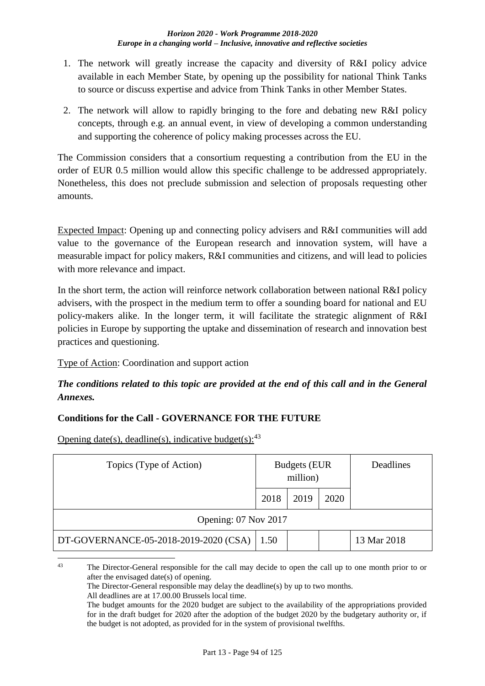- 1. The network will greatly increase the capacity and diversity of R&I policy advice available in each Member State, by opening up the possibility for national Think Tanks to source or discuss expertise and advice from Think Tanks in other Member States.
- 2. The network will allow to rapidly bringing to the fore and debating new R&I policy concepts, through e.g. an annual event, in view of developing a common understanding and supporting the coherence of policy making processes across the EU.

The Commission considers that a consortium requesting a contribution from the EU in the order of EUR 0.5 million would allow this specific challenge to be addressed appropriately. Nonetheless, this does not preclude submission and selection of proposals requesting other amounts.

Expected Impact: Opening up and connecting policy advisers and R&I communities will add value to the governance of the European research and innovation system, will have a measurable impact for policy makers, R&I communities and citizens, and will lead to policies with more relevance and impact.

In the short term, the action will reinforce network collaboration between national R&I policy advisers, with the prospect in the medium term to offer a sounding board for national and EU policy-makers alike. In the longer term, it will facilitate the strategic alignment of R&I policies in Europe by supporting the uptake and dissemination of research and innovation best practices and questioning.

Type of Action: Coordination and support action

## *The conditions related to this topic are provided at the end of this call and in the General Annexes.*

## **Conditions for the Call - GOVERNANCE FOR THE FUTURE**

Opening date(s), deadline(s), indicative budget(s):  $43$ 

| Topics (Type of Action)               | <b>Budgets</b> (EUR<br>million) |      | Deadlines |             |
|---------------------------------------|---------------------------------|------|-----------|-------------|
|                                       | 2018                            | 2019 | 2020      |             |
| Opening: 07 Nov 2017                  |                                 |      |           |             |
| DT-GOVERNANCE-05-2018-2019-2020 (CSA) | 1.50                            |      |           | 13 Mar 2018 |

 $43$ <sup>43</sup> The Director-General responsible for the call may decide to open the call up to one month prior to or after the envisaged date(s) of opening.

The Director-General responsible may delay the deadline(s) by up to two months.

All deadlines are at 17.00.00 Brussels local time.

The budget amounts for the 2020 budget are subject to the availability of the appropriations provided for in the draft budget for 2020 after the adoption of the budget 2020 by the budgetary authority or, if the budget is not adopted, as provided for in the system of provisional twelfths.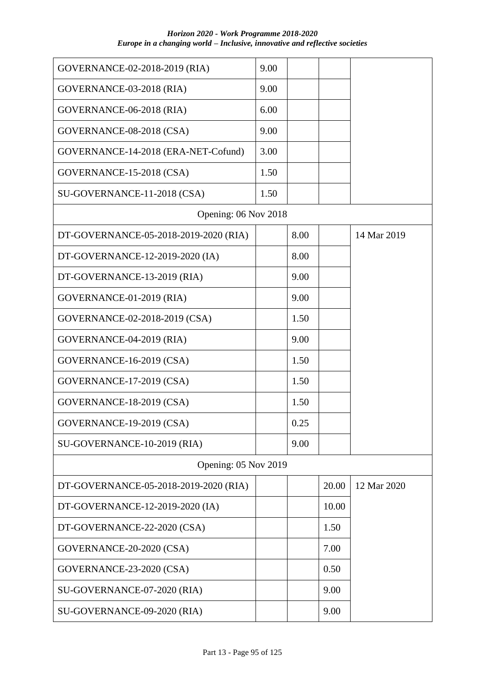| GOVERNANCE-02-2018-2019 (RIA)         | 9.00 |      |       |             |
|---------------------------------------|------|------|-------|-------------|
| GOVERNANCE-03-2018 (RIA)              | 9.00 |      |       |             |
| GOVERNANCE-06-2018 (RIA)              | 6.00 |      |       |             |
| GOVERNANCE-08-2018 (CSA)              | 9.00 |      |       |             |
| GOVERNANCE-14-2018 (ERA-NET-Cofund)   | 3.00 |      |       |             |
| GOVERNANCE-15-2018 (CSA)              | 1.50 |      |       |             |
| SU-GOVERNANCE-11-2018 (CSA)           | 1.50 |      |       |             |
| Opening: 06 Nov 2018                  |      |      |       |             |
| DT-GOVERNANCE-05-2018-2019-2020 (RIA) |      | 8.00 |       | 14 Mar 2019 |
| DT-GOVERNANCE-12-2019-2020 (IA)       |      | 8.00 |       |             |
| DT-GOVERNANCE-13-2019 (RIA)           |      | 9.00 |       |             |
| GOVERNANCE-01-2019 (RIA)              |      | 9.00 |       |             |
| GOVERNANCE-02-2018-2019 (CSA)         |      | 1.50 |       |             |
| GOVERNANCE-04-2019 (RIA)              |      | 9.00 |       |             |
| GOVERNANCE-16-2019 (CSA)              |      | 1.50 |       |             |
| GOVERNANCE-17-2019 (CSA)              |      | 1.50 |       |             |
| GOVERNANCE-18-2019 (CSA)              |      | 1.50 |       |             |
| GOVERNANCE-19-2019 (CSA)              |      | 0.25 |       |             |
| SU-GOVERNANCE-10-2019 (RIA)           |      | 9.00 |       |             |
| Opening: 05 Nov 2019                  |      |      |       |             |
| DT-GOVERNANCE-05-2018-2019-2020 (RIA) |      |      | 20.00 | 12 Mar 2020 |
| DT-GOVERNANCE-12-2019-2020 (IA)       |      |      | 10.00 |             |
| DT-GOVERNANCE-22-2020 (CSA)           |      |      | 1.50  |             |
| GOVERNANCE-20-2020 (CSA)              |      |      | 7.00  |             |
| GOVERNANCE-23-2020 (CSA)              |      |      | 0.50  |             |
| SU-GOVERNANCE-07-2020 (RIA)           |      |      | 9.00  |             |
| SU-GOVERNANCE-09-2020 (RIA)           |      |      | 9.00  |             |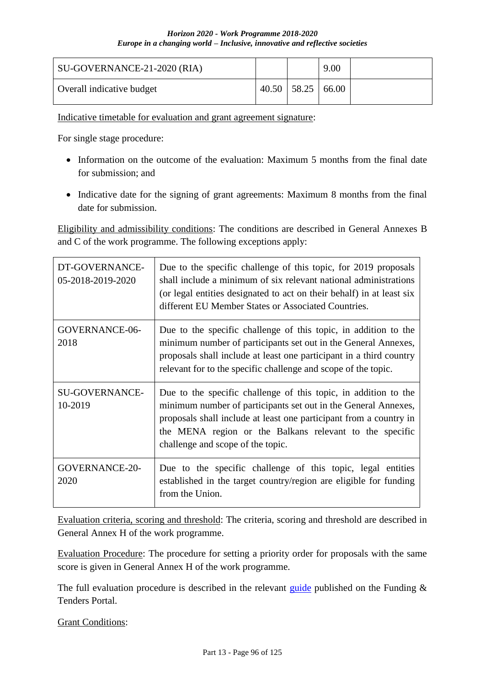| SU-GOVERNANCE-21-2020 (RIA) |               | 9.00  |  |
|-----------------------------|---------------|-------|--|
| Overall indicative budget   | $40.50$ 58.25 | 66.00 |  |

Indicative timetable for evaluation and grant agreement signature:

For single stage procedure:

- Information on the outcome of the evaluation: Maximum 5 months from the final date for submission; and
- Indicative date for the signing of grant agreements: Maximum 8 months from the final date for submission.

Eligibility and admissibility conditions: The conditions are described in General Annexes B and C of the work programme. The following exceptions apply:

| DT-GOVERNANCE-<br>05-2018-2019-2020 | Due to the specific challenge of this topic, for 2019 proposals<br>shall include a minimum of six relevant national administrations<br>(or legal entities designated to act on their behalf) in at least six<br>different EU Member States or Associated Countries.                                     |
|-------------------------------------|---------------------------------------------------------------------------------------------------------------------------------------------------------------------------------------------------------------------------------------------------------------------------------------------------------|
| GOVERNANCE-06-<br>2018              | Due to the specific challenge of this topic, in addition to the<br>minimum number of participants set out in the General Annexes,<br>proposals shall include at least one participant in a third country<br>relevant for to the specific challenge and scope of the topic.                              |
| <b>SU-GOVERNANCE-</b><br>10-2019    | Due to the specific challenge of this topic, in addition to the<br>minimum number of participants set out in the General Annexes,<br>proposals shall include at least one participant from a country in<br>the MENA region or the Balkans relevant to the specific<br>challenge and scope of the topic. |
| <b>GOVERNANCE-20-</b><br>2020       | Due to the specific challenge of this topic, legal entities<br>established in the target country/region are eligible for funding<br>from the Union.                                                                                                                                                     |

Evaluation criteria, scoring and threshold: The criteria, scoring and threshold are described in General Annex H of the work programme.

Evaluation Procedure: The procedure for setting a priority order for proposals with the same score is given in General Annex H of the work programme.

The full evaluation procedure is described in the relevant [guide](http://ec.europa.eu/research/participants/docs/h2020-funding-guide/grants/applying-for-funding/submit-proposals_en.htm) published on the Funding  $\&$ Tenders Portal.

Grant Conditions: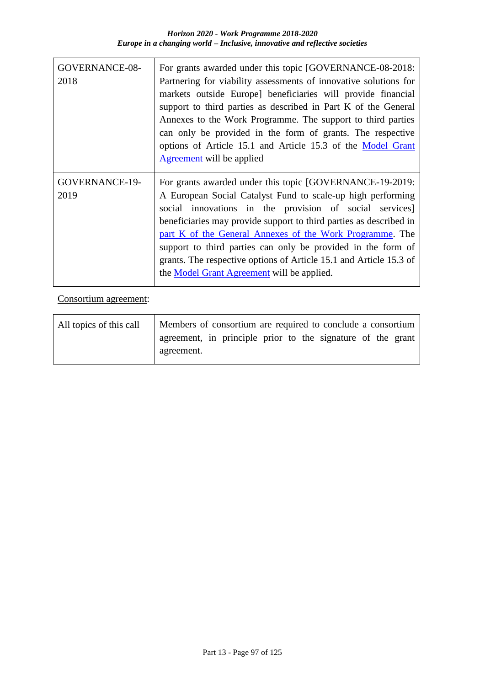| <b>GOVERNANCE-08-</b><br>2018 | For grants awarded under this topic [GOVERNANCE-08-2018:<br>Partnering for viability assessments of innovative solutions for<br>markets outside Europe] beneficiaries will provide financial<br>support to third parties as described in Part K of the General<br>Annexes to the Work Programme. The support to third parties<br>can only be provided in the form of grants. The respective<br>options of Article 15.1 and Article 15.3 of the Model Grant<br><b>Agreement</b> will be applied           |
|-------------------------------|----------------------------------------------------------------------------------------------------------------------------------------------------------------------------------------------------------------------------------------------------------------------------------------------------------------------------------------------------------------------------------------------------------------------------------------------------------------------------------------------------------|
| <b>GOVERNANCE-19-</b><br>2019 | For grants awarded under this topic [GOVERNANCE-19-2019:<br>A European Social Catalyst Fund to scale-up high performing<br>social innovations in the provision of social services]<br>beneficiaries may provide support to third parties as described in<br>part K of the General Annexes of the Work Programme. The<br>support to third parties can only be provided in the form of<br>grants. The respective options of Article 15.1 and Article 15.3 of<br>the Model Grant Agreement will be applied. |

Consortium agreement:

| All topics of this call | Members of consortium are required to conclude a consortium               |  |
|-------------------------|---------------------------------------------------------------------------|--|
|                         | agreement, in principle prior to the signature of the grant<br>agreement. |  |
|                         |                                                                           |  |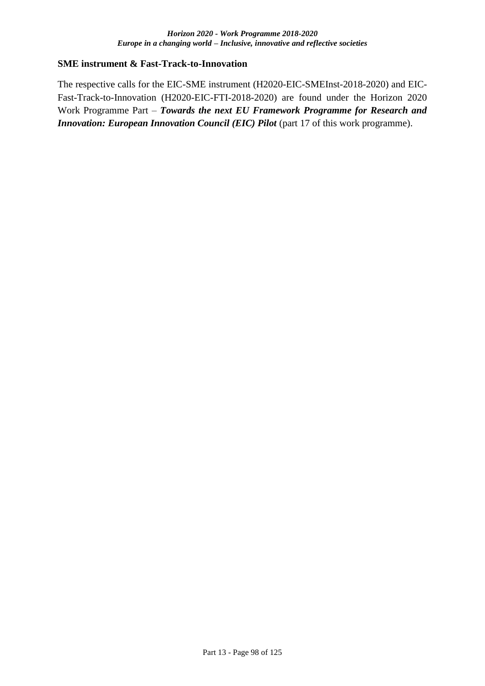#### **SME instrument & Fast-Track-to-Innovation**

The respective calls for the EIC-SME instrument (H2020-EIC-SMEInst-2018-2020) and EIC-Fast-Track-to-Innovation (H2020-EIC-FTI-2018-2020) are found under the Horizon 2020 Work Programme Part – *Towards the next EU Framework Programme for Research and Innovation: European Innovation Council (EIC) Pilot (part 17 of this work programme).*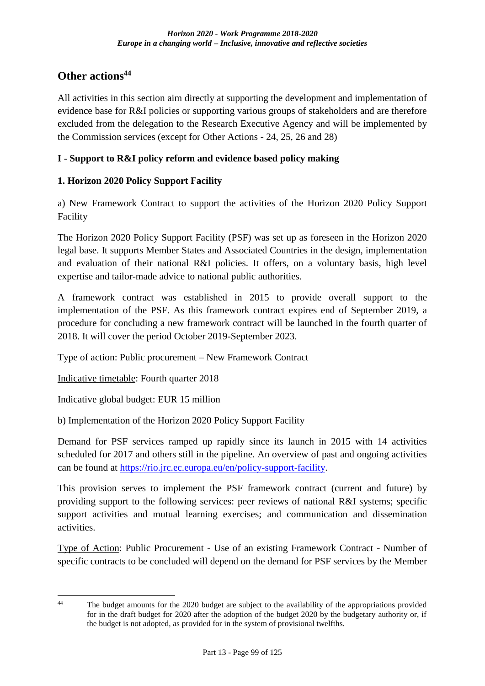# **Other actions<sup>44</sup>**

All activities in this section aim directly at supporting the development and implementation of evidence base for R&I policies or supporting various groups of stakeholders and are therefore excluded from the delegation to the Research Executive Agency and will be implemented by the Commission services (except for Other Actions - 24, 25, 26 and 28)

## **I - Support to R&I policy reform and evidence based policy making**

## **1. Horizon 2020 Policy Support Facility**

a) New Framework Contract to support the activities of the Horizon 2020 Policy Support Facility

The Horizon 2020 Policy Support Facility (PSF) was set up as foreseen in the Horizon 2020 legal base. It supports Member States and Associated Countries in the design, implementation and evaluation of their national R&I policies. It offers, on a voluntary basis, high level expertise and tailor-made advice to national public authorities.

A framework contract was established in 2015 to provide overall support to the implementation of the PSF. As this framework contract expires end of September 2019, a procedure for concluding a new framework contract will be launched in the fourth quarter of 2018. It will cover the period October 2019-September 2023.

Type of action: Public procurement – New Framework Contract

Indicative timetable: Fourth quarter 2018

Indicative global budget: EUR 15 million

b) Implementation of the Horizon 2020 Policy Support Facility

Demand for PSF services ramped up rapidly since its launch in 2015 with 14 activities scheduled for 2017 and others still in the pipeline. An overview of past and ongoing activities can be found at [https://rio.jrc.ec.europa.eu/en/policy-support-facility.](https://rio.jrc.ec.europa.eu/en/policy-support-facility)

This provision serves to implement the PSF framework contract (current and future) by providing support to the following services: peer reviews of national R&I systems; specific support activities and mutual learning exercises; and communication and dissemination activities.

Type of Action: Public Procurement - Use of an existing Framework Contract - Number of specific contracts to be concluded will depend on the demand for PSF services by the Member

 $\overline{44}$ The budget amounts for the 2020 budget are subject to the availability of the appropriations provided for in the draft budget for 2020 after the adoption of the budget 2020 by the budgetary authority or, if the budget is not adopted, as provided for in the system of provisional twelfths.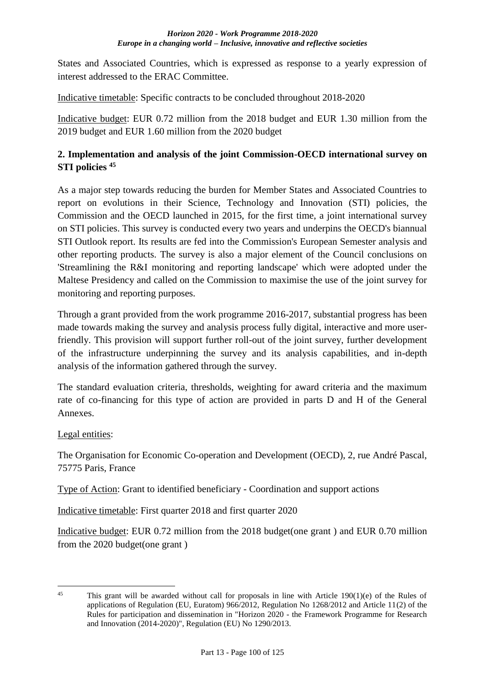States and Associated Countries, which is expressed as response to a yearly expression of interest addressed to the ERAC Committee.

Indicative timetable: Specific contracts to be concluded throughout 2018-2020

Indicative budget: EUR 0.72 million from the 2018 budget and EUR 1.30 million from the 2019 budget and EUR 1.60 million from the 2020 budget

## **2. Implementation and analysis of the joint Commission-OECD international survey on STI policies <sup>45</sup>**

As a major step towards reducing the burden for Member States and Associated Countries to report on evolutions in their Science, Technology and Innovation (STI) policies, the Commission and the OECD launched in 2015, for the first time, a joint international survey on STI policies. This survey is conducted every two years and underpins the OECD's biannual STI Outlook report. Its results are fed into the Commission's European Semester analysis and other reporting products. The survey is also a major element of the Council conclusions on 'Streamlining the R&I monitoring and reporting landscape' which were adopted under the Maltese Presidency and called on the Commission to maximise the use of the joint survey for monitoring and reporting purposes.

Through a grant provided from the work programme 2016-2017, substantial progress has been made towards making the survey and analysis process fully digital, interactive and more userfriendly. This provision will support further roll-out of the joint survey, further development of the infrastructure underpinning the survey and its analysis capabilities, and in-depth analysis of the information gathered through the survey.

The standard evaluation criteria, thresholds, weighting for award criteria and the maximum rate of co-financing for this type of action are provided in parts D and H of the General Annexes.

### Legal entities:

The Organisation for Economic Co-operation and Development (OECD), 2, rue André Pascal, 75775 Paris, France

Type of Action: Grant to identified beneficiary - Coordination and support actions

Indicative timetable: First quarter 2018 and first quarter 2020

Indicative budget: EUR 0.72 million from the 2018 budget(one grant ) and EUR 0.70 million from the 2020 budget(one grant )

<sup>&</sup>lt;u>.</u> <sup>45</sup> This grant will be awarded without call for proposals in line with Article 190(1)(e) of the Rules of applications of Regulation (EU, Euratom) 966/2012, Regulation No 1268/2012 and Article 11(2) of the Rules for participation and dissemination in "Horizon 2020 - the Framework Programme for Research and Innovation (2014-2020)", Regulation (EU) No 1290/2013.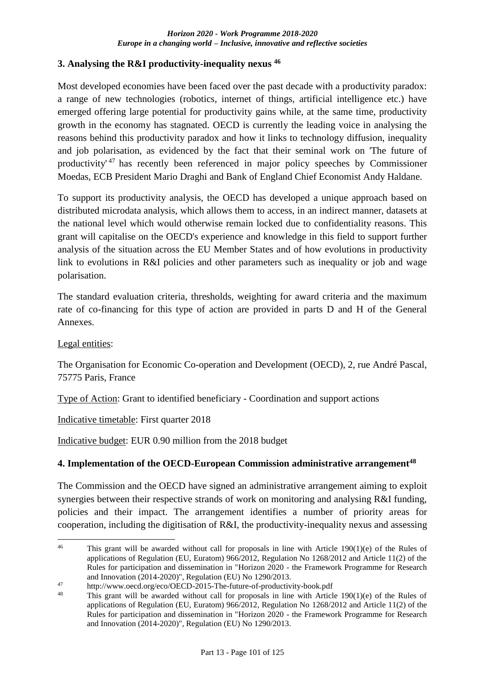### **3. Analysing the R&I productivity-inequality nexus <sup>46</sup>**

Most developed economies have been faced over the past decade with a productivity paradox: a range of new technologies (robotics, internet of things, artificial intelligence etc.) have emerged offering large potential for productivity gains while, at the same time, productivity growth in the economy has stagnated. OECD is currently the leading voice in analysing the reasons behind this productivity paradox and how it links to technology diffusion, inequality and job polarisation, as evidenced by the fact that their seminal work on 'The future of productivity' <sup>47</sup> has recently been referenced in major policy speeches by Commissioner Moedas, ECB President Mario Draghi and Bank of England Chief Economist Andy Haldane.

To support its productivity analysis, the OECD has developed a unique approach based on distributed microdata analysis, which allows them to access, in an indirect manner, datasets at the national level which would otherwise remain locked due to confidentiality reasons. This grant will capitalise on the OECD's experience and knowledge in this field to support further analysis of the situation across the EU Member States and of how evolutions in productivity link to evolutions in R&I policies and other parameters such as inequality or job and wage polarisation.

The standard evaluation criteria, thresholds, weighting for award criteria and the maximum rate of co-financing for this type of action are provided in parts D and H of the General Annexes.

#### Legal entities:

The Organisation for Economic Co-operation and Development (OECD), 2, rue André Pascal, 75775 Paris, France

Type of Action: Grant to identified beneficiary - Coordination and support actions

Indicative timetable: First quarter 2018

Indicative budget: EUR 0.90 million from the 2018 budget

### **4. Implementation of the OECD-European Commission administrative arrangement<sup>48</sup>**

The Commission and the OECD have signed an administrative arrangement aiming to exploit synergies between their respective strands of work on monitoring and analysing R&I funding, policies and their impact. The arrangement identifies a number of priority areas for cooperation, including the digitisation of R&I, the productivity-inequality nexus and assessing

 $46$ This grant will be awarded without call for proposals in line with Article  $190(1)(e)$  of the Rules of applications of Regulation (EU, Euratom) 966/2012, Regulation No 1268/2012 and Article 11(2) of the Rules for participation and dissemination in "Horizon 2020 - the Framework Programme for Research and Innovation (2014-2020)", Regulation (EU) No 1290/2013.

<sup>47</sup> http://www.oecd.org/eco/OECD-2015-The-future-of-productivity-book.pdf<br>48 This graph will be swanded without sell for proposals in line with Article

This grant will be awarded without call for proposals in line with Article 190(1)(e) of the Rules of applications of Regulation (EU, Euratom) 966/2012, Regulation No 1268/2012 and Article 11(2) of the Rules for participation and dissemination in "Horizon 2020 - the Framework Programme for Research and Innovation (2014-2020)", Regulation (EU) No 1290/2013.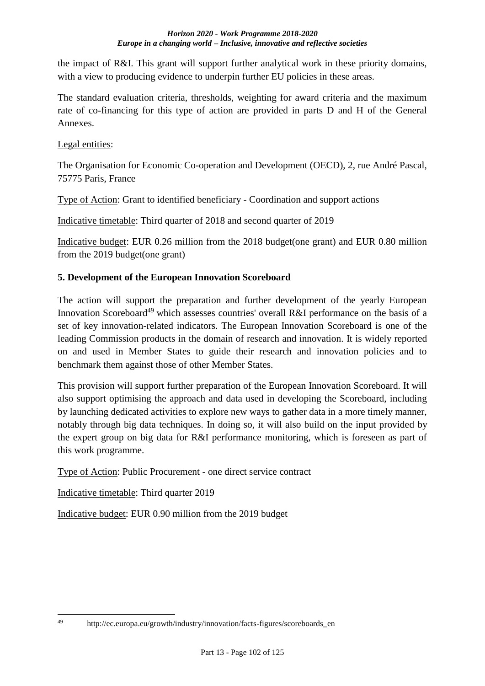the impact of R&I. This grant will support further analytical work in these priority domains, with a view to producing evidence to underpin further EU policies in these areas.

The standard evaluation criteria, thresholds, weighting for award criteria and the maximum rate of co-financing for this type of action are provided in parts D and H of the General Annexes.

Legal entities:

The Organisation for Economic Co-operation and Development (OECD), 2, rue André Pascal, 75775 Paris, France

Type of Action: Grant to identified beneficiary - Coordination and support actions

Indicative timetable: Third quarter of 2018 and second quarter of 2019

Indicative budget: EUR 0.26 million from the 2018 budget(one grant) and EUR 0.80 million from the 2019 budget(one grant)

## **5. Development of the European Innovation Scoreboard**

The action will support the preparation and further development of the yearly European Innovation Scoreboard<sup>49</sup> which assesses countries' overall R&I performance on the basis of a set of key innovation-related indicators. The European Innovation Scoreboard is one of the leading Commission products in the domain of research and innovation. It is widely reported on and used in Member States to guide their research and innovation policies and to benchmark them against those of other Member States.

This provision will support further preparation of the European Innovation Scoreboard. It will also support optimising the approach and data used in developing the Scoreboard, including by launching dedicated activities to explore new ways to gather data in a more timely manner, notably through big data techniques. In doing so, it will also build on the input provided by the expert group on big data for R&I performance monitoring, which is foreseen as part of this work programme.

Type of Action: Public Procurement - one direct service contract

Indicative timetable: Third quarter 2019

Indicative budget: EUR 0.90 million from the 2019 budget

<sup>49</sup> http://ec.europa.eu/growth/industry/innovation/facts-figures/scoreboards\_en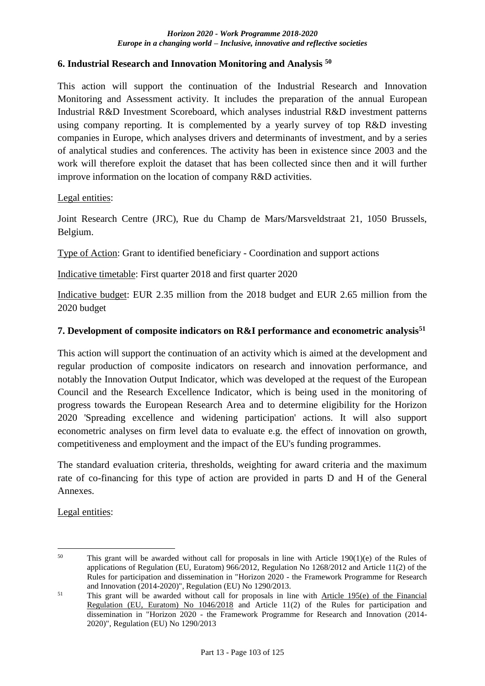#### **6. Industrial Research and Innovation Monitoring and Analysis <sup>50</sup>**

This action will support the continuation of the Industrial Research and Innovation Monitoring and Assessment activity. It includes the preparation of the annual European Industrial R&D Investment Scoreboard, which analyses industrial R&D investment patterns using company reporting. It is complemented by a yearly survey of top R&D investing companies in Europe, which analyses drivers and determinants of investment, and by a series of analytical studies and conferences. The activity has been in existence since 2003 and the work will therefore exploit the dataset that has been collected since then and it will further improve information on the location of company R&D activities.

#### Legal entities:

Joint Research Centre (JRC), Rue du Champ de Mars/Marsveldstraat 21, 1050 Brussels, Belgium.

Type of Action: Grant to identified beneficiary - Coordination and support actions

Indicative timetable: First quarter 2018 and first quarter 2020

Indicative budget: EUR 2.35 million from the 2018 budget and EUR 2.65 million from the 2020 budget

### **7. Development of composite indicators on R&I performance and econometric analysis<sup>51</sup>**

This action will support the continuation of an activity which is aimed at the development and regular production of composite indicators on research and innovation performance, and notably the Innovation Output Indicator, which was developed at the request of the European Council and the Research Excellence Indicator, which is being used in the monitoring of progress towards the European Research Area and to determine eligibility for the Horizon 2020 'Spreading excellence and widening participation' actions. It will also support econometric analyses on firm level data to evaluate e.g. the effect of innovation on growth, competitiveness and employment and the impact of the EU's funding programmes.

The standard evaluation criteria, thresholds, weighting for award criteria and the maximum rate of co-financing for this type of action are provided in parts D and H of the General Annexes.

Legal entities:

 $50$ This grant will be awarded without call for proposals in line with Article  $190(1)(e)$  of the Rules of applications of Regulation (EU, Euratom) 966/2012, Regulation No 1268/2012 and Article 11(2) of the Rules for participation and dissemination in "Horizon 2020 - the Framework Programme for Research and Innovation (2014-2020)", Regulation (EU) No 1290/2013.

<sup>51</sup> This grant will be awarded without call for proposals in line with Article 195(e) of the Financial Regulation (EU, Euratom) No 1046/2018 and Article 11(2) of the Rules for participation and dissemination in "Horizon 2020 - the Framework Programme for Research and Innovation (2014- 2020)", Regulation (EU) No 1290/2013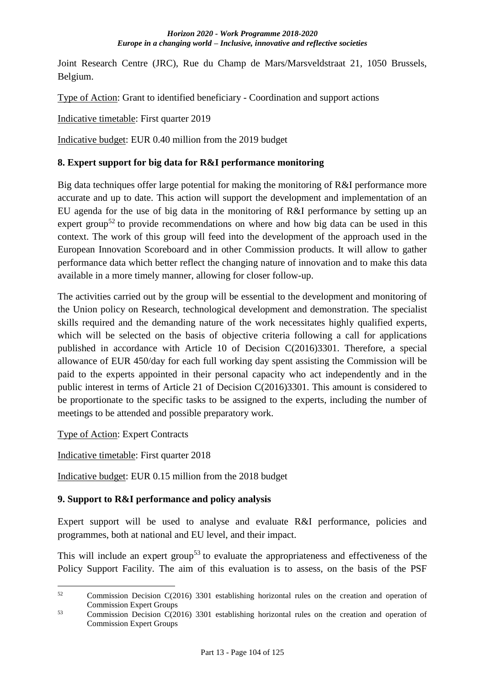Joint Research Centre (JRC), Rue du Champ de Mars/Marsveldstraat 21, 1050 Brussels, Belgium.

Type of Action: Grant to identified beneficiary - Coordination and support actions

Indicative timetable: First quarter 2019

Indicative budget: EUR 0.40 million from the 2019 budget

### **8. Expert support for big data for R&I performance monitoring**

Big data techniques offer large potential for making the monitoring of R&I performance more accurate and up to date. This action will support the development and implementation of an EU agenda for the use of big data in the monitoring of R&I performance by setting up an expert group<sup>52</sup> to provide recommendations on where and how big data can be used in this context. The work of this group will feed into the development of the approach used in the European Innovation Scoreboard and in other Commission products. It will allow to gather performance data which better reflect the changing nature of innovation and to make this data available in a more timely manner, allowing for closer follow-up.

The activities carried out by the group will be essential to the development and monitoring of the Union policy on Research, technological development and demonstration. The specialist skills required and the demanding nature of the work necessitates highly qualified experts, which will be selected on the basis of objective criteria following a call for applications published in accordance with Article 10 of Decision C(2016)3301. Therefore, a special allowance of EUR 450/day for each full working day spent assisting the Commission will be paid to the experts appointed in their personal capacity who act independently and in the public interest in terms of Article 21 of Decision C(2016)3301. This amount is considered to be proportionate to the specific tasks to be assigned to the experts, including the number of meetings to be attended and possible preparatory work.

Type of Action: Expert Contracts

Indicative timetable: First quarter 2018

Indicative budget: EUR 0.15 million from the 2018 budget

## **9. Support to R&I performance and policy analysis**

Expert support will be used to analyse and evaluate R&I performance, policies and programmes, both at national and EU level, and their impact.

This will include an expert group<sup>53</sup> to evaluate the appropriateness and effectiveness of the Policy Support Facility. The aim of this evaluation is to assess, on the basis of the PSF

 $52$ <sup>52</sup> Commission Decision C(2016) 3301 establishing horizontal rules on the creation and operation of Commission Expert Groups

<sup>&</sup>lt;sup>53</sup> Commission Decision C(2016) 3301 establishing horizontal rules on the creation and operation of Commission Expert Groups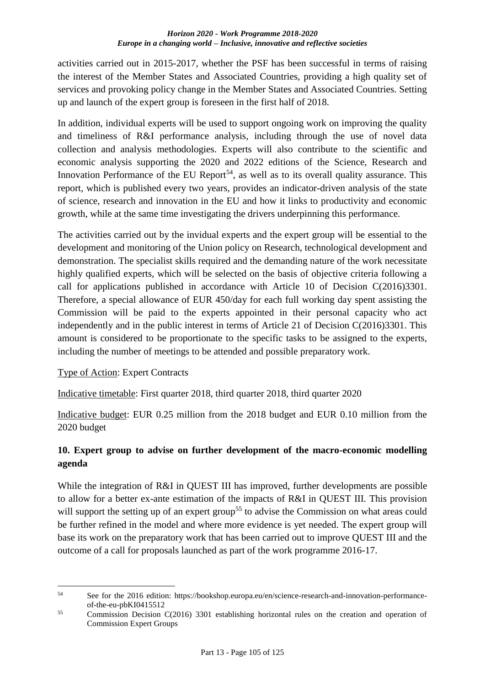activities carried out in 2015-2017, whether the PSF has been successful in terms of raising the interest of the Member States and Associated Countries, providing a high quality set of services and provoking policy change in the Member States and Associated Countries. Setting up and launch of the expert group is foreseen in the first half of 2018.

In addition, individual experts will be used to support ongoing work on improving the quality and timeliness of R&I performance analysis, including through the use of novel data collection and analysis methodologies. Experts will also contribute to the scientific and economic analysis supporting the 2020 and 2022 editions of the Science, Research and Innovation Performance of the EU Report<sup>54</sup>, as well as to its overall quality assurance. This report, which is published every two years, provides an indicator-driven analysis of the state of science, research and innovation in the EU and how it links to productivity and economic growth, while at the same time investigating the drivers underpinning this performance.

The activities carried out by the invidual experts and the expert group will be essential to the development and monitoring of the Union policy on Research, technological development and demonstration. The specialist skills required and the demanding nature of the work necessitate highly qualified experts, which will be selected on the basis of objective criteria following a call for applications published in accordance with Article 10 of Decision C(2016)3301. Therefore, a special allowance of EUR 450/day for each full working day spent assisting the Commission will be paid to the experts appointed in their personal capacity who act independently and in the public interest in terms of Article 21 of Decision C(2016)3301. This amount is considered to be proportionate to the specific tasks to be assigned to the experts, including the number of meetings to be attended and possible preparatory work.

### Type of Action: Expert Contracts

Indicative timetable: First quarter 2018, third quarter 2018, third quarter 2020

Indicative budget: EUR 0.25 million from the 2018 budget and EUR 0.10 million from the 2020 budget

## **10. Expert group to advise on further development of the macro-economic modelling agenda**

While the integration of R&I in QUEST III has improved, further developments are possible to allow for a better ex-ante estimation of the impacts of R&I in QUEST III. This provision will support the setting up of an expert group<sup>55</sup> to advise the Commission on what areas could be further refined in the model and where more evidence is yet needed. The expert group will base its work on the preparatory work that has been carried out to improve QUEST III and the outcome of a call for proposals launched as part of the work programme 2016-17.

<sup>&</sup>lt;u>.</u> <sup>54</sup> See for the 2016 edition: https://bookshop.europa.eu/en/science-research-and-innovation-performanceof-the-eu-pbKI0415512

<sup>&</sup>lt;sup>55</sup> Commission Decision C(2016) 3301 establishing horizontal rules on the creation and operation of Commission Expert Groups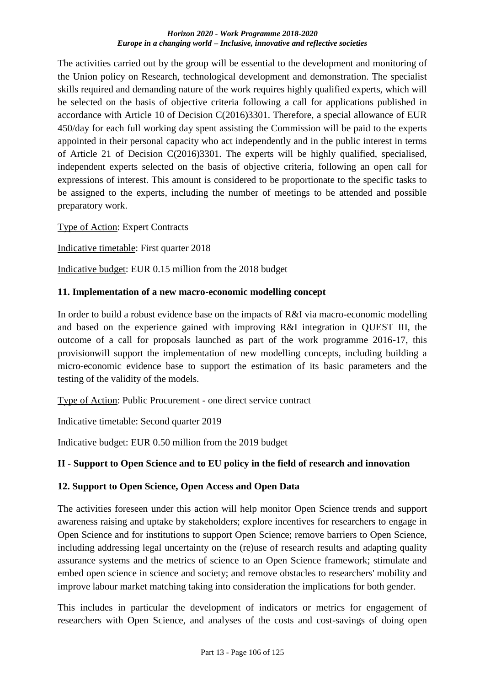The activities carried out by the group will be essential to the development and monitoring of the Union policy on Research, technological development and demonstration. The specialist skills required and demanding nature of the work requires highly qualified experts, which will be selected on the basis of objective criteria following a call for applications published in accordance with Article 10 of Decision C(2016)3301. Therefore, a special allowance of EUR 450/day for each full working day spent assisting the Commission will be paid to the experts appointed in their personal capacity who act independently and in the public interest in terms of Article 21 of Decision C(2016)3301. The experts will be highly qualified, specialised, independent experts selected on the basis of objective criteria, following an open call for expressions of interest. This amount is considered to be proportionate to the specific tasks to be assigned to the experts, including the number of meetings to be attended and possible preparatory work.

Type of Action: Expert Contracts

Indicative timetable: First quarter 2018

Indicative budget: EUR 0.15 million from the 2018 budget

#### **11. Implementation of a new macro-economic modelling concept**

In order to build a robust evidence base on the impacts of R&I via macro-economic modelling and based on the experience gained with improving R&I integration in QUEST III, the outcome of a call for proposals launched as part of the work programme 2016-17, this provisionwill support the implementation of new modelling concepts, including building a micro-economic evidence base to support the estimation of its basic parameters and the testing of the validity of the models.

Type of Action: Public Procurement - one direct service contract

Indicative timetable: Second quarter 2019

Indicative budget: EUR 0.50 million from the 2019 budget

### **II - Support to Open Science and to EU policy in the field of research and innovation**

### **12. Support to Open Science, Open Access and Open Data**

The activities foreseen under this action will help monitor Open Science trends and support awareness raising and uptake by stakeholders; explore incentives for researchers to engage in Open Science and for institutions to support Open Science; remove barriers to Open Science, including addressing legal uncertainty on the (re)use of research results and adapting quality assurance systems and the metrics of science to an Open Science framework; stimulate and embed open science in science and society; and remove obstacles to researchers' mobility and improve labour market matching taking into consideration the implications for both gender.

This includes in particular the development of indicators or metrics for engagement of researchers with Open Science, and analyses of the costs and cost-savings of doing open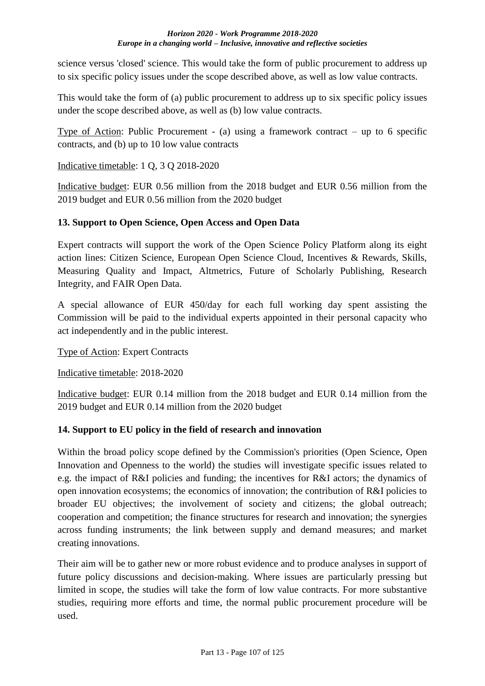science versus 'closed' science. This would take the form of public procurement to address up to six specific policy issues under the scope described above, as well as low value contracts.

This would take the form of (a) public procurement to address up to six specific policy issues under the scope described above, as well as (b) low value contracts.

Type of Action: Public Procurement - (a) using a framework contract – up to 6 specific contracts, and (b) up to 10 low value contracts

### Indicative timetable: 1 Q, 3 Q 2018-2020

Indicative budget: EUR 0.56 million from the 2018 budget and EUR 0.56 million from the 2019 budget and EUR 0.56 million from the 2020 budget

### **13. Support to Open Science, Open Access and Open Data**

Expert contracts will support the work of the Open Science Policy Platform along its eight action lines: Citizen Science, European Open Science Cloud, Incentives & Rewards, Skills, Measuring Quality and Impact, Altmetrics, Future of Scholarly Publishing, Research Integrity, and FAIR Open Data.

A special allowance of EUR 450/day for each full working day spent assisting the Commission will be paid to the individual experts appointed in their personal capacity who act independently and in the public interest.

Type of Action: Expert Contracts

Indicative timetable: 2018-2020

Indicative budget: EUR 0.14 million from the 2018 budget and EUR 0.14 million from the 2019 budget and EUR 0.14 million from the 2020 budget

### **14. Support to EU policy in the field of research and innovation**

Within the broad policy scope defined by the Commission's priorities (Open Science, Open Innovation and Openness to the world) the studies will investigate specific issues related to e.g. the impact of R&I policies and funding; the incentives for R&I actors; the dynamics of open innovation ecosystems; the economics of innovation; the contribution of R&I policies to broader EU objectives; the involvement of society and citizens; the global outreach; cooperation and competition; the finance structures for research and innovation; the synergies across funding instruments; the link between supply and demand measures; and market creating innovations.

Their aim will be to gather new or more robust evidence and to produce analyses in support of future policy discussions and decision-making. Where issues are particularly pressing but limited in scope, the studies will take the form of low value contracts. For more substantive studies, requiring more efforts and time, the normal public procurement procedure will be used.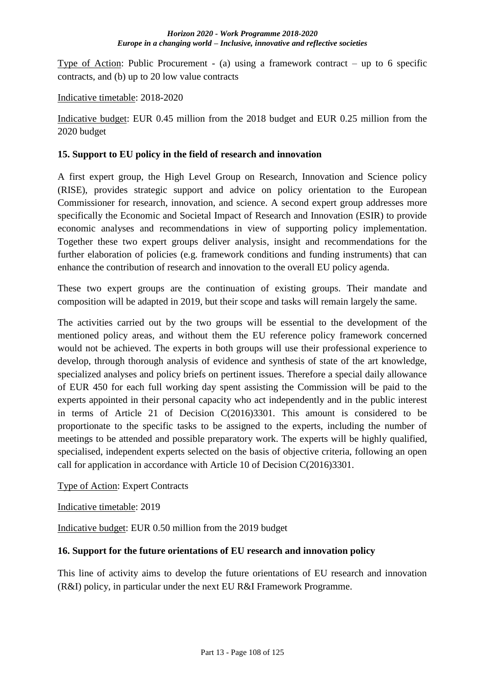Type of Action: Public Procurement - (a) using a framework contract – up to 6 specific contracts, and (b) up to 20 low value contracts

Indicative timetable: 2018-2020

Indicative budget: EUR 0.45 million from the 2018 budget and EUR 0.25 million from the 2020 budget

#### **15. Support to EU policy in the field of research and innovation**

A first expert group, the High Level Group on Research, Innovation and Science policy (RISE), provides strategic support and advice on policy orientation to the European Commissioner for research, innovation, and science. A second expert group addresses more specifically the Economic and Societal Impact of Research and Innovation (ESIR) to provide economic analyses and recommendations in view of supporting policy implementation. Together these two expert groups deliver analysis, insight and recommendations for the further elaboration of policies (e.g. framework conditions and funding instruments) that can enhance the contribution of research and innovation to the overall EU policy agenda.

These two expert groups are the continuation of existing groups. Their mandate and composition will be adapted in 2019, but their scope and tasks will remain largely the same.

The activities carried out by the two groups will be essential to the development of the mentioned policy areas, and without them the EU reference policy framework concerned would not be achieved. The experts in both groups will use their professional experience to develop, through thorough analysis of evidence and synthesis of state of the art knowledge, specialized analyses and policy briefs on pertinent issues. Therefore a special daily allowance of EUR 450 for each full working day spent assisting the Commission will be paid to the experts appointed in their personal capacity who act independently and in the public interest in terms of Article 21 of Decision C(2016)3301. This amount is considered to be proportionate to the specific tasks to be assigned to the experts, including the number of meetings to be attended and possible preparatory work. The experts will be highly qualified, specialised, independent experts selected on the basis of objective criteria, following an open call for application in accordance with Article 10 of Decision C(2016)3301.

Type of Action: Expert Contracts

Indicative timetable: 2019

Indicative budget: EUR 0.50 million from the 2019 budget

#### **16. Support for the future orientations of EU research and innovation policy**

This line of activity aims to develop the future orientations of EU research and innovation (R&I) policy, in particular under the next EU R&I Framework Programme.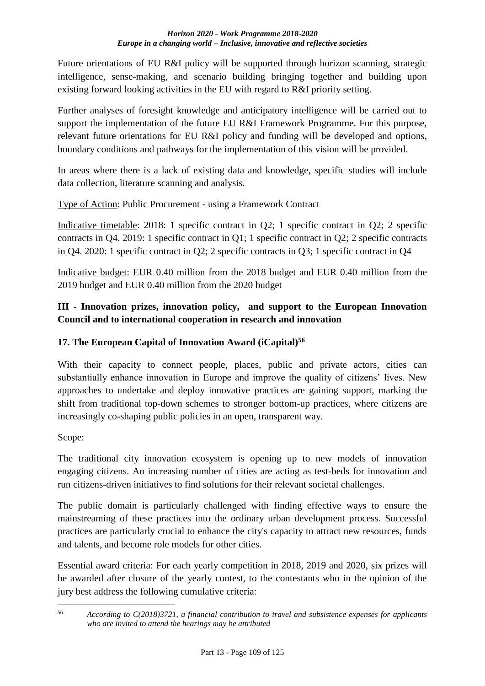Future orientations of EU R&I policy will be supported through horizon scanning, strategic intelligence, sense-making, and scenario building bringing together and building upon existing forward looking activities in the EU with regard to R&I priority setting.

Further analyses of foresight knowledge and anticipatory intelligence will be carried out to support the implementation of the future EU R&I Framework Programme. For this purpose, relevant future orientations for EU R&I policy and funding will be developed and options, boundary conditions and pathways for the implementation of this vision will be provided.

In areas where there is a lack of existing data and knowledge, specific studies will include data collection, literature scanning and analysis.

Type of Action: Public Procurement - using a Framework Contract

Indicative timetable: 2018: 1 specific contract in Q2; 1 specific contract in Q2; 2 specific contracts in Q4. 2019: 1 specific contract in Q1; 1 specific contract in Q2; 2 specific contracts in Q4. 2020: 1 specific contract in Q2; 2 specific contracts in Q3; 1 specific contract in Q4

Indicative budget: EUR 0.40 million from the 2018 budget and EUR 0.40 million from the 2019 budget and EUR 0.40 million from the 2020 budget

# **III - Innovation prizes, innovation policy, and support to the European Innovation Council and to international cooperation in research and innovation**

# **17. The European Capital of Innovation Award (iCapital)<sup>56</sup>**

With their capacity to connect people, places, public and private actors, cities can substantially enhance innovation in Europe and improve the quality of citizens' lives. New approaches to undertake and deploy innovative practices are gaining support, marking the shift from traditional top-down schemes to stronger bottom-up practices, where citizens are increasingly co-shaping public policies in an open, transparent way.

## Scope:

The traditional city innovation ecosystem is opening up to new models of innovation engaging citizens. An increasing number of cities are acting as test-beds for innovation and run citizens-driven initiatives to find solutions for their relevant societal challenges.

The public domain is particularly challenged with finding effective ways to ensure the mainstreaming of these practices into the ordinary urban development process. Successful practices are particularly crucial to enhance the city's capacity to attract new resources, funds and talents, and become role models for other cities.

Essential award criteria: For each yearly competition in 2018, 2019 and 2020, six prizes will be awarded after closure of the yearly contest, to the contestants who in the opinion of the jury best address the following cumulative criteria:

<sup>1</sup> <sup>56</sup> *According to C(2018)3721, a financial contribution to travel and subsistence expenses for applicants who are invited to attend the hearings may be attributed*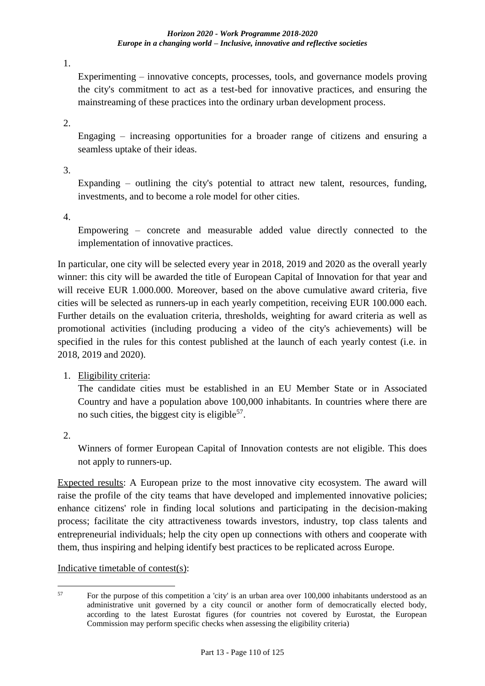1.

Experimenting – innovative concepts, processes, tools, and governance models proving the city's commitment to act as a test-bed for innovative practices, and ensuring the mainstreaming of these practices into the ordinary urban development process.

2.

Engaging – increasing opportunities for a broader range of citizens and ensuring a seamless uptake of their ideas.

3.

Expanding  $-$  outlining the city's potential to attract new talent, resources, funding, investments, and to become a role model for other cities.

4.

Empowering – concrete and measurable added value directly connected to the implementation of innovative practices.

In particular, one city will be selected every year in 2018, 2019 and 2020 as the overall yearly winner: this city will be awarded the title of European Capital of Innovation for that year and will receive EUR 1.000.000. Moreover, based on the above cumulative award criteria, five cities will be selected as runners-up in each yearly competition, receiving EUR 100.000 each. Further details on the evaluation criteria, thresholds, weighting for award criteria as well as promotional activities (including producing a video of the city's achievements) will be specified in the rules for this contest published at the launch of each yearly contest (i.e. in 2018, 2019 and 2020).

1. Eligibility criteria:

The candidate cities must be established in an EU Member State or in Associated Country and have a population above 100,000 inhabitants. In countries where there are no such cities, the biggest city is eligible<sup>57</sup>.

2.

Winners of former European Capital of Innovation contests are not eligible. This does not apply to runners-up.

Expected results: A European prize to the most innovative city ecosystem. The award will raise the profile of the city teams that have developed and implemented innovative policies; enhance citizens' role in finding local solutions and participating in the decision-making process; facilitate the city attractiveness towards investors, industry, top class talents and entrepreneurial individuals; help the city open up connections with others and cooperate with them, thus inspiring and helping identify best practices to be replicated across Europe.

Indicative timetable of contest(s):

 $57$ <sup>57</sup> For the purpose of this competition a 'city' is an urban area over 100,000 inhabitants understood as an administrative unit governed by a city council or another form of democratically elected body, according to the latest Eurostat figures (for countries not covered by Eurostat, the European Commission may perform specific checks when assessing the eligibility criteria)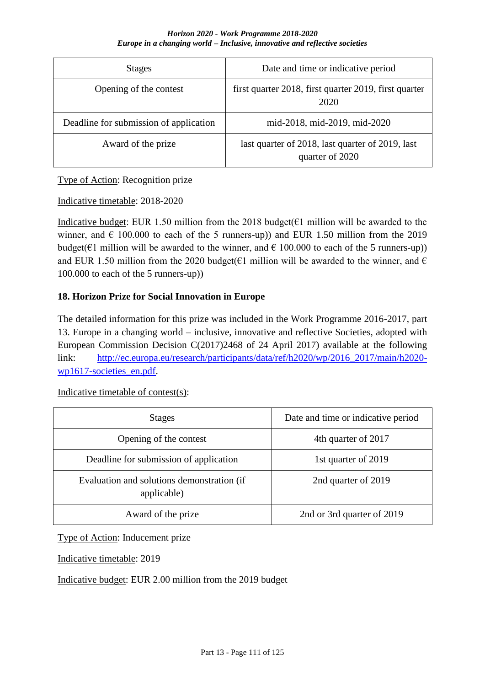| <b>Stages</b>                          | Date and time or indicative period                                  |
|----------------------------------------|---------------------------------------------------------------------|
| Opening of the contest                 | first quarter 2018, first quarter 2019, first quarter<br>2020       |
| Deadline for submission of application | mid-2018, mid-2019, mid-2020                                        |
| Award of the prize                     | last quarter of 2018, last quarter of 2019, last<br>quarter of 2020 |

## Type of Action: Recognition prize

## Indicative timetable: 2018-2020

Indicative budget: EUR 1.50 million from the 2018 budget( $\epsilon$ 1 million will be awarded to the winner, and  $\epsilon$  100.000 to each of the 5 runners-up)) and EUR 1.50 million from the 2019 budget( $\epsilon$ 1 million will be awarded to the winner, and  $\epsilon$  100.000 to each of the 5 runners-up)) and EUR 1.50 million from the 2020 budget( $\epsilon$ 1 million will be awarded to the winner, and  $\epsilon$ 100.000 to each of the 5 runners-up))

## **18. Horizon Prize for Social Innovation in Europe**

The detailed information for this prize was included in the Work Programme 2016-2017, part 13. Europe in a changing world – inclusive, innovative and reflective Societies, adopted with European Commission Decision C(2017)2468 of 24 April 2017) available at the following link: [http://ec.europa.eu/research/participants/data/ref/h2020/wp/2016\\_2017/main/h2020](http://ec.europa.eu/research/participants/data/ref/h2020/wp/2016_2017/main/h2020-wp1617-societies_en.pdf) [wp1617-societies\\_en.pdf.](http://ec.europa.eu/research/participants/data/ref/h2020/wp/2016_2017/main/h2020-wp1617-societies_en.pdf)

| <b>Stages</b>                                             | Date and time or indicative period |  |  |
|-----------------------------------------------------------|------------------------------------|--|--|
| Opening of the contest                                    | 4th quarter of 2017                |  |  |
| Deadline for submission of application                    | 1st quarter of 2019                |  |  |
| Evaluation and solutions demonstration (if<br>applicable) | 2nd quarter of 2019                |  |  |
| Award of the prize                                        | 2nd or 3rd quarter of 2019         |  |  |

Indicative timetable of contest(s):

Type of Action: Inducement prize

Indicative timetable: 2019

Indicative budget: EUR 2.00 million from the 2019 budget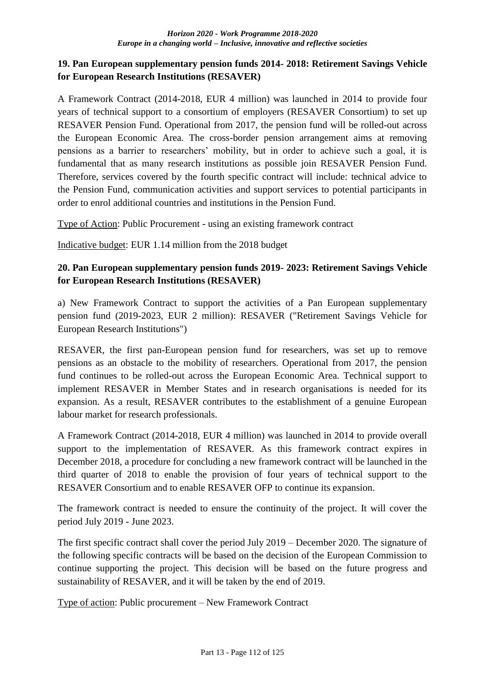## **19. Pan European supplementary pension funds 2014- 2018: Retirement Savings Vehicle for European Research Institutions (RESAVER)**

A Framework Contract (2014-2018, EUR 4 million) was launched in 2014 to provide four years of technical support to a consortium of employers (RESAVER Consortium) to set up RESAVER Pension Fund. Operational from 2017, the pension fund will be rolled-out across the European Economic Area. The cross-border pension arrangement aims at removing pensions as a barrier to researchers' mobility, but in order to achieve such a goal, it is fundamental that as many research institutions as possible join RESAVER Pension Fund. Therefore, services covered by the fourth specific contract will include: technical advice to the Pension Fund, communication activities and support services to potential participants in order to enrol additional countries and institutions in the Pension Fund.

Type of Action: Public Procurement - using an existing framework contract

Indicative budget: EUR 1.14 million from the 2018 budget

## **20. Pan European supplementary pension funds 2019- 2023: Retirement Savings Vehicle for European Research Institutions (RESAVER)**

a) New Framework Contract to support the activities of a Pan European supplementary pension fund (2019-2023, EUR 2 million): RESAVER ("Retirement Savings Vehicle for European Research Institutions")

RESAVER, the first pan-European pension fund for researchers, was set up to remove pensions as an obstacle to the mobility of researchers. Operational from 2017, the pension fund continues to be rolled-out across the European Economic Area. Technical support to implement RESAVER in Member States and in research organisations is needed for its expansion. As a result, RESAVER contributes to the establishment of a genuine European labour market for research professionals.

A Framework Contract (2014-2018, EUR 4 million) was launched in 2014 to provide overall support to the implementation of RESAVER. As this framework contract expires in December 2018, a procedure for concluding a new framework contract will be launched in the third quarter of 2018 to enable the provision of four years of technical support to the RESAVER Consortium and to enable RESAVER OFP to continue its expansion.

The framework contract is needed to ensure the continuity of the project. It will cover the period July 2019 - June 2023.

The first specific contract shall cover the period July 2019 – December 2020. The signature of the following specific contracts will be based on the decision of the European Commission to continue supporting the project. This decision will be based on the future progress and sustainability of RESAVER, and it will be taken by the end of 2019.

Type of action: Public procurement – New Framework Contract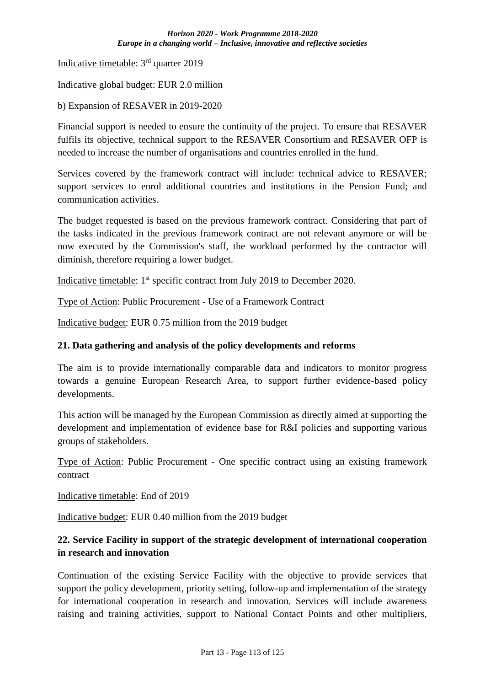Indicative timetable: 3rd quarter 2019

Indicative global budget: EUR 2.0 million

b) Expansion of RESAVER in 2019-2020

Financial support is needed to ensure the continuity of the project. To ensure that RESAVER fulfils its objective, technical support to the RESAVER Consortium and RESAVER OFP is needed to increase the number of organisations and countries enrolled in the fund.

Services covered by the framework contract will include: technical advice to RESAVER; support services to enrol additional countries and institutions in the Pension Fund; and communication activities.

The budget requested is based on the previous framework contract. Considering that part of the tasks indicated in the previous framework contract are not relevant anymore or will be now executed by the Commission's staff, the workload performed by the contractor will diminish, therefore requiring a lower budget.

Indicative timetable: 1<sup>st</sup> specific contract from July 2019 to December 2020.

Type of Action: Public Procurement - Use of a Framework Contract

Indicative budget: EUR 0.75 million from the 2019 budget

#### **21. Data gathering and analysis of the policy developments and reforms**

The aim is to provide internationally comparable data and indicators to monitor progress towards a genuine European Research Area, to support further evidence-based policy developments.

This action will be managed by the European Commission as directly aimed at supporting the development and implementation of evidence base for R&I policies and supporting various groups of stakeholders.

Type of Action: Public Procurement - One specific contract using an existing framework contract

Indicative timetable: End of 2019

Indicative budget: EUR 0.40 million from the 2019 budget

## **22. Service Facility in support of the strategic development of international cooperation in research and innovation**

Continuation of the existing Service Facility with the objective to provide services that support the policy development, priority setting, follow-up and implementation of the strategy for international cooperation in research and innovation. Services will include awareness raising and training activities, support to National Contact Points and other multipliers,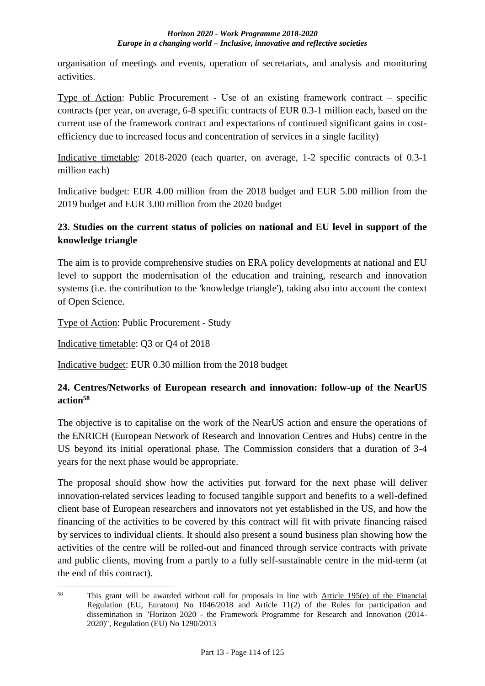organisation of meetings and events, operation of secretariats, and analysis and monitoring activities.

Type of Action: Public Procurement - Use of an existing framework contract – specific contracts (per year, on average, 6-8 specific contracts of EUR 0.3-1 million each, based on the current use of the framework contract and expectations of continued significant gains in costefficiency due to increased focus and concentration of services in a single facility)

Indicative timetable: 2018-2020 (each quarter, on average, 1-2 specific contracts of 0.3-1 million each)

Indicative budget: EUR 4.00 million from the 2018 budget and EUR 5.00 million from the 2019 budget and EUR 3.00 million from the 2020 budget

# **23. Studies on the current status of policies on national and EU level in support of the knowledge triangle**

The aim is to provide comprehensive studies on ERA policy developments at national and EU level to support the modernisation of the education and training, research and innovation systems (i.e. the contribution to the 'knowledge triangle'), taking also into account the context of Open Science.

Type of Action: Public Procurement - Study

Indicative timetable: Q3 or Q4 of 2018

<u>.</u>

Indicative budget: EUR 0.30 million from the 2018 budget

## **24. Centres/Networks of European research and innovation: follow-up of the NearUS action<sup>58</sup>**

The objective is to capitalise on the work of the NearUS action and ensure the operations of the ENRICH (European Network of Research and Innovation Centres and Hubs) centre in the US beyond its initial operational phase. The Commission considers that a duration of 3-4 years for the next phase would be appropriate.

The proposal should show how the activities put forward for the next phase will deliver innovation-related services leading to focused tangible support and benefits to a well-defined client base of European researchers and innovators not yet established in the US, and how the financing of the activities to be covered by this contract will fit with private financing raised by services to individual clients. It should also present a sound business plan showing how the activities of the centre will be rolled-out and financed through service contracts with private and public clients, moving from a partly to a fully self-sustainable centre in the mid-term (at the end of this contract).

<sup>58</sup> This grant will be awarded without call for proposals in line with Article 195(e) of the Financial Regulation (EU, Euratom) No 1046/2018 and Article 11(2) of the Rules for participation and dissemination in "Horizon 2020 - the Framework Programme for Research and Innovation (2014- 2020)", Regulation (EU) No 1290/2013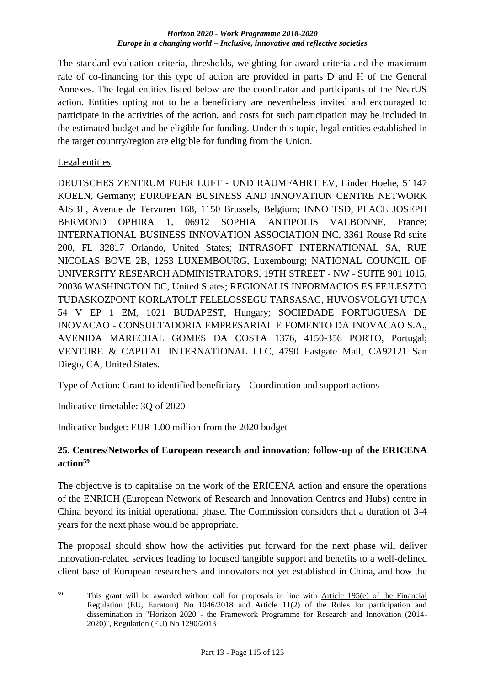The standard evaluation criteria, thresholds, weighting for award criteria and the maximum rate of co-financing for this type of action are provided in parts D and H of the General Annexes. The legal entities listed below are the coordinator and participants of the NearUS action. Entities opting not to be a beneficiary are nevertheless invited and encouraged to participate in the activities of the action, and costs for such participation may be included in the estimated budget and be eligible for funding. Under this topic, legal entities established in the target country/region are eligible for funding from the Union.

Legal entities:

DEUTSCHES ZENTRUM FUER LUFT - UND RAUMFAHRT EV, Linder Hoehe, 51147 KOELN, Germany; EUROPEAN BUSINESS AND INNOVATION CENTRE NETWORK AISBL, Avenue de Tervuren 168, 1150 Brussels, Belgium; INNO TSD, PLACE JOSEPH BERMOND OPHIRA 1, 06912 SOPHIA ANTIPOLIS VALBONNE, France; INTERNATIONAL BUSINESS INNOVATION ASSOCIATION INC, 3361 Rouse Rd suite 200, FL 32817 Orlando, United States; INTRASOFT INTERNATIONAL SA, RUE NICOLAS BOVE 2B, 1253 LUXEMBOURG, Luxembourg; NATIONAL COUNCIL OF UNIVERSITY RESEARCH ADMINISTRATORS, 19TH STREET - NW - SUITE 901 1015, 20036 WASHINGTON DC, United States; REGIONALIS INFORMACIOS ES FEJLESZTO TUDASKOZPONT KORLATOLT FELELOSSEGU TARSASAG, HUVOSVOLGYI UTCA 54 V EP 1 EM, 1021 BUDAPEST, Hungary; SOCIEDADE PORTUGUESA DE INOVACAO - CONSULTADORIA EMPRESARIAL E FOMENTO DA INOVACAO S.A., AVENIDA MARECHAL GOMES DA COSTA 1376, 4150-356 PORTO, Portugal; VENTURE & CAPITAL INTERNATIONAL LLC, 4790 Eastgate Mall, CA92121 San Diego, CA, United States.

Type of Action: Grant to identified beneficiary - Coordination and support actions

Indicative timetable: 3Q of 2020

Indicative budget: EUR 1.00 million from the 2020 budget

## **25. Centres/Networks of European research and innovation: follow-up of the ERICENA action<sup>59</sup>**

The objective is to capitalise on the work of the ERICENA action and ensure the operations of the ENRICH (European Network of Research and Innovation Centres and Hubs) centre in China beyond its initial operational phase. The Commission considers that a duration of 3-4 years for the next phase would be appropriate.

The proposal should show how the activities put forward for the next phase will deliver innovation-related services leading to focused tangible support and benefits to a well-defined client base of European researchers and innovators not yet established in China, and how the

<sup>&</sup>lt;u>.</u> <sup>59</sup> This grant will be awarded without call for proposals in line with Article 195(e) of the Financial Regulation (EU, Euratom) No 1046/2018 and Article 11(2) of the Rules for participation and dissemination in "Horizon 2020 - the Framework Programme for Research and Innovation (2014- 2020)", Regulation (EU) No 1290/2013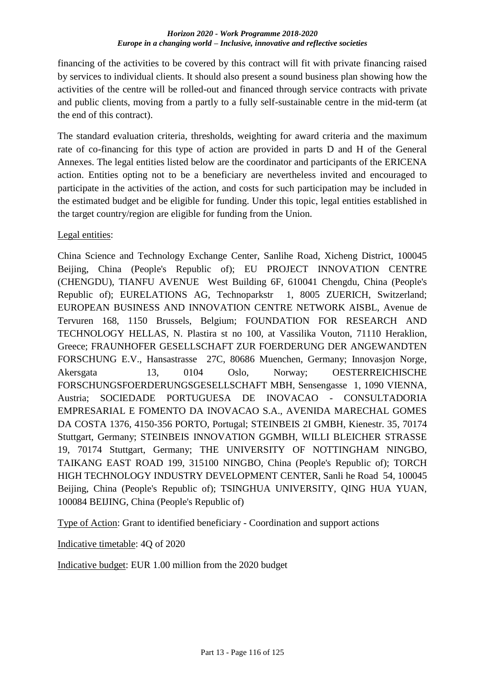financing of the activities to be covered by this contract will fit with private financing raised by services to individual clients. It should also present a sound business plan showing how the activities of the centre will be rolled-out and financed through service contracts with private and public clients, moving from a partly to a fully self-sustainable centre in the mid-term (at the end of this contract).

The standard evaluation criteria, thresholds, weighting for award criteria and the maximum rate of co-financing for this type of action are provided in parts D and H of the General Annexes. The legal entities listed below are the coordinator and participants of the ERICENA action. Entities opting not to be a beneficiary are nevertheless invited and encouraged to participate in the activities of the action, and costs for such participation may be included in the estimated budget and be eligible for funding. Under this topic, legal entities established in the target country/region are eligible for funding from the Union.

Legal entities:

China Science and Technology Exchange Center, Sanlihe Road, Xicheng District, 100045 Beijing, China (People's Republic of); EU PROJECT INNOVATION CENTRE (CHENGDU), TIANFU AVENUE West Building 6F, 610041 Chengdu, China (People's Republic of); EURELATIONS AG, Technoparkstr 1, 8005 ZUERICH, Switzerland; EUROPEAN BUSINESS AND INNOVATION CENTRE NETWORK AISBL, Avenue de Tervuren 168, 1150 Brussels, Belgium; FOUNDATION FOR RESEARCH AND TECHNOLOGY HELLAS, N. Plastira st no 100, at Vassilika Vouton, 71110 Heraklion, Greece; FRAUNHOFER GESELLSCHAFT ZUR FOERDERUNG DER ANGEWANDTEN FORSCHUNG E.V., Hansastrasse 27C, 80686 Muenchen, Germany; Innovasjon Norge, Akersgata 13, 0104 Oslo, Norway; OESTERREICHISCHE FORSCHUNGSFOERDERUNGSGESELLSCHAFT MBH, Sensengasse 1, 1090 VIENNA, Austria; SOCIEDADE PORTUGUESA DE INOVACAO - CONSULTADORIA EMPRESARIAL E FOMENTO DA INOVACAO S.A., AVENIDA MARECHAL GOMES DA COSTA 1376, 4150-356 PORTO, Portugal; STEINBEIS 2I GMBH, Kienestr. 35, 70174 Stuttgart, Germany; STEINBEIS INNOVATION GGMBH, WILLI BLEICHER STRASSE 19, 70174 Stuttgart, Germany; THE UNIVERSITY OF NOTTINGHAM NINGBO, TAIKANG EAST ROAD 199, 315100 NINGBO, China (People's Republic of); TORCH HIGH TECHNOLOGY INDUSTRY DEVELOPMENT CENTER, Sanli he Road 54, 100045 Beijing, China (People's Republic of); TSINGHUA UNIVERSITY, QING HUA YUAN, 100084 BEIJING, China (People's Republic of)

Type of Action: Grant to identified beneficiary - Coordination and support actions

Indicative timetable: 4Q of 2020

Indicative budget: EUR 1.00 million from the 2020 budget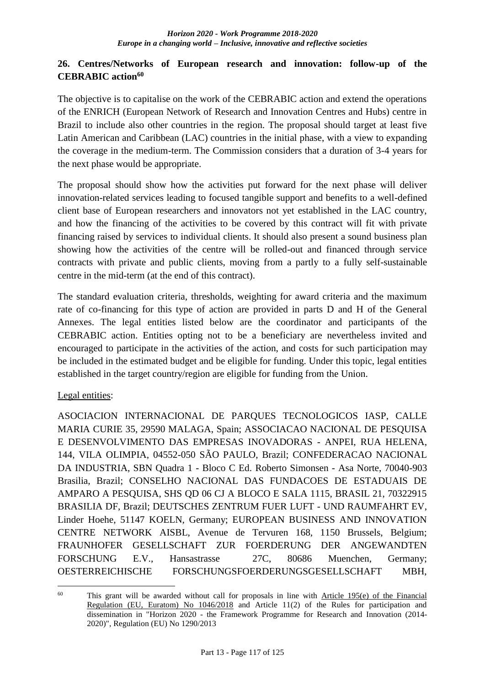## **26. Centres/Networks of European research and innovation: follow-up of the CEBRABIC action<sup>60</sup>**

The objective is to capitalise on the work of the CEBRABIC action and extend the operations of the ENRICH (European Network of Research and Innovation Centres and Hubs) centre in Brazil to include also other countries in the region. The proposal should target at least five Latin American and Caribbean (LAC) countries in the initial phase, with a view to expanding the coverage in the medium-term. The Commission considers that a duration of 3-4 years for the next phase would be appropriate.

The proposal should show how the activities put forward for the next phase will deliver innovation-related services leading to focused tangible support and benefits to a well-defined client base of European researchers and innovators not yet established in the LAC country, and how the financing of the activities to be covered by this contract will fit with private financing raised by services to individual clients. It should also present a sound business plan showing how the activities of the centre will be rolled-out and financed through service contracts with private and public clients, moving from a partly to a fully self-sustainable centre in the mid-term (at the end of this contract).

The standard evaluation criteria, thresholds, weighting for award criteria and the maximum rate of co-financing for this type of action are provided in parts D and H of the General Annexes. The legal entities listed below are the coordinator and participants of the CEBRABIC action. Entities opting not to be a beneficiary are nevertheless invited and encouraged to participate in the activities of the action, and costs for such participation may be included in the estimated budget and be eligible for funding. Under this topic, legal entities established in the target country/region are eligible for funding from the Union.

## Legal entities:

<u>.</u>

ASOCIACION INTERNACIONAL DE PARQUES TECNOLOGICOS IASP, CALLE MARIA CURIE 35, 29590 MALAGA, Spain; ASSOCIACAO NACIONAL DE PESQUISA E DESENVOLVIMENTO DAS EMPRESAS INOVADORAS - ANPEI, RUA HELENA, 144, VILA OLIMPIA, 04552-050 SÃO PAULO, Brazil; CONFEDERACAO NACIONAL DA INDUSTRIA, SBN Quadra 1 - Bloco C Ed. Roberto Simonsen - Asa Norte, 70040-903 Brasilia, Brazil; CONSELHO NACIONAL DAS FUNDACOES DE ESTADUAIS DE AMPARO A PESQUISA, SHS QD 06 CJ A BLOCO E SALA 1115, BRASIL 21, 70322915 BRASILIA DF, Brazil; DEUTSCHES ZENTRUM FUER LUFT - UND RAUMFAHRT EV, Linder Hoehe, 51147 KOELN, Germany; EUROPEAN BUSINESS AND INNOVATION CENTRE NETWORK AISBL, Avenue de Tervuren 168, 1150 Brussels, Belgium; FRAUNHOFER GESELLSCHAFT ZUR FOERDERUNG DER ANGEWANDTEN FORSCHUNG E.V., Hansastrasse 27C, 80686 Muenchen, Germany; OESTERREICHISCHE FORSCHUNGSFOERDERUNGSGESELLSCHAFT MBH,

 $60$  This grant will be awarded without call for proposals in line with Article 195(e) of the Financial Regulation (EU, Euratom) No 1046/2018 and Article 11(2) of the Rules for participation and dissemination in "Horizon 2020 - the Framework Programme for Research and Innovation (2014- 2020)", Regulation (EU) No 1290/2013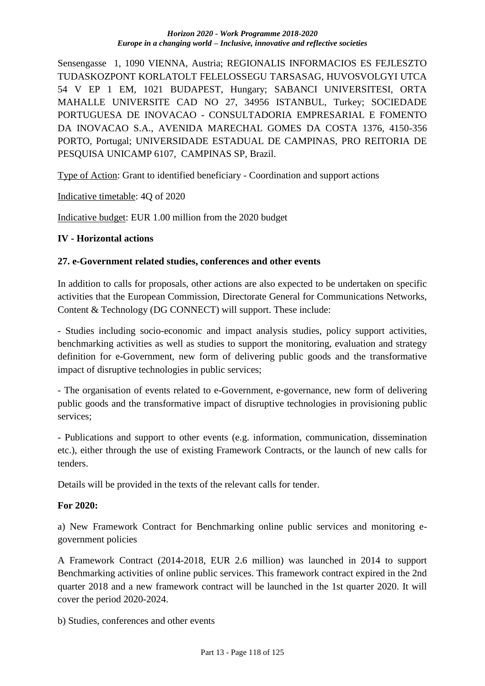Sensengasse 1, 1090 VIENNA, Austria; REGIONALIS INFORMACIOS ES FEJLESZTO TUDASKOZPONT KORLATOLT FELELOSSEGU TARSASAG, HUVOSVOLGYI UTCA 54 V EP 1 EM, 1021 BUDAPEST, Hungary; SABANCI UNIVERSITESI, ORTA MAHALLE UNIVERSITE CAD NO 27, 34956 ISTANBUL, Turkey; SOCIEDADE PORTUGUESA DE INOVACAO - CONSULTADORIA EMPRESARIAL E FOMENTO DA INOVACAO S.A., AVENIDA MARECHAL GOMES DA COSTA 1376, 4150-356 PORTO, Portugal; UNIVERSIDADE ESTADUAL DE CAMPINAS, PRO REITORIA DE PESQUISA UNICAMP 6107, CAMPINAS SP, Brazil.

Type of Action: Grant to identified beneficiary - Coordination and support actions

Indicative timetable: 4Q of 2020

Indicative budget: EUR 1.00 million from the 2020 budget

#### **IV - Horizontal actions**

#### **27. e-Government related studies, conferences and other events**

In addition to calls for proposals, other actions are also expected to be undertaken on specific activities that the European Commission, Directorate General for Communications Networks, Content & Technology (DG CONNECT) will support. These include:

- Studies including socio-economic and impact analysis studies, policy support activities, benchmarking activities as well as studies to support the monitoring, evaluation and strategy definition for e-Government, new form of delivering public goods and the transformative impact of disruptive technologies in public services;

- The organisation of events related to e-Government, e-governance, new form of delivering public goods and the transformative impact of disruptive technologies in provisioning public services;

- Publications and support to other events (e.g. information, communication, dissemination etc.), either through the use of existing Framework Contracts, or the launch of new calls for tenders.

Details will be provided in the texts of the relevant calls for tender.

## **For 2020:**

a) New Framework Contract for Benchmarking online public services and monitoring egovernment policies

A Framework Contract (2014-2018, EUR 2.6 million) was launched in 2014 to support Benchmarking activities of online public services. This framework contract expired in the 2nd quarter 2018 and a new framework contract will be launched in the 1st quarter 2020. It will cover the period 2020-2024.

b) Studies, conferences and other events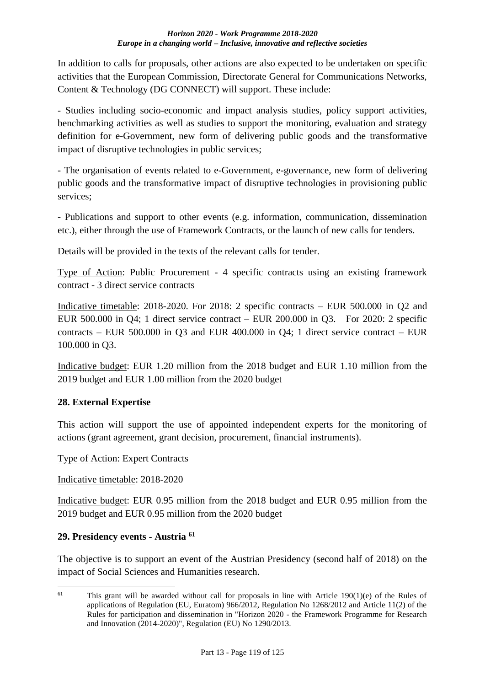In addition to calls for proposals, other actions are also expected to be undertaken on specific activities that the European Commission, Directorate General for Communications Networks, Content & Technology (DG CONNECT) will support. These include:

- Studies including socio-economic and impact analysis studies, policy support activities, benchmarking activities as well as studies to support the monitoring, evaluation and strategy definition for e-Government, new form of delivering public goods and the transformative impact of disruptive technologies in public services;

- The organisation of events related to e-Government, e-governance, new form of delivering public goods and the transformative impact of disruptive technologies in provisioning public services;

- Publications and support to other events (e.g. information, communication, dissemination etc.), either through the use of Framework Contracts, or the launch of new calls for tenders.

Details will be provided in the texts of the relevant calls for tender.

Type of Action: Public Procurement - 4 specific contracts using an existing framework contract - 3 direct service contracts

Indicative timetable: 2018-2020. For 2018: 2 specific contracts – EUR 500.000 in Q2 and EUR 500.000 in Q4; 1 direct service contract – EUR 200.000 in Q3. For 2020: 2 specific contracts – EUR 500.000 in Q3 and EUR 400.000 in Q4; 1 direct service contract – EUR 100.000 in Q3.

Indicative budget: EUR 1.20 million from the 2018 budget and EUR 1.10 million from the 2019 budget and EUR 1.00 million from the 2020 budget

## **28. External Expertise**

This action will support the use of appointed independent experts for the monitoring of actions (grant agreement, grant decision, procurement, financial instruments).

## Type of Action: Expert Contracts

Indicative timetable: 2018-2020

Indicative budget: EUR 0.95 million from the 2018 budget and EUR 0.95 million from the 2019 budget and EUR 0.95 million from the 2020 budget

## **29. Presidency events - Austria <sup>61</sup>**

<u>.</u>

The objective is to support an event of the Austrian Presidency (second half of 2018) on the impact of Social Sciences and Humanities research.

<sup>&</sup>lt;sup>61</sup> This grant will be awarded without call for proposals in line with Article 190(1)(e) of the Rules of applications of Regulation (EU, Euratom) 966/2012, Regulation No 1268/2012 and Article 11(2) of the Rules for participation and dissemination in "Horizon 2020 - the Framework Programme for Research and Innovation (2014-2020)", Regulation (EU) No 1290/2013.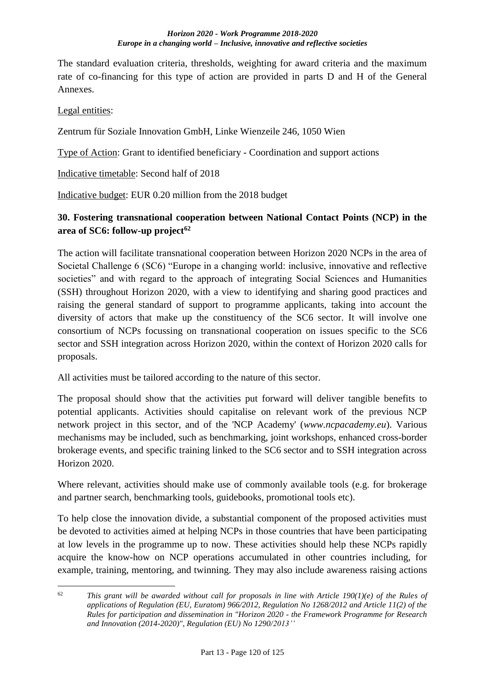The standard evaluation criteria, thresholds, weighting for award criteria and the maximum rate of co-financing for this type of action are provided in parts D and H of the General Annexes.

Legal entities:

Zentrum für Soziale Innovation GmbH, Linke Wienzeile 246, 1050 Wien

Type of Action: Grant to identified beneficiary - Coordination and support actions

Indicative timetable: Second half of 2018

Indicative budget: EUR 0.20 million from the 2018 budget

# **30. Fostering transnational cooperation between National Contact Points (NCP) in the area of SC6: follow-up project<sup>62</sup>**

The action will facilitate transnational cooperation between Horizon 2020 NCPs in the area of Societal Challenge 6 (SC6) "Europe in a changing world: inclusive, innovative and reflective societies" and with regard to the approach of integrating Social Sciences and Humanities (SSH) throughout Horizon 2020, with a view to identifying and sharing good practices and raising the general standard of support to programme applicants, taking into account the diversity of actors that make up the constituency of the SC6 sector. It will involve one consortium of NCPs focussing on transnational cooperation on issues specific to the SC6 sector and SSH integration across Horizon 2020, within the context of Horizon 2020 calls for proposals.

All activities must be tailored according to the nature of this sector.

The proposal should show that the activities put forward will deliver tangible benefits to potential applicants. Activities should capitalise on relevant work of the previous NCP network project in this sector, and of the 'NCP Academy' (*www.ncpacademy.eu*). Various mechanisms may be included, such as benchmarking, joint workshops, enhanced cross-border brokerage events, and specific training linked to the SC6 sector and to SSH integration across Horizon 2020.

Where relevant, activities should make use of commonly available tools (e.g. for brokerage and partner search, benchmarking tools, guidebooks, promotional tools etc).

To help close the innovation divide, a substantial component of the proposed activities must be devoted to activities aimed at helping NCPs in those countries that have been participating at low levels in the programme up to now. These activities should help these NCPs rapidly acquire the know-how on NCP operations accumulated in other countries including, for example, training, mentoring, and twinning. They may also include awareness raising actions

<sup>&</sup>lt;u>.</u>  $62$  *This grant will be awarded without call for proposals in line with Article 190(1)(e) of the Rules of applications of Regulation (EU, Euratom) 966/2012, Regulation No 1268/2012 and Article 11(2) of the Rules for participation and dissemination in "Horizon 2020 - the Framework Programme for Research and Innovation (2014-2020)", Regulation (EU) No 1290/2013''*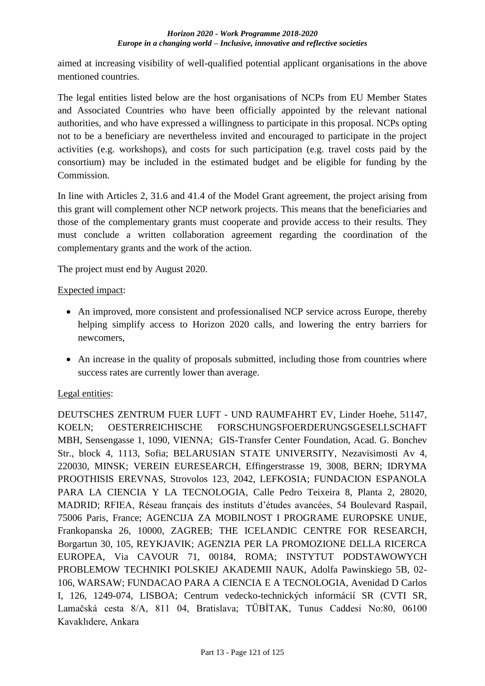aimed at increasing visibility of well-qualified potential applicant organisations in the above mentioned countries.

The legal entities listed below are the host organisations of NCPs from EU Member States and Associated Countries who have been officially appointed by the relevant national authorities, and who have expressed a willingness to participate in this proposal. NCPs opting not to be a beneficiary are nevertheless invited and encouraged to participate in the project activities (e.g. workshops), and costs for such participation (e.g. travel costs paid by the consortium) may be included in the estimated budget and be eligible for funding by the Commission.

In line with Articles 2, 31.6 and 41.4 of the Model Grant agreement, the project arising from this grant will complement other NCP network projects. This means that the beneficiaries and those of the complementary grants must cooperate and provide access to their results. They must conclude a written collaboration agreement regarding the coordination of the complementary grants and the work of the action.

The project must end by August 2020.

## Expected impact:

- An improved, more consistent and professionalised NCP service across Europe, thereby helping simplify access to Horizon 2020 calls, and lowering the entry barriers for newcomers,
- An increase in the quality of proposals submitted, including those from countries where success rates are currently lower than average.

## Legal entities:

DEUTSCHES ZENTRUM FUER LUFT - UND RAUMFAHRT EV, Linder Hoehe, 51147, KOELN; OESTERREICHISCHE FORSCHUNGSFOERDERUNGSGESELLSCHAFT MBH, Sensengasse 1, 1090, VIENNA; GIS-Transfer Center Foundation, Acad. G. Bonchev Str., block 4, 1113, Sofia; BELARUSIAN STATE UNIVERSITY, Nezavisimosti Av 4, 220030, MINSK; VEREIN EURESEARCH, Effingerstrasse 19, 3008, BERN; IDRYMA PROOTHISIS EREVNAS, Strovolos 123, 2042, LEFKOSIA; FUNDACION ESPANOLA PARA LA CIENCIA Y LA TECNOLOGIA, Calle Pedro Teixeira 8, Planta 2, 28020, MADRID; RFIEA, Réseau français des instituts d'études avancées, 54 Boulevard Raspail, 75006 Paris, France; AGENCIJA ZA MOBILNOST I PROGRAME EUROPSKE UNIJE, Frankopanska 26, 10000, ZAGREB; THE ICELANDIC CENTRE FOR RESEARCH, Borgartun 30, 105, REYKJAVIK; AGENZIA PER LA PROMOZIONE DELLA RICERCA EUROPEA, Via CAVOUR 71, 00184, ROMA; INSTYTUT PODSTAWOWYCH PROBLEMOW TECHNIKI POLSKIEJ AKADEMII NAUK, Adolfa Pawinskiego 5B, 02- 106, WARSAW; FUNDACAO PARA A CIENCIA E A TECNOLOGIA, Avenidad D Carlos I, 126, 1249-074, LISBOA; Centrum vedecko-technických informácií SR (CVTI SR, Lamačská cesta 8/A, 811 04, Bratislava; TÜBİTAK, Tunus Caddesi No:80, 06100 Kavaklıdere, Ankara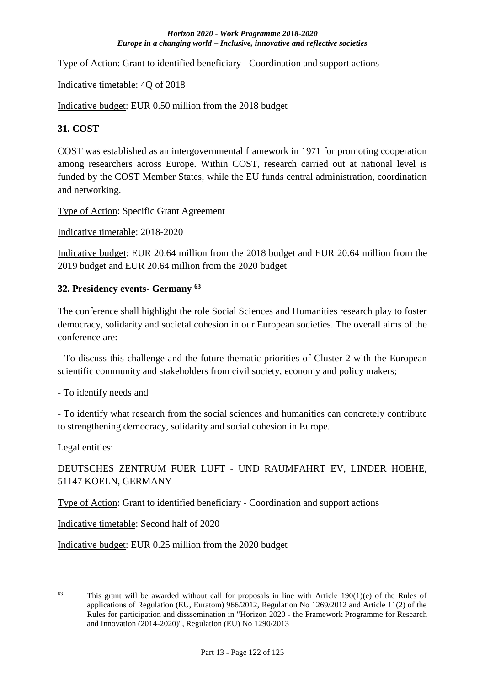Type of Action: Grant to identified beneficiary - Coordination and support actions

Indicative timetable: 4Q of 2018

Indicative budget: EUR 0.50 million from the 2018 budget

#### **31. COST**

COST was established as an intergovernmental framework in 1971 for promoting cooperation among researchers across Europe. Within COST, research carried out at national level is funded by the COST Member States, while the EU funds central administration, coordination and networking.

Type of Action: Specific Grant Agreement

Indicative timetable: 2018-2020

Indicative budget: EUR 20.64 million from the 2018 budget and EUR 20.64 million from the 2019 budget and EUR 20.64 million from the 2020 budget

## **32. Presidency events- Germany <sup>63</sup>**

The conference shall highlight the role Social Sciences and Humanities research play to foster democracy, solidarity and societal cohesion in our European societies. The overall aims of the conference are:

- To discuss this challenge and the future thematic priorities of Cluster 2 with the European scientific community and stakeholders from civil society, economy and policy makers;

- To identify needs and

- To identify what research from the social sciences and humanities can concretely contribute to strengthening democracy, solidarity and social cohesion in Europe.

Legal entities:

<u>.</u>

DEUTSCHES ZENTRUM FUER LUFT - UND RAUMFAHRT EV, LINDER HOEHE, 51147 KOELN, GERMANY

Type of Action: Grant to identified beneficiary - Coordination and support actions

Indicative timetable: Second half of 2020

Indicative budget: EUR 0.25 million from the 2020 budget

<sup>&</sup>lt;sup>63</sup> This grant will be awarded without call for proposals in line with Article 190(1)(e) of the Rules of applications of Regulation (EU, Euratom) 966/2012, Regulation No 1269/2012 and Article 11(2) of the Rules for participation and disssemination in "Horizon 2020 - the Framework Programme for Research and Innovation (2014-2020)", Regulation (EU) No 1290/2013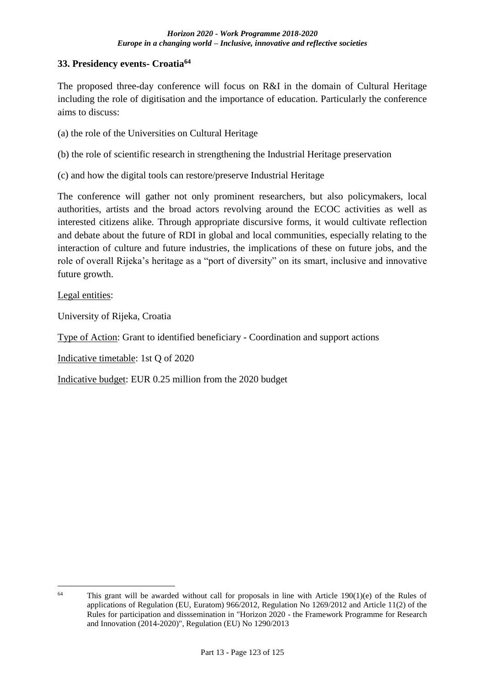## **33. Presidency events- Croatia<sup>64</sup>**

The proposed three-day conference will focus on R&I in the domain of Cultural Heritage including the role of digitisation and the importance of education. Particularly the conference aims to discuss:

- (a) the role of the Universities on Cultural Heritage
- (b) the role of scientific research in strengthening the Industrial Heritage preservation
- (c) and how the digital tools can restore/preserve Industrial Heritage

The conference will gather not only prominent researchers, but also policymakers, local authorities, artists and the broad actors revolving around the ECOC activities as well as interested citizens alike. Through appropriate discursive forms, it would cultivate reflection and debate about the future of RDI in global and local communities, especially relating to the interaction of culture and future industries, the implications of these on future jobs, and the role of overall Rijeka's heritage as a "port of diversity" on its smart, inclusive and innovative future growth.

Legal entities:

University of Rijeka, Croatia

Type of Action: Grant to identified beneficiary - Coordination and support actions

Indicative timetable: 1st Q of 2020

Indicative budget: EUR 0.25 million from the 2020 budget

<sup>&</sup>lt;u>.</u> <sup>64</sup> This grant will be awarded without call for proposals in line with Article 190(1)(e) of the Rules of applications of Regulation (EU, Euratom) 966/2012, Regulation No 1269/2012 and Article 11(2) of the Rules for participation and disssemination in "Horizon 2020 - the Framework Programme for Research and Innovation (2014-2020)", Regulation (EU) No 1290/2013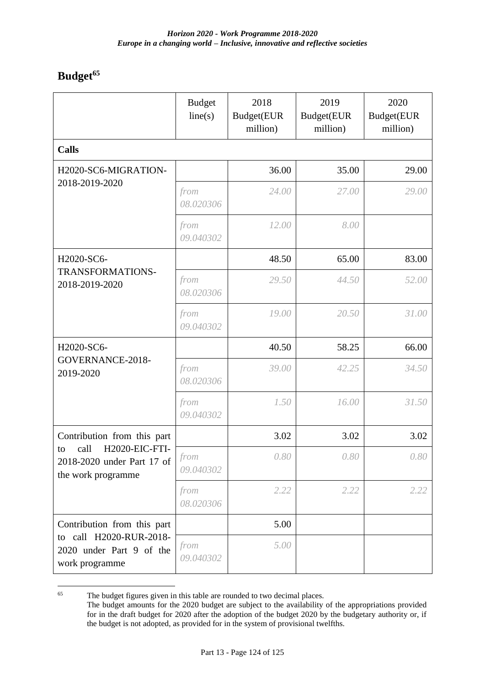# **Budget<sup>65</sup>**

|                                                                                                                 | <b>Budget</b><br>line(s) | 2018<br>Budget(EUR<br>million) | 2019<br>Budget(EUR<br>million) | 2020<br>Budget(EUR<br>million) |  |  |  |
|-----------------------------------------------------------------------------------------------------------------|--------------------------|--------------------------------|--------------------------------|--------------------------------|--|--|--|
| <b>Calls</b>                                                                                                    |                          |                                |                                |                                |  |  |  |
| H2020-SC6-MIGRATION-<br>2018-2019-2020                                                                          |                          | 36.00                          | 35.00                          | 29.00                          |  |  |  |
|                                                                                                                 | from<br>08.020306        | 24.00                          | 27.00                          | 29.00                          |  |  |  |
|                                                                                                                 | from<br>09.040302        | 12.00                          | 8.00                           |                                |  |  |  |
| H2020-SC6-<br>TRANSFORMATIONS-<br>2018-2019-2020                                                                |                          | 48.50                          | 65.00                          | 83.00                          |  |  |  |
|                                                                                                                 | from<br>08.020306        | 29.50                          | 44.50                          | 52.00                          |  |  |  |
|                                                                                                                 | from<br>09.040302        | 19.00                          | 20.50                          | 31.00                          |  |  |  |
| H2020-SC6-<br>GOVERNANCE-2018-<br>2019-2020                                                                     |                          | 40.50                          | 58.25                          | 66.00                          |  |  |  |
|                                                                                                                 | from<br>08.020306        | 39.00                          | 42.25                          | 34.50                          |  |  |  |
|                                                                                                                 | from<br>09.040302        | 1.50                           | 16.00                          | 31.50                          |  |  |  |
| Contribution from this part<br>H2020-EIC-FTI-<br>call<br>to<br>2018-2020 under Part 17 of<br>the work programme |                          | 3.02                           | 3.02                           | 3.02                           |  |  |  |
|                                                                                                                 | from<br>09.040302        | 0.80                           | 0.80                           | $0.80\,$                       |  |  |  |
|                                                                                                                 | from<br>08.020306        | 2.22                           | 2.22                           | 2.22                           |  |  |  |
| Contribution from this part                                                                                     |                          | 5.00                           |                                |                                |  |  |  |
| to call H2020-RUR-2018-<br>2020 under Part 9 of the<br>work programme                                           | from<br>09.040302        | 5.00                           |                                |                                |  |  |  |

<sup>65</sup> The budget figures given in this table are rounded to two decimal places.

The budget amounts for the 2020 budget are subject to the availability of the appropriations provided for in the draft budget for 2020 after the adoption of the budget 2020 by the budgetary authority or, if the budget is not adopted, as provided for in the system of provisional twelfths.